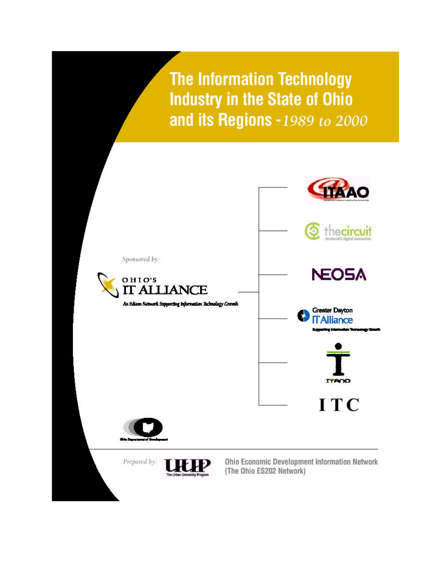**The Information Technology Industry in the State of Ohio** and its Regions - 1989 to 2000

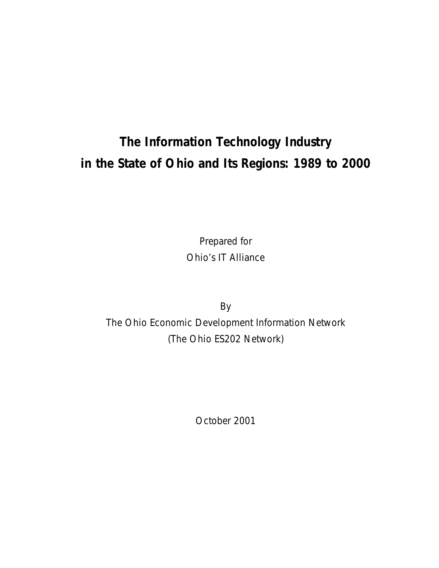# **The Information Technology Industry in the State of Ohio and Its Regions: 1989 to 2000**

Prepared for Ohio's IT Alliance

By The Ohio Economic Development Information Network (The Ohio ES202 Network)

October 2001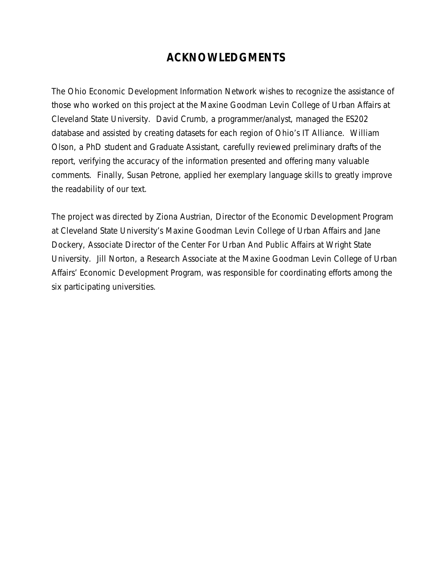## **ACKNOWLEDGMENTS**

The Ohio Economic Development Information Network wishes to recognize the assistance of those who worked on this project at the Maxine Goodman Levin College of Urban Affairs at Cleveland State University. David Crumb, a programmer/analyst, managed the ES202 database and assisted by creating datasets for each region of Ohio's IT Alliance. William Olson, a PhD student and Graduate Assistant, carefully reviewed preliminary drafts of the report, verifying the accuracy of the information presented and offering many valuable comments. Finally, Susan Petrone, applied her exemplary language skills to greatly improve the readability of our text.

The project was directed by Ziona Austrian, Director of the Economic Development Program at Cleveland State University's Maxine Goodman Levin College of Urban Affairs and Jane Dockery, Associate Director of the Center For Urban And Public Affairs at Wright State University. Jill Norton, a Research Associate at the Maxine Goodman Levin College of Urban Affairs' Economic Development Program, was responsible for coordinating efforts among the six participating universities.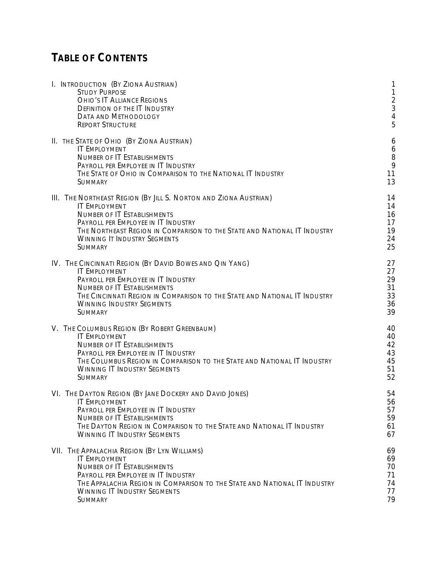## **TABLE OF CONTENTS**

| I. INTRODUCTION (BY ZIONA AUSTRIAN)<br><b>STUDY PURPOSE</b><br><b>OHIO'S IT ALLIANCE REGIONS</b><br><b>DEFINITION OF THE IT INDUSTRY</b><br><b>DATA AND METHODOLOGY</b><br><b>REPORT STRUCTURE</b> | 1<br>$\frac{2}{3}$<br>$\overline{4}$<br>5 |
|----------------------------------------------------------------------------------------------------------------------------------------------------------------------------------------------------|-------------------------------------------|
| II. THE STATE OF OHIO (BY ZIONA AUSTRIAN)                                                                                                                                                          | 6                                         |
| <b>IT EMPLOYMENT</b>                                                                                                                                                                               | 6                                         |
| <b>NUMBER OF IT ESTABLISHMENTS</b>                                                                                                                                                                 | 8                                         |
| PAYROLL PER EMPLOYEE IN IT INDUSTRY                                                                                                                                                                | 9                                         |
| THE STATE OF OHIO IN COMPARISON TO THE NATIONAL IT INDUSTRY                                                                                                                                        | 11                                        |
| <b>SUMMARY</b>                                                                                                                                                                                     | 13                                        |
| III. The Northeast Region (By Jill S. Norton and Ziona Austrian)                                                                                                                                   | 14                                        |
| <b>IT EMPLOYMENT</b>                                                                                                                                                                               | 14                                        |
| <b>NUMBER OF IT ESTABLISHMENTS</b>                                                                                                                                                                 | 16                                        |
| PAYROLL PER EMPLOYEE IN IT INDUSTRY                                                                                                                                                                | 17                                        |
| THE NORTHEAST REGION IN COMPARISON TO THE STATE AND NATIONAL IT INDUSTRY                                                                                                                           | 19                                        |
| <b>WINNING IT INDUSTRY SEGMENTS</b>                                                                                                                                                                | 24                                        |
| <b>SUMMARY</b>                                                                                                                                                                                     | 25                                        |
| IV. THE CINCINNATI REGION (BY DAVID BOWES AND QIN YANG)                                                                                                                                            | 27                                        |
| <b>IT EMPLOYMENT</b>                                                                                                                                                                               | 27                                        |
| PAYROLL PER EMPLOYEE IN IT INDUSTRY                                                                                                                                                                | 29                                        |
| <b>NUMBER OF IT ESTABLISHMENTS</b>                                                                                                                                                                 | 31                                        |
| THE CINCINNATI REGION IN COMPARISON TO THE STATE AND NATIONAL IT INDUSTRY                                                                                                                          | 33                                        |
| <b>WINNING INDUSTRY SEGMENTS</b>                                                                                                                                                                   | 36                                        |
| <b>SUMMARY</b>                                                                                                                                                                                     | 39                                        |
| V. THE COLUMBUS REGION (BY ROBERT GREENBAUM)                                                                                                                                                       | 40                                        |
| <b>IT EMPLOYMENT</b>                                                                                                                                                                               | 40                                        |
| <b>NUMBER OF IT ESTABLISHMENTS</b>                                                                                                                                                                 | 42                                        |
| PAYROLL PER EMPLOYEE IN IT INDUSTRY                                                                                                                                                                | 43                                        |
| THE COLUMBUS REGION IN COMPARISON TO THE STATE AND NATIONAL IT INDUSTRY                                                                                                                            | 45                                        |
| <b>WINNING IT INDUSTRY SEGMENTS</b>                                                                                                                                                                | 51                                        |
| <b>SUMMARY</b>                                                                                                                                                                                     | 52                                        |
| VI. THE DAYTON REGION (BY JANE DOCKERY AND DAVID JONES)                                                                                                                                            | 54                                        |
| <b>IT EMPLOYMENT</b>                                                                                                                                                                               | 56                                        |
| PAYROLL PER EMPLOYEE IN IT INDUSTRY                                                                                                                                                                | 57                                        |
| <b>NUMBER OF IT ESTABLISHMENTS</b>                                                                                                                                                                 | 59                                        |
| THE DAYTON REGION IN COMPARISON TO THE STATE AND NATIONAL IT INDUSTRY                                                                                                                              | 61                                        |
| <b>WINNING IT INDUSTRY SEGMENTS</b>                                                                                                                                                                | 67                                        |
| VII. THE APPALACHIA REGION (BY LYN WILLIAMS)                                                                                                                                                       | 69                                        |
| <b>IT EMPLOYMENT</b>                                                                                                                                                                               | 69                                        |
| <b>NUMBER OF IT ESTABLISHMENTS</b>                                                                                                                                                                 | 70                                        |
| PAYROLL PER EMPLOYEE IN IT INDUSTRY                                                                                                                                                                | 71                                        |
| THE APPALACHIA REGION IN COMPARISON TO THE STATE AND NATIONAL IT INDUSTRY                                                                                                                          | 74                                        |
| <b>WINNING IT INDUSTRY SEGMENTS</b>                                                                                                                                                                | 77                                        |
| <b>SUMMARY</b>                                                                                                                                                                                     | 79                                        |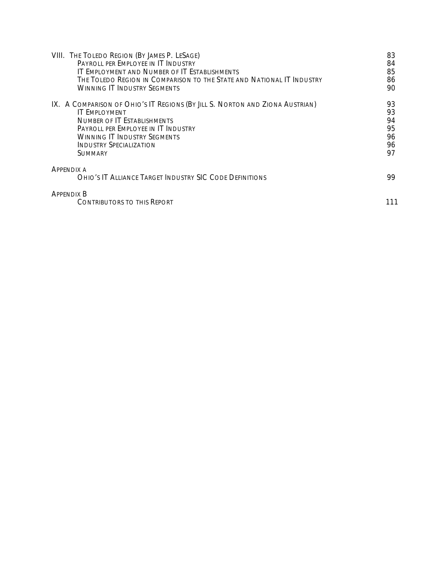| VIII. THE TOLEDO REGION (BY JAMES P. LESAGE)                                        | 83 |
|-------------------------------------------------------------------------------------|----|
| PAYROLL PER EMPLOYEE IN IT INDUSTRY                                                 | 84 |
| IT EMPLOYMENT AND NUMBER OF IT ESTABLISHMENTS                                       | 85 |
| The Toledo Region in Comparison to the State and National IT Industry               | 86 |
| Winning IT Industry Segments                                                        | 90 |
| IX. A COMPARISON OF OHIO'S IT REGIONS (BY JILL S. NORTON AND ZIONA AUSTRIAN)        | 93 |
| <b>IT EMPLOYMENT</b>                                                                | 93 |
| <b>NUMBER OF IT ESTABLISHMENTS</b>                                                  | 94 |
| PAYROLL PER EMPLOYEE IN IT INDUSTRY                                                 | 95 |
| <b>WINNING IT INDUSTRY SEGMENTS</b>                                                 | 96 |
| <b>INDUSTRY SPECIALIZATION</b>                                                      | 96 |
| <b>SUMMARY</b>                                                                      | 97 |
| <b>APPENDIX A</b><br><b>OHIO'S IT ALLIANCE TARGET INDUSTRY SIC CODE DEFINITIONS</b> | 99 |
| <b>APPENDIX B</b><br><b>CONTRIBUTORS TO THIS REPORT</b>                             |    |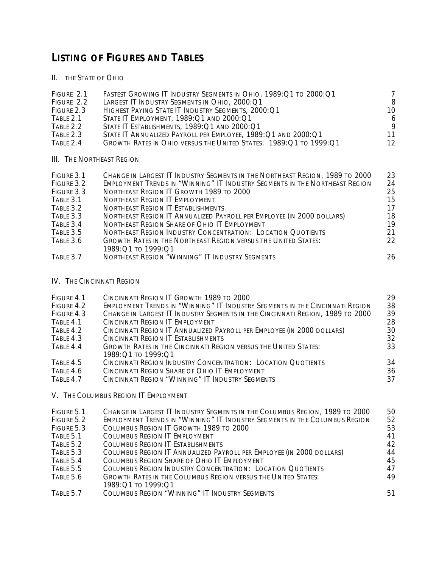## **LISTING OF FIGURES AND TABLES**

II. THE STATE OF OHIO

| FIGURE 2.1                | FASTEST GROWING IT INDUSTRY SEGMENTS IN OHIO, 1989:Q1 TO 2000:Q1    |    |
|---------------------------|---------------------------------------------------------------------|----|
| FIGURE 2.2                | LARGEST IT INDUSTRY SEGMENTS IN OHIO, 2000:Q1                       | 8  |
| FIGURE 2.3                | HIGHEST PAYING STATE IT INDUSTRY SEGMENTS, 2000:Q1                  | 10 |
| TABLE 2.1                 | STATE IT EMPLOYMENT, 1989: Q1 AND 2000: Q1                          | 6  |
| TABLE 2.2                 | STATE IT ESTABLISHMENTS, 1989: Q1 AND 2000: Q1                      | 9  |
| TABLE 2.3                 | STATE IT ANNUALIZED PAYROLL PER EMPLOYEE, 1989: Q1 AND 2000: Q1     | 11 |
| TABLE 2.4                 | GROWTH RATES IN OHIO VERSUS THE UNITED STATES: 1989: Q1 TO 1999: Q1 | 12 |
|                           |                                                                     |    |
| III. The Northeast Region |                                                                     |    |

| FIGURE 3.1 | CHANGE IN LARGEST IT INDUSTRY SEGMENTS IN THE NORTHEAST REGION, 1989 TO 2000 | 23 |
|------------|------------------------------------------------------------------------------|----|
| FIGURE 3.2 | EMPLOYMENT TRENDS IN "WINNING" IT INDUSTRY SEGMENTS IN THE NORTHEAST REGION  | 24 |
| FIGURE 3.3 | NORTHEAST REGION IT GROWTH 1989 TO 2000                                      | 25 |
| TABLE 3.1  | <b>NORTHEAST REGION IT EMPLOYMENT</b>                                        | 15 |
| TABLE 3.2  | NORTHEAST REGION IT ESTABLISHMENTS                                           | 17 |
| TABLE 3.3  | NORTHEAST REGION IT ANNUALIZED PAYROLL PER EMPLOYEE (IN 2000 DOLLARS)        | 18 |
| TABLE 3.4  | NORTHEAST REGION SHARE OF OHIO IT EMPLOYMENT                                 | 19 |
| TABLE 3.5  | <b>NORTHEAST REGION INDUSTRY CONCENTRATION: LOCATION QUOTIENTS</b>           | 21 |
| TABLE 3.6  | <b>GROWTH RATES IN THE NORTHEAST REGION VERSUS THE UNITED STATES:</b>        | 22 |
|            | 1989: Ο1 το 1999: Ο1                                                         |    |
| TABLE 3.7  | NORTHEAST REGION "WINNING" IT INDUSTRY SEGMENTS                              | 26 |

IV. THE CINCINNATI REGION

| FIGURE 4.1 | CINCINNATI REGION IT GROWTH 1989 TO 2000                                      | 29 |
|------------|-------------------------------------------------------------------------------|----|
| FIGURE 4.2 | EMPLOYMENT TRENDS IN "WINNING" IT INDUSTRY SEGMENTS IN THE CINCINNATI REGION  | 38 |
| FIGURE 4.3 | CHANGE IN LARGEST IT INDUSTRY SEGMENTS IN THE CINCINNATI REGION, 1989 TO 2000 | 39 |
| TABLE 4.1  | CINCINNATI REGION IT EMPLOYMENT                                               | 28 |
| TABLE 4.2  | CINCINNATI REGION IT ANNUALIZED PAYROLL PER EMPLOYEE (IN 2000 DOLLARS)        | 30 |
| TABLE 4.3  | CINCINNATI REGION IT ESTABLISHMENTS                                           | 32 |
| TABLE 4.4  | <b>GROWTH RATES IN THE CINCINNATI REGION VERSUS THE UNITED STATES:</b>        | 33 |
|            | 1989:01 то 1999:01                                                            |    |
| TABLE 4.5  | CINCINNATI REGION INDUSTRY CONCENTRATION: LOCATION QUOTIENTS                  | 34 |
| TABLE 4.6  | CINCINNATI REGION SHARE OF OHIO IT EMPLOYMENT                                 | 36 |
| TABLE 4.7  | CINCINNATI REGION "WINNING" IT INDUSTRY SEGMENTS                              | 37 |

V. THE COLUMBUS REGION IT EMPLOYMENT

| FIGURE 5.1 | CHANGE IN LARGEST IT INDUSTRY SEGMENTS IN THE COLUMBUS REGION, 1989 TO 2000 | 50 |
|------------|-----------------------------------------------------------------------------|----|
| FIGURE 5.2 | EMPLOYMENT TRENDS IN "WINNING" IT INDUSTRY SEGMENTS IN THE COLUMBUS REGION  | 52 |
| FIGURE 5.3 | COLUMBUS REGION IT GROWTH 1989 TO 2000                                      | 53 |
| TABLE 5.1  | <b>COLUMBUS REGION IT EMPLOYMENT</b>                                        | 41 |
| TABLE 5.2  | <b>COLUMBUS REGION IT ESTABLISHMENTS</b>                                    | 42 |
| TABLE 5.3  | COLUMBUS REGION IT ANNUALIZED PAYROLL PER EMPLOYEE (IN 2000 DOLLARS)        | 44 |
| TABLE 5.4  | <b>COLUMBUS REGION SHARE OF OHIO IT EMPLOYMENT</b>                          | 45 |
| TABLE 5.5  | <b>COLUMBUS REGION INDUSTRY CONCENTRATION: LOCATION QUOTIENTS</b>           | 47 |
| TABLE 5.6  | <b>GROWTH RATES IN THE COLUMBUS REGION VERSUS THE UNITED STATES:</b>        | 49 |
|            | 1989:01 то 1999:01                                                          |    |
| TABLE 5.7  | <b>COLUMBUS REGION "WINNING" IT INDUSTRY SEGMENTS</b>                       | 51 |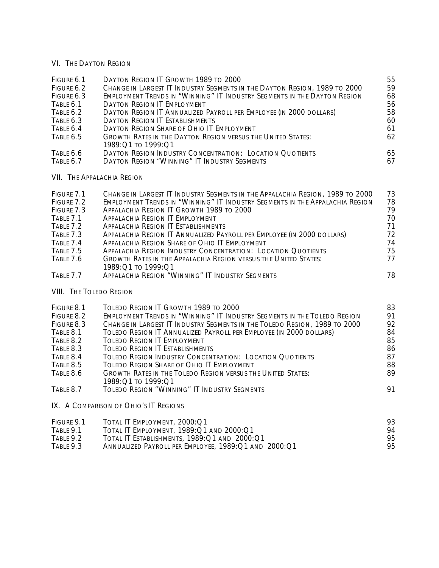#### VI. THE DAYTON REGION

| FIGURE 6.1<br>FIGURE 6.2<br>FIGURE 6.3<br>TABLE 6.1<br>TABLE 6.2<br>TABLE 6.3<br>TABLE 6.4<br>TABLE 6.5                           | DAYTON REGION IT GROWTH 1989 TO 2000<br>CHANGE IN LARGEST IT INDUSTRY SEGMENTS IN THE DAYTON REGION, 1989 TO 2000<br>EMPLOYMENT TRENDS IN "WINNING" IT INDUSTRY SEGMENTS IN THE DAYTON REGION<br><b>DAYTON REGION IT EMPLOYMENT</b><br>DAYTON REGION IT ANNUALIZED PAYROLL PER EMPLOYEE (IN 2000 DOLLARS)<br><b>DAYTON REGION IT ESTABLISHMENTS</b><br><b>DAYTON REGION SHARE OF OHIO IT EMPLOYMENT</b><br><b>GROWTH RATES IN THE DAYTON REGION VERSUS THE UNITED STATES:</b><br>1989: Q1 TO 1999: Q1                                                                                                                                                                          | 55<br>59<br>68<br>56<br>58<br>60<br>61<br>62             |
|-----------------------------------------------------------------------------------------------------------------------------------|--------------------------------------------------------------------------------------------------------------------------------------------------------------------------------------------------------------------------------------------------------------------------------------------------------------------------------------------------------------------------------------------------------------------------------------------------------------------------------------------------------------------------------------------------------------------------------------------------------------------------------------------------------------------------------|----------------------------------------------------------|
| TABLE 6.6<br>TABLE 6.7                                                                                                            | <b>DAYTON REGION INDUSTRY CONCENTRATION: LOCATION QUOTIENTS</b><br><b>DAYTON REGION "WINNING" IT INDUSTRY SEGMENTS</b>                                                                                                                                                                                                                                                                                                                                                                                                                                                                                                                                                         | 65<br>67                                                 |
| <b>VII. THE APPALACHIA REGION</b>                                                                                                 |                                                                                                                                                                                                                                                                                                                                                                                                                                                                                                                                                                                                                                                                                |                                                          |
| FIGURE 7.1<br>FIGURE 7.2<br>FIGURE 7.3<br>TABLE 7.1<br>TABLE 7.2<br>TABLE 7.3<br>TABLE 7.4<br>TABLE 7.5<br>TABLE 7.6<br>TABLE 7.7 | CHANGE IN LARGEST IT INDUSTRY SEGMENTS IN THE APPALACHIA REGION, 1989 TO 2000<br><b>EMPLOYMENT TRENDS IN "WINNING" IT INDUSTRY SEGMENTS IN THE APPALACHIA REGION</b><br>APPALACHIA REGION IT GROWTH 1989 TO 2000<br><b>APPALACHIA REGION IT EMPLOYMENT</b><br><b>APPALACHIA REGION IT ESTABLISHMENTS</b><br>APPALACHIA REGION IT ANNUALIZED PAYROLL PER EMPLOYEE (IN 2000 DOLLARS)<br><b>APPALACHIA REGION SHARE OF OHIO IT EMPLOYMENT</b><br><b>APPALACHIA REGION INDUSTRY CONCENTRATION: LOCATION QUOTIENTS</b><br><b>GROWTH RATES IN THE APPALACHIA REGION VERSUS THE UNITED STATES:</b><br>1989: Q1 TO 1999: Q1<br><b>APPALACHIA REGION "WINNING" IT INDUSTRY SEGMENTS</b> | 73<br>78<br>79<br>70<br>71<br>72<br>74<br>75<br>77<br>78 |
| <b>VIII. THE TOLEDO REGION</b>                                                                                                    |                                                                                                                                                                                                                                                                                                                                                                                                                                                                                                                                                                                                                                                                                |                                                          |
| FIGURE 8.1<br>FIGURE 8.2<br>FIGURE 8.3<br>TABLE 8.1<br>TABLE 8.2<br>TABLE 8.3<br>TABLE 8.4<br>TABLE 8.5<br>TABLE 8.6<br>TABLE 8.7 | TOLEDO REGION IT GROWTH 1989 TO 2000<br>EMPLOYMENT TRENDS IN "WINNING" IT INDUSTRY SEGMENTS IN THE TOLEDO REGION<br>CHANGE IN LARGEST IT INDUSTRY SEGMENTS IN THE TOLEDO REGION, 1989 TO 2000<br>TOLEDO REGION IT ANNUALIZED PAYROLL PER EMPLOYEE (IN 2000 DOLLARS)<br><b>TOLEDO REGION IT EMPLOYMENT</b><br><b>TOLEDO REGION IT ESTABLISHMENTS</b><br><b>TOLEDO REGION INDUSTRY CONCENTRATION: LOCATION QUOTIENTS</b><br><b>TOLEDO REGION SHARE OF OHIO IT EMPLOYMENT</b><br><b>GROWTH RATES IN THE TOLEDO REGION VERSUS THE UNITED STATES:</b><br>1989: Q1 TO 1999: Q1<br>TOLEDO REGION "WINNING" IT INDUSTRY SEGMENTS                                                       | 83<br>91<br>92<br>84<br>85<br>86<br>87<br>88<br>89<br>91 |
|                                                                                                                                   | IX. A COMPARISON OF OHIO'S IT REGIONS                                                                                                                                                                                                                                                                                                                                                                                                                                                                                                                                                                                                                                          |                                                          |

| FIGURE 9.1 | Total IT Employment, 2000:01                         | 93 |
|------------|------------------------------------------------------|----|
| TABLE 9.1  | TOTAL IT EMPLOYMENT, 1989: Q1 AND 2000: Q1           | 94 |
| TABLE 9.2  | TOTAL IT ESTABLISHMENTS, 1989: Q1 AND 2000: Q1       | 95 |
| TABLE 9.3  | Annualized Payroll per Employee, 1989:Q1 and 2000:Q1 | 95 |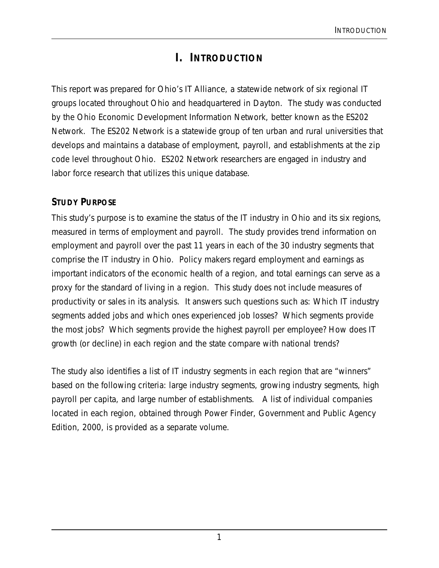## **I. INTRODUCTION**

This report was prepared for *Ohio's IT Alliance*, a statewide network of six regional IT groups located throughout Ohio and headquartered in Dayton. The study was conducted by the Ohio Economic Development Information Network, better known as the ES202 Network. The ES202 Network is a statewide group of ten urban and rural universities that develops and maintains a database of employment, payroll, and establishments at the zip code level throughout Ohio. ES202 Network researchers are engaged in industry and labor force research that utilizes this unique database.

### **STUDY PURPOSE**

This study's purpose is to examine the status of the IT industry in Ohio and its six regions, measured in terms of employment and payroll. The study provides trend information on employment and payroll over the past 11 years in each of the 30 industry segments that comprise the IT industry in Ohio. Policy makers regard employment and earnings as important indicators of the economic health of a region, and total earnings can serve as a proxy for the standard of living in a region. This study does not include measures of productivity or sales in its analysis. It answers such questions such as: Which IT industry segments added jobs and which ones experienced job losses? Which segments provide the most jobs? Which segments provide the highest payroll per employee? How does IT growth (or decline) in each region and the state compare with national trends?

The study also identifies a list of IT industry segments in each region that are "winners" based on the following criteria: large industry segments, growing industry segments, high payroll per capita, and large number of establishments. A list of individual companies located in each region, obtained through Power Finder, Government and Public Agency Edition, 2000, is provided as a separate volume.

1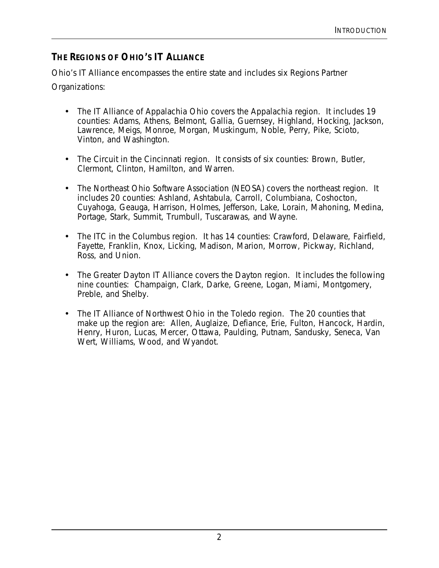### **THE REGIONS OF OHIO'S IT ALLIANCE**

*Ohio's IT Alliance* encompasses the entire state and includes six Regions Partner Organizations:

- The IT Alliance of Appalachia Ohio covers the Appalachia region. It includes 19 counties: Adams, Athens, Belmont, Gallia, Guernsey, Highland, Hocking, Jackson, Lawrence, Meigs, Monroe, Morgan, Muskingum, Noble, Perry, Pike, Scioto, Vinton, and Washington.
- The Circuit in the Cincinnati region. It consists of six counties: Brown, Butler, Clermont, Clinton, Hamilton, and Warren.
- The Northeast Ohio Software Association (NEOSA) covers the northeast region. It includes 20 counties: Ashland, Ashtabula, Carroll, Columbiana, Coshocton, Cuyahoga, Geauga, Harrison, Holmes, Jefferson, Lake, Lorain, Mahoning, Medina, Portage, Stark, Summit, Trumbull, Tuscarawas, and Wayne.
- The ITC in the Columbus region. It has 14 counties: Crawford, Delaware, Fairfield, Fayette, Franklin, Knox, Licking, Madison, Marion, Morrow, Pickway, Richland, Ross, and Union.
- The Greater Dayton IT Alliance covers the Dayton region. It includes the following nine counties: Champaign, Clark, Darke, Greene, Logan, Miami, Montgomery, Preble, and Shelby.
- The IT Alliance of Northwest Ohio in the Toledo region. The 20 counties that make up the region are: Allen, Auglaize, Defiance, Erie, Fulton, Hancock, Hardin, Henry, Huron, Lucas, Mercer, Ottawa, Paulding, Putnam, Sandusky, Seneca, Van Wert, Williams, Wood, and Wyandot.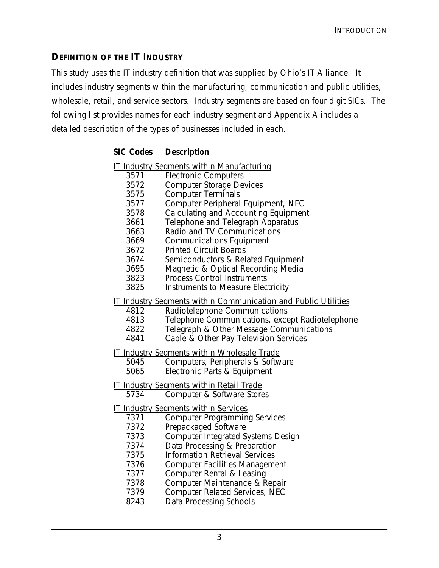#### **DEFINITION OF THE IT INDUSTRY**

This study uses the IT industry definition that was supplied by *Ohio's IT Alliance*. It includes industry segments within the manufacturing, communication and public utilities, wholesale, retail, and service sectors. Industry segments are based on four digit SICs. The following list provides names for each industry segment and Appendix A includes a detailed description of the types of businesses included in each.

#### **SIC Codes Description**

#### IT Industry Segments within Manufacturing

- 3571 Electronic Computers
- 3572 Computer Storage Devices
- 3575 Computer Terminals
- 3577 Computer Peripheral Equipment, NEC
	- Calculating and Accounting Equipment
- 3661 Telephone and Telegraph Apparatus
- 3663 Radio and TV Communications
- 3669 Communications Equipment
- 3672 Printed Circuit Boards
- 3674 Semiconductors & Related Equipment
- 3695 Magnetic & Optical Recording Media
- 3823 Process Control Instruments
- 3825 Instruments to Measure Electricity
- IT Industry Segments within Communication and Public Utilities
	- 4812 Radiotelephone Communications<br>4813 Telephone Communications, exce
	- Telephone Communications, except Radiotelephone
	- 4822 Telegraph & Other Message Communications
	- 4841 Cable & Other Pay Television Services
- IT Industry Segments within Wholesale Trade
	- 5045 Computers, Peripherals & Software
	- 5065 Electronic Parts & Equipment
- IT Industry Segments within Retail Trade<br>5734 Computer & Software Store
	- Computer & Software Stores
- IT Industry Segments within Services
	- 7371 Computer Programming Services<br>7372 Prepackaged Software
	- Prepackaged Software
	- 7373 Computer Integrated Systems Design<br>7374 Data Processing & Preparation
		- Data Processing & Preparation
	- 7375 Information Retrieval Services
	- 7376 Computer Facilities Management
	- 7377 Computer Rental & Leasing
	- 7378 Computer Maintenance & Repair
	- 7379 Computer Related Services, NEC
	- 8243 Data Processing Schools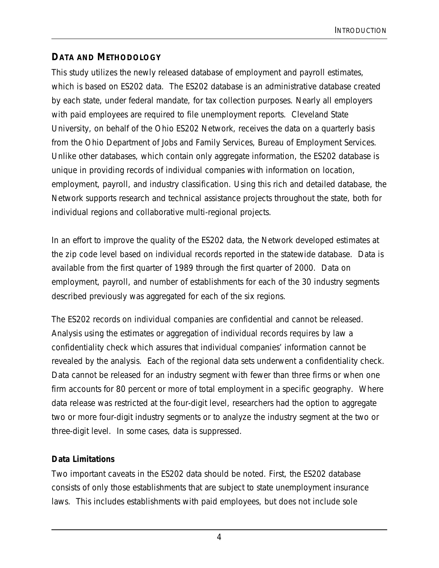### **DATA AND METHODOLOGY**

This study utilizes the newly released database of employment and payroll estimates, which is based on ES202 data. The ES202 database is an administrative database created by each state, under federal mandate, for tax collection purposes. Nearly all employers with paid employees are required to file unemployment reports. Cleveland State University, on behalf of the Ohio ES202 Network, receives the data on a quarterly basis from the Ohio Department of Jobs and Family Services, Bureau of Employment Services. Unlike other databases, which contain only aggregate information, the ES202 database is unique in providing records of individual companies with information on location, employment, payroll, and industry classification. Using this rich and detailed database, the Network supports research and technical assistance projects throughout the state, both for individual regions and collaborative multi-regional projects.

In an effort to improve the quality of the ES202 data, the Network developed estimates at the zip code level based on individual records reported in the statewide database. Data is available from the first quarter of 1989 through the first quarter of 2000. Data on employment, payroll, and number of establishments for each of the 30 industry segments described previously was aggregated for each of the six regions.

The ES202 records on individual companies are confidential and cannot be released. Analysis using the estimates or aggregation of individual records requires by law a confidentiality check which assures that individual companies' information cannot be revealed by the analysis. Each of the regional data sets underwent a confidentiality check. Data cannot be released for an industry segment with fewer than three firms or when one firm accounts for 80 percent or more of total employment in a specific geography. Where data release was restricted at the four-digit level, researchers had the option to aggregate two or more four-digit industry segments or to analyze the industry segment at the two or three-digit level. In some cases, data is suppressed.

#### **Data Limitations**

Two important caveats in the ES202 data should be noted. First, the ES202 database consists of only those establishments that are subject to state unemployment insurance laws. This includes establishments with paid employees, but does not include sole

4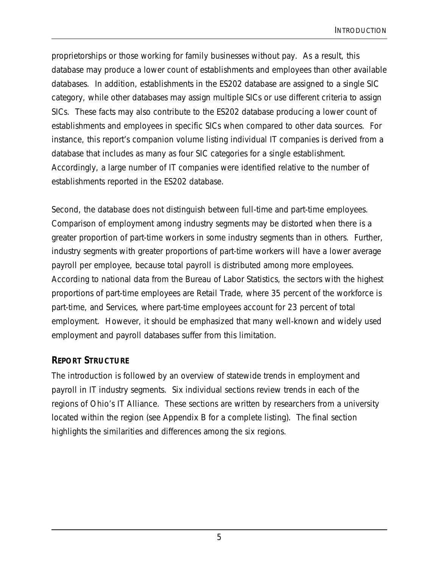proprietorships or those working for family businesses without pay. As a result, this database may produce a lower count of establishments and employees than other available databases. In addition, establishments in the ES202 database are assigned to a single SIC category, while other databases may assign multiple SICs or use different criteria to assign SICs. These facts may also contribute to the ES202 database producing a lower count of establishments and employees in specific SICs when compared to other data sources. For instance, this report's companion volume listing individual IT companies is derived from a database that includes as many as four SIC categories for a single establishment. Accordingly, a large number of IT companies were identified relative to the number of establishments reported in the ES202 database.

Second, the database does not distinguish between full-time and part-time employees. Comparison of employment among industry segments may be distorted when there is a greater proportion of part-time workers in some industry segments than in others. Further, industry segments with greater proportions of part-time workers will have a lower average payroll per employee, because total payroll is distributed among more employees. According to national data from the Bureau of Labor Statistics, the sectors with the highest proportions of part-time employees are Retail Trade, where 35 percent of the workforce is part-time, and Services, where part-time employees account for 23 percent of total employment. However, it should be emphasized that many well-known and widely used employment and payroll databases suffer from this limitation.

#### **REPORT STRUCTURE**

The introduction is followed by an overview of statewide trends in employment and payroll in IT industry segments. Six individual sections review trends in each of the regions of Ohio's IT Alliance. These sections are written by researchers from a university located within the region (see Appendix B for a complete listing). The final section highlights the similarities and differences among the six regions.

5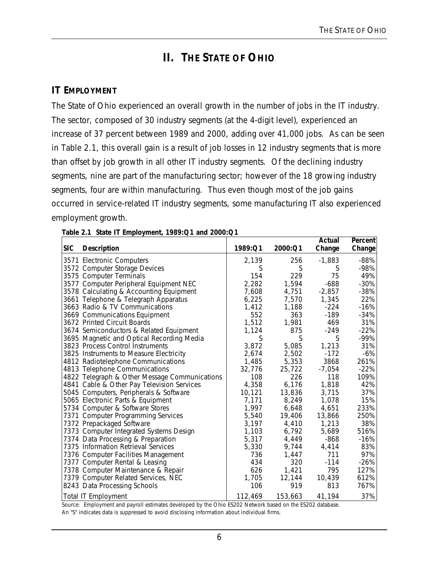## **II. THE STATE OF OHIO**

#### **IT EMPLOYMENT**

The State of Ohio experienced an overall growth in the number of jobs in the IT industry. The sector, composed of 30 industry segments (at the 4-digit level), experienced an increase of 37 percent between 1989 and 2000, adding over 41,000 jobs. As can be seen in Table 2.1, this overall gain is a result of job losses in 12 industry segments that is more than offset by job growth in all other IT industry segments. Of the declining industry segments, nine are part of the manufacturing sector; however of the 18 growing industry segments, four are within manufacturing. Thus even though most of the job gains occurred in service-related IT industry segments, some manufacturing IT also experienced employment growth.

| <b>SIC</b> | <b>Description</b>                            | 1989:Q1 | 2000:Q1 | Actual<br>Change | <b>Percent</b><br>Change |
|------------|-----------------------------------------------|---------|---------|------------------|--------------------------|
|            | 3571 Electronic Computers                     | 2,139   | 256     | $-1,883$         | $-88%$                   |
|            | 3572 Computer Storage Devices                 | S       | S       | S                | $-98%$                   |
|            | 3575 Computer Terminals                       | 154     | 229     | 75               | 49%                      |
|            | 3577 Computer Peripheral Equipment NEC        | 2,282   | 1,594   | $-688$           | $-30%$                   |
|            | 3578 Calculating & Accounting Equipment       | 7,608   | 4,751   | $-2,857$         | $-38%$                   |
|            | 3661 Telephone & Telegraph Apparatus          | 6,225   | 7,570   | 1,345            | 22%                      |
|            | 3663 Radio & TV Communications                | 1,412   | 1,188   | $-224$           | $-16%$                   |
|            | 3669 Communications Equipment                 | 552     | 363     | $-189$           | $-34%$                   |
|            | 3672 Printed Circuit Boards                   | 1,512   | 1,981   | 469              | 31%                      |
|            | 3674 Semiconductors & Related Equipment       | 1,124   | 875     | $-249$           | $-22%$                   |
|            | 3695 Magnetic and Optical Recording Media     | S       | S       | S                | $-99%$                   |
|            | 3823 Process Control Instruments              | 3,872   | 5,085   | 1,213            | 31%                      |
|            | 3825 Instruments to Measure Electricity       | 2,674   | 2,502   | $-172$           | $-6%$                    |
|            | 4812 Radiotelephone Communications            | 1,485   | 5,353   | 3868             | 261%                     |
|            | 4813 Telephone Communications                 | 32,776  | 25,722  | $-7,054$         | $-22%$                   |
|            | 4822 Telegraph & Other Message Communications | 108     | 226     | 118              | 109%                     |
|            | 4841 Cable & Other Pay Television Services    | 4,358   | 6,176   | 1,818            | 42%                      |
|            | 5045 Computers, Peripherals & Software        | 10,121  | 13,836  | 3,715            | 37%                      |
|            | 5065 Electronic Parts & Equipment             | 7,171   | 8,249   | 1,078            | 15%                      |
|            | 5734 Computer & Software Stores               | 1,997   | 6,648   | 4,651            | 233%                     |
|            | 7371 Computer Programming Services            | 5,540   | 19,406  | 13,866           | 250%                     |
|            | 7372 Prepackaged Software                     | 3,197   | 4,410   | 1,213            | 38%                      |
|            | 7373 Computer Integrated Systems Design       | 1,103   | 6,792   | 5,689            | 516%                     |
|            | 7374 Data Processing & Preparation            | 5,317   | 4,449   | -868             | $-16%$                   |
|            | 7375 Information Retrieval Services           | 5,330   | 9,744   | 4,414            | 83%                      |
|            | 7376 Computer Facilities Management           | 736     | 1,447   | 711              | 97%                      |
|            | 7377 Computer Rental & Leasing                | 434     | 320     | $-114$           | $-26%$                   |
|            | 7378 Computer Maintenance & Repair            | 626     | 1,421   | 795              | 127%                     |
|            | 7379 Computer Related Services, NEC           | 1,705   | 12,144  | 10,439           | 612%                     |
|            | 8243 Data Processing Schools                  | 106     | 919     | 813              | 767%                     |
|            | <b>Total IT Employment</b>                    | 112,469 | 153,663 | 41,194           | 37%                      |

|  |  | Table 2.1 State IT Employment, 1989: Q1 and 2000: Q1 |
|--|--|------------------------------------------------------|
|  |  |                                                      |

Source: Employment and payroll estimates developed by the Ohio ES202 Network based on the ES202 database.

An "S" indicates data is suppressed to avoid disclosing information about individual firms.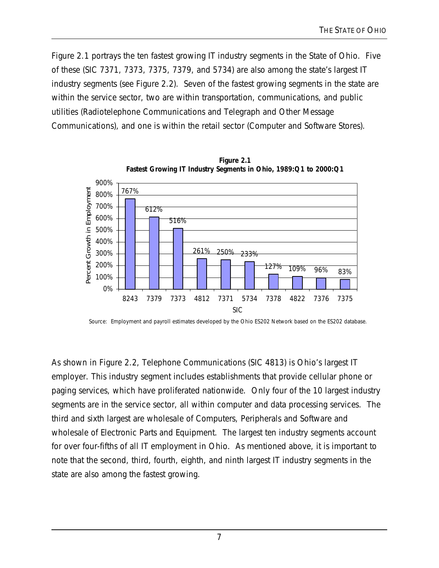Figure 2.1 portrays the ten fastest growing IT industry segments in the State of Ohio. Five of these (SIC 7371, 7373, 7375, 7379, and 5734) are also among the state's largest IT industry segments (see Figure 2.2). Seven of the fastest growing segments in the state are within the service sector, two are within transportation, communications, and public utilities (Radiotelephone Communications and Telegraph and Other Message Communications), and one is within the retail sector (Computer and Software Stores).



**Figure 2.1**

Source: Employment and payroll estimates developed by the Ohio ES202 Network based on the ES202 database.

As shown in Figure 2.2, Telephone Communications (SIC 4813) is Ohio's largest IT employer. This industry segment includes establishments that provide cellular phone or paging services, which have proliferated nationwide. Only four of the 10 largest industry segments are in the service sector, all within computer and data processing services. The third and sixth largest are wholesale of Computers, Peripherals and Software and wholesale of Electronic Parts and Equipment. The largest ten industry segments account for over four-fifths of all IT employment in Ohio. As mentioned above, it is important to note that the second, third, fourth, eighth, and ninth largest IT industry segments in the state are also among the fastest growing.

7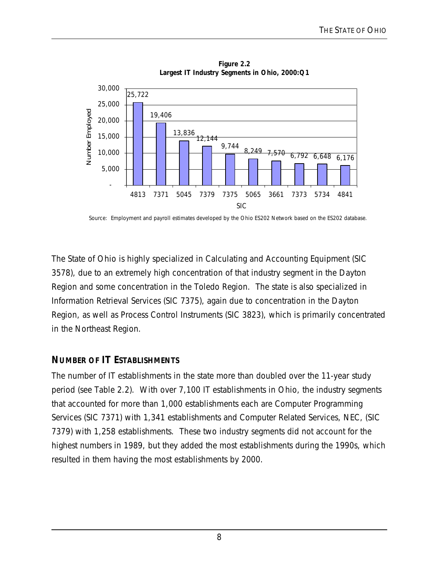

**Figure 2.2 Largest IT Industry Segments in Ohio, 2000:Q1**

Source: Employment and payroll estimates developed by the Ohio ES202 Network based on the ES202 database.

The State of Ohio is highly specialized in Calculating and Accounting Equipment (SIC 3578), due to an extremely high concentration of that industry segment in the Dayton Region and some concentration in the Toledo Region. The state is also specialized in Information Retrieval Services (SIC 7375), again due to concentration in the Dayton Region, as well as Process Control Instruments (SIC 3823), which is primarily concentrated in the Northeast Region.

#### **NUMBER OF IT ESTABLISHMENTS**

The number of IT establishments in the state more than doubled over the 11-year study period (see Table 2.2). With over 7,100 IT establishments in Ohio, the industry segments that accounted for more than 1,000 establishments each are Computer Programming Services (SIC 7371) with 1,341 establishments and Computer Related Services, NEC, (SIC 7379) with 1,258 establishments. These two industry segments did not account for the highest numbers in 1989, but they added the most establishments during the 1990s, which resulted in them having the most establishments by 2000.

8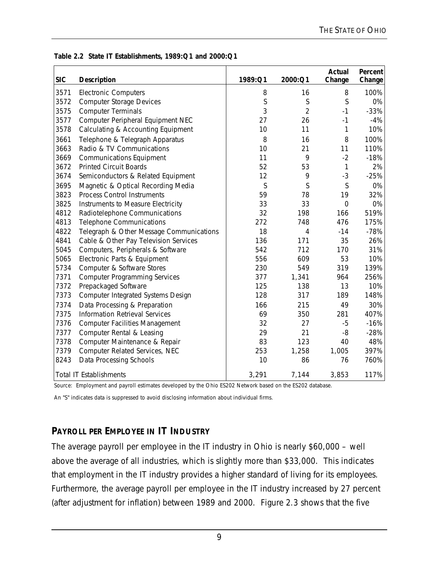| <b>SIC</b> | <b>Description</b>                       | 1989:Q1 | 2000:Q1        | <b>Actual</b><br>Change | Percent<br>Change |
|------------|------------------------------------------|---------|----------------|-------------------------|-------------------|
| 3571       | <b>Electronic Computers</b>              | 8       | 16             | 8                       | 100%              |
| 3572       | <b>Computer Storage Devices</b>          | S       | S              | S                       | 0%                |
| 3575       | <b>Computer Terminals</b>                | 3       | $\overline{2}$ | $-1$                    | $-33%$            |
| 3577       | Computer Peripheral Equipment NEC        | 27      | 26             | $-1$                    | $-4%$             |
| 3578       | Calculating & Accounting Equipment       | 10      | 11             | 1                       | 10%               |
| 3661       | Telephone & Telegraph Apparatus          | 8       | 16             | 8                       | 100%              |
| 3663       | Radio & TV Communications                | 10      | 21             | 11                      | 110%              |
| 3669       | <b>Communications Equipment</b>          | 11      | 9              | $-2$                    | $-18%$            |
| 3672       | <b>Printed Circuit Boards</b>            | 52      | 53             | 1                       | 2%                |
| 3674       | Semiconductors & Related Equipment       | 12      | 9              | $-3$                    | $-25%$            |
| 3695       | Magnetic & Optical Recording Media       | S       | S              | S                       | 0%                |
| 3823       | <b>Process Control Instruments</b>       | 59      | 78             | 19                      | 32%               |
| 3825       | Instruments to Measure Electricity       | 33      | 33             | $\overline{0}$          | 0%                |
| 4812       | Radiotelephone Communications            | 32      | 198            | 166                     | 519%              |
| 4813       | <b>Telephone Communications</b>          | 272     | 748            | 476                     | 175%              |
| 4822       | Telegraph & Other Message Communications | 18      | $\overline{4}$ | $-14$                   | $-78%$            |
| 4841       | Cable & Other Pay Television Services    | 136     | 171            | 35                      | 26%               |
| 5045       | Computers, Peripherals & Software        | 542     | 712            | 170                     | 31%               |
| 5065       | Electronic Parts & Equipment             | 556     | 609            | 53                      | 10%               |
| 5734       | Computer & Software Stores               | 230     | 549            | 319                     | 139%              |
| 7371       | <b>Computer Programming Services</b>     | 377     | 1,341          | 964                     | 256%              |
| 7372       | Prepackaged Software                     | 125     | 138            | 13                      | 10%               |
| 7373       | Computer Integrated Systems Design       | 128     | 317            | 189                     | 148%              |
| 7374       | Data Processing & Preparation            | 166     | 215            | 49                      | 30%               |
| 7375       | <b>Information Retrieval Services</b>    | 69      | 350            | 281                     | 407%              |
| 7376       | <b>Computer Facilities Management</b>    | 32      | 27             | $-5$                    | $-16%$            |
| 7377       | Computer Rental & Leasing                | 29      | 21             | $-8$                    | $-28%$            |
| 7378       | Computer Maintenance & Repair            | 83      | 123            | 40                      | 48%               |
| 7379       | Computer Related Services, NEC           | 253     | 1,258          | 1,005                   | 397%              |
| 8243       | Data Processing Schools                  | 10      | 86             | 76                      | 760%              |
|            | <b>Total IT Establishments</b>           | 3,291   | 7,144          | 3,853                   | 117%              |

#### **Table 2.2 State IT Establishments, 1989:Q1 and 2000:Q1**

Source: Employment and payroll estimates developed by the Ohio ES202 Network based on the ES202 database.

An "S" indicates data is suppressed to avoid disclosing information about individual firms.

### **PAYROLL PER EMPLOYEE IN IT INDUSTRY**

The average payroll per employee in the IT industry in Ohio is nearly \$60,000 – well above the average of all industries, which is slightly more than \$33,000. This indicates that employment in the IT industry provides a higher standard of living for its employees. Furthermore, the average payroll per employee in the IT industry increased by 27 percent (after adjustment for inflation) between 1989 and 2000. Figure 2.3 shows that the five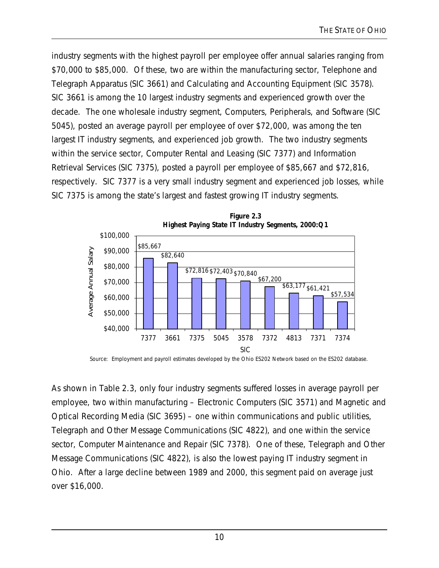industry segments with the highest payroll per employee offer annual salaries ranging from \$70,000 to \$85,000. Of these, two are within the manufacturing sector, Telephone and Telegraph Apparatus (SIC 3661) and Calculating and Accounting Equipment (SIC 3578). SIC 3661 is among the 10 largest industry segments and experienced growth over the decade. The one wholesale industry segment, Computers, Peripherals, and Software (SIC 5045), posted an average payroll per employee of over \$72,000, was among the ten largest IT industry segments, and experienced job growth. The two industry segments within the service sector, Computer Rental and Leasing (SIC 7377) and Information Retrieval Services (SIC 7375), posted a payroll per employee of \$85,667 and \$72,816, respectively. SIC 7377 is a very small industry segment and experienced job losses, while SIC 7375 is among the state's largest and fastest growing IT industry segments.



**Figure 2.3**

Source: Employment and payroll estimates developed by the Ohio ES202 Network based on the ES202 database.

As shown in Table 2.3, only four industry segments suffered losses in average payroll per employee, two within manufacturing – Electronic Computers (SIC 3571) and Magnetic and Optical Recording Media (SIC 3695) – one within communications and public utilities, Telegraph and Other Message Communications (SIC 4822), and one within the service sector, Computer Maintenance and Repair (SIC 7378). One of these, Telegraph and Other Message Communications (SIC 4822), is also the lowest paying IT industry segment in Ohio. After a large decline between 1989 and 2000, this segment paid on average just over \$16,000.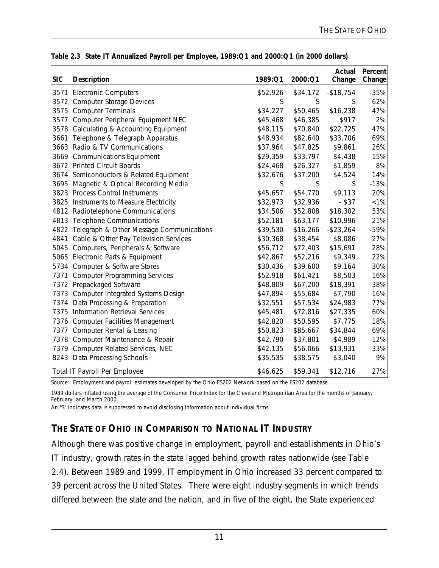| <b>SIC</b> | Description                                   | 1989:Q1  | 2000:Q1  | Actual<br>Change | Percent<br>Change |
|------------|-----------------------------------------------|----------|----------|------------------|-------------------|
|            | 3571 Electronic Computers                     | \$52,926 | \$34,172 | $-$18,754$       | $-35%$            |
|            | 3572 Computer Storage Devices                 | S        | S        | S                | 62%               |
|            | 3575 Computer Terminals                       | \$34,227 | \$50,465 | \$16,238         | 47%               |
|            | 3577 Computer Peripheral Equipment NEC        | \$45,468 | \$46,385 | \$917            | 2%                |
|            | 3578 Calculating & Accounting Equipment       | \$48,115 | \$70,840 | \$22,725         | 47%               |
| 3661       | Telephone & Telegraph Apparatus               | \$48,934 | \$82,640 | \$33,706         | 69%               |
|            | 3663 Radio & TV Communications                | \$37,964 | \$47,825 | \$9,861          | 26%               |
|            | 3669 Communications Equipment                 | \$29,359 | \$33,797 | \$4,438          | 15%               |
|            | 3672 Printed Circuit Boards                   | \$24,468 | \$26,327 | \$1,859          | 8%                |
|            | 3674 Semiconductors & Related Equipment       | \$32,676 | \$37,200 | \$4,524          | 14%               |
|            | 3695 Magnetic & Optical Recording Media       | S        | S        | S                | $-13%$            |
|            | 3823 Process Control Instruments              | \$45,657 | \$54,770 | \$9,113          | 20%               |
|            | 3825 Instruments to Measure Electricity       | \$32,973 | \$32,936 | $-$ \$37         | $< 1\%$           |
|            | 4812 Radiotelephone Communications            | \$34,506 | \$52,808 | \$18,302         | 53%               |
|            | 4813 Telephone Communications                 | \$52,181 | \$63,177 | \$10,996         | 21%               |
|            | 4822 Telegraph & Other Message Communications | \$39,530 | \$16,266 | $-$ \$23,264     | $-59%$            |
|            | 4841 Cable & Other Pay Television Services    | \$30,368 | \$38,454 | \$8,086          | 27%               |
|            | 5045 Computers, Peripherals & Software        | \$56,712 | \$72,403 | \$15,691         | 28%               |
|            | 5065 Electronic Parts & Equipment             | \$42,867 | \$52,216 | \$9,349          | 22%               |
|            | 5734 Computer & Software Stores               | \$30,436 | \$39,600 | \$9,164          | 30%               |
|            | 7371 Computer Programming Services            | \$52,918 | \$61,421 | \$8,503          | 16%               |
|            | 7372 Prepackaged Software                     | \$48,809 | \$67,200 | \$18,391         | 38%               |
|            | 7373 Computer Integrated Systems Design       | \$47,894 | \$55,684 | \$7,790          | 16%               |
|            | 7374 Data Processing & Preparation            | \$32,551 | \$57,534 | \$24,983         | 77%               |
|            | 7375 Information Retrieval Services           | \$45,481 | \$72,816 | \$27,335         | 60%               |
|            | 7376 Computer Facilities Management           | \$42,820 | \$50,595 | \$7,775          | 18%               |
|            | 7377 Computer Rental & Leasing                | \$50,823 | \$85,667 | \$34,844         | 69%               |
|            | 7378 Computer Maintenance & Repair            | \$42,790 | \$37,801 | $-$ \$4,989      | $-12%$            |
|            | 7379 Computer Related Services, NEC           | \$42,135 | \$56,066 | \$13,931         | 33%               |
|            | 8243 Data Processing Schools                  | \$35,535 | \$38,575 | \$3,040          | 9%                |
|            | Total IT Payroll Per Employee                 | \$46,625 | \$59,341 | \$12,716         | 27%               |

|  | Table 2.3 State IT Annualized Payroll per Employee, 1989: Q1 and 2000: Q1 (in 2000 dollars) |  |  |  |  |  |
|--|---------------------------------------------------------------------------------------------|--|--|--|--|--|
|  |                                                                                             |  |  |  |  |  |

Source: Employment and payroll estimates developed by the Ohio ES202 Network based on the ES202 database.

1989 dollars inflated using the average of the Consumer Price Index for the Cleveland Metropolitan Area for the months of January, February, and March 2000.

An "S" indicates data is suppressed to avoid disclosing information about individual firms.

### **THE STATE OF OHIO IN COMPARISON TO NATIONAL IT INDUSTRY**

Although there was positive change in employment, payroll and establishments in Ohio's IT industry, growth rates in the state lagged behind growth rates nationwide (see Table 2.4). Between 1989 and 1999, IT employment in Ohio increased 33 percent compared to 39 percent across the United States. There were eight industry segments in which trends differed between the state and the nation, and in five of the eight, the State experienced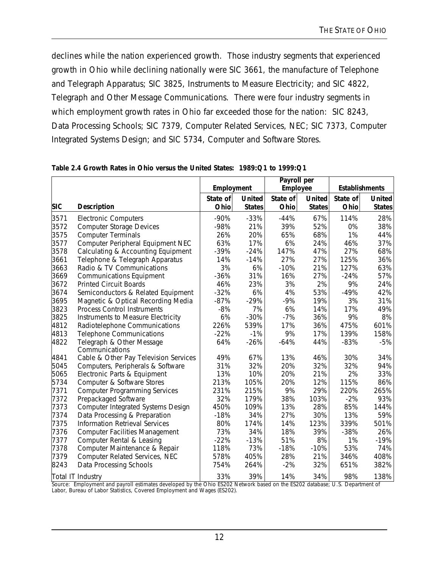declines while the nation experienced growth. Those industry segments that experienced growth in Ohio while declining nationally were SIC 3661, the manufacture of Telephone and Telegraph Apparatus; SIC 3825, Instruments to Measure Electricity; and SIC 4822, Telegraph and Other Message Communications. There were four industry segments in which employment growth rates in Ohio far exceeded those for the nation: SIC 8243, Data Processing Schools; SIC 7379, Computer Related Services, NEC; SIC 7373, Computer Integrated Systems Design; and SIC 5734, Computer and Software Stores.

|            |                                             | Employment |               | Payroll per<br><b>Employee</b> |               | <b>Establishments</b> |               |
|------------|---------------------------------------------|------------|---------------|--------------------------------|---------------|-----------------------|---------------|
|            |                                             | State of   | <b>United</b> | State of                       | <b>United</b> | State of              | <b>United</b> |
| <b>SIC</b> | <b>Description</b>                          | Ohio       | <b>States</b> | Ohio                           | <b>States</b> | Ohio                  | <b>States</b> |
| 3571       | <b>Electronic Computers</b>                 | $-90%$     | $-33%$        | $-44%$                         | 67%           | 114%                  | 28%           |
| 3572       | <b>Computer Storage Devices</b>             | $-98%$     | 21%           | 39%                            | 52%           | 0%                    | 38%           |
| 3575       | <b>Computer Terminals</b>                   | 26%        | 20%           | 65%                            | 68%           | 1%                    | 44%           |
| 3577       | Computer Peripheral Equipment NEC           | 63%        | 17%           | 6%                             | 24%           | 46%                   | 37%           |
| 3578       | Calculating & Accounting Equipment          | $-39%$     | $-24%$        | 147%                           | 47%           | 27%                   | 68%           |
| 3661       | Telephone & Telegraph Apparatus             | 14%        | $-14%$        | 27%                            | 27%           | 125%                  | 36%           |
| 3663       | Radio & TV Communications                   | 3%         | 6%            | $-10%$                         | 21%           | 127%                  | 63%           |
| 3669       | <b>Communications Equipment</b>             | $-36%$     | 31%           | 16%                            | 27%           | $-24%$                | 57%           |
| 3672       | <b>Printed Circuit Boards</b>               | 46%        | 23%           | 3%                             | 2%            | 9%                    | 24%           |
| 3674       | Semiconductors & Related Equipment          | $-32%$     | 6%            | 4%                             | 53%           | $-49%$                | 42%           |
| 3695       | Magnetic & Optical Recording Media          | $-87%$     | $-29%$        | $-9%$                          | 19%           | 3%                    | 31%           |
| 3823       | <b>Process Control Instruments</b>          | $-8%$      | 7%            | 6%                             | 14%           | 17%                   | 49%           |
| 3825       | Instruments to Measure Electricity          | 6%         | $-30%$        | $-7%$                          | 36%           | 9%                    | 8%            |
| 4812       | Radiotelephone Communications               | 226%       | 539%          | 17%                            | 36%           | 475%                  | 601%          |
| 4813       | <b>Telephone Communications</b>             | $-22%$     | $-1%$         | 9%                             | 17%           | 139%                  | 158%          |
| 4822       | Telegraph & Other Message<br>Communications | 64%        | $-26%$        | $-64%$                         | 44%           | $-83%$                | $-5%$         |
| 4841       | Cable & Other Pay Television Services       | 49%        | 67%           | 13%                            | 46%           | 30%                   | 34%           |
| 5045       | Computers, Peripherals & Software           | 31%        | 32%           | 20%                            | 32%           | 32%                   | 94%           |
| 5065       | Electronic Parts & Equipment                | 13%        | 10%           | 20%                            | 21%           | 2%                    | 33%           |
| 5734       | Computer & Software Stores                  | 213%       | 105%          | 20%                            | 12%           | 115%                  | 86%           |
| 7371       | <b>Computer Programming Services</b>        | 231%       | 215%          | 9%                             | 29%           | 220%                  | 265%          |
| 7372       | Prepackaged Software                        | 32%        | 179%          | 38%                            | 103%          | $-2%$                 | 93%           |
| 7373       | Computer Integrated Systems Design          | 450%       | 109%          | 13%                            | 28%           | 85%                   | 144%          |
| 7374       | Data Processing & Preparation               | $-18%$     | 34%           | 27%                            | 30%           | 13%                   | 59%           |
| 7375       | <b>Information Retrieval Services</b>       | 80%        | 174%          | 14%                            | 123%          | 339%                  | 501%          |
| 7376       | <b>Computer Facilities Management</b>       | 73%        | 34%           | 18%                            | 39%           | $-38%$                | 26%           |
| 7377       | Computer Rental & Leasing                   | $-22%$     | $-13%$        | 51%                            | 8%            | 1%                    | $-19%$        |
| 7378       | Computer Maintenance & Repair               | 118%       | 73%           | $-18%$                         | $-10%$        | 53%                   | 74%           |
| 7379       | Computer Related Services, NEC              | 578%       | 405%          | 28%                            | 21%           | 346%                  | 408%          |
| 8243       | Data Processing Schools                     | 754%       | 264%          | $-2%$                          | 32%           | 651%                  | 382%          |
|            | Total IT Industry                           | 33%        | 39%           | 14%                            | 34%           | 98%                   | 138%          |

|  | Table 2.4 Growth Rates in Ohio versus the United States: 1989:Q1 to 1999:Q1 |
|--|-----------------------------------------------------------------------------|
|  |                                                                             |

Source: Employment and payroll estimates developed by the Ohio ES202 Network based on the ES202 database; U.S. Department of Labor, Bureau of Labor Statistics, Covered Employment and Wages (ES202).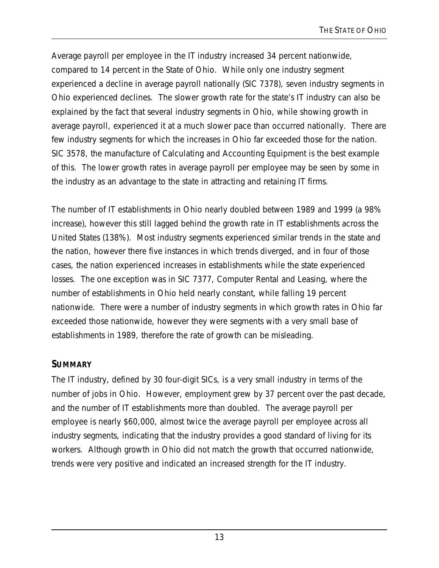Average payroll per employee in the IT industry increased 34 percent nationwide, compared to 14 percent in the State of Ohio. While only one industry segment experienced a decline in average payroll nationally (SIC 7378), seven industry segments in Ohio experienced declines. The slower growth rate for the state's IT industry can also be explained by the fact that several industry segments in Ohio, while showing growth in average payroll, experienced it at a much slower pace than occurred nationally. There are few industry segments for which the increases in Ohio far exceeded those for the nation. SIC 3578, the manufacture of Calculating and Accounting Equipment is the best example of this. The lower growth rates in average payroll per employee may be seen by some in the industry as an advantage to the state in attracting and retaining IT firms.

The number of IT establishments in Ohio nearly doubled between 1989 and 1999 (a 98% increase), however this still lagged behind the growth rate in IT establishments across the United States (138%). Most industry segments experienced similar trends in the state and the nation, however there five instances in which trends diverged, and in four of those cases, the nation experienced increases in establishments while the state experienced losses. The one exception was in SIC 7377, Computer Rental and Leasing, where the number of establishments in Ohio held nearly constant, while falling 19 percent nationwide. There were a number of industry segments in which growth rates in Ohio far exceeded those nationwide, however they were segments with a very small base of establishments in 1989, therefore the rate of growth can be misleading.

### **SUMMARY**

The IT industry, defined by 30 four-digit SICs, is a very small industry in terms of the number of jobs in Ohio. However, employment grew by 37 percent over the past decade, and the number of IT establishments more than doubled. The average payroll per employee is nearly \$60,000, almost twice the average payroll per employee across all industry segments, indicating that the industry provides a good standard of living for its workers. Although growth in Ohio did not match the growth that occurred nationwide, trends were very positive and indicated an increased strength for the IT industry.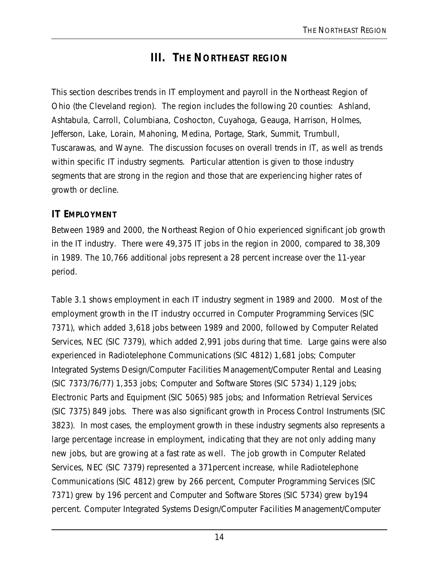## **III. THE NORTHEAST REGION**

This section describes trends in IT employment and payroll in the Northeast Region of Ohio (the Cleveland region). The region includes the following 20 counties: Ashland, Ashtabula, Carroll, Columbiana, Coshocton, Cuyahoga, Geauga, Harrison, Holmes, Jefferson, Lake, Lorain, Mahoning, Medina, Portage, Stark, Summit, Trumbull, Tuscarawas, and Wayne. The discussion focuses on overall trends in IT, as well as trends within specific IT industry segments. Particular attention is given to those industry segments that are strong in the region and those that are experiencing higher rates of growth or decline.

#### **IT EMPLOYMENT**

Between 1989 and 2000, the Northeast Region of Ohio experienced significant job growth in the IT industry. There were 49,375 IT jobs in the region in 2000, compared to 38,309 in 1989. The 10,766 additional jobs represent a 28 percent increase over the 11-year period.

Table 3.1 shows employment in each IT industry segment in 1989 and 2000. Most of the employment growth in the IT industry occurred in Computer Programming Services (SIC 7371), which added 3,618 jobs between 1989 and 2000, followed by Computer Related Services, NEC (SIC 7379), which added 2,991 jobs during that time. Large gains were also experienced in Radiotelephone Communications (SIC 4812) 1,681 jobs; Computer Integrated Systems Design/Computer Facilities Management/Computer Rental and Leasing (SIC 7373/76/77) 1,353 jobs; Computer and Software Stores (SIC 5734) 1,129 jobs; Electronic Parts and Equipment (SIC 5065) 985 jobs; and Information Retrieval Services (SIC 7375) 849 jobs. There was also significant growth in Process Control Instruments (SIC 3823). In most cases, the employment growth in these industry segments also represents a large percentage increase in employment, indicating that they are not only adding many new jobs, but are growing at a fast rate as well. The job growth in Computer Related Services, NEC (SIC 7379) represented a 371percent increase, while Radiotelephone Communications (SIC 4812) grew by 266 percent, Computer Programming Services (SIC 7371) grew by 196 percent and Computer and Software Stores (SIC 5734) grew by194 percent. Computer Integrated Systems Design/Computer Facilities Management/Computer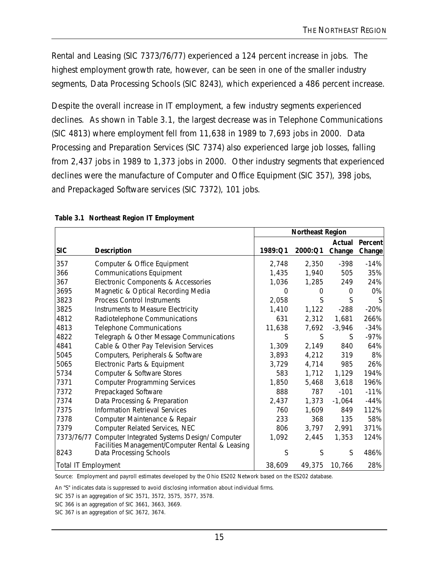Rental and Leasing (SIC 7373/76/77) experienced a 124 percent increase in jobs. The highest employment growth rate, however, can be seen in one of the smaller industry segments, Data Processing Schools (SIC 8243), which experienced a 486 percent increase.

Despite the overall increase in IT employment, a few industry segments experienced declines. As shown in Table 3.1, the largest decrease was in Telephone Communications (SIC 4813) where employment fell from 11,638 in 1989 to 7,693 jobs in 2000. Data Processing and Preparation Services (SIC 7374) also experienced large job losses, falling from 2,437 jobs in 1989 to 1,373 jobs in 2000. Other industry segments that experienced declines were the manufacture of Computer and Office Equipment (SIC 357), 398 jobs, and Prepackaged Software services (SIC 7372), 101 jobs.

|                            |                                                                                                 | <b>Northeast Region</b> |          |                  |                   |
|----------------------------|-------------------------------------------------------------------------------------------------|-------------------------|----------|------------------|-------------------|
| <b>SIC</b>                 | <b>Description</b>                                                                              | 1989:Q1                 | 2000:Q1  | Actual<br>Change | Percent<br>Change |
| 357                        | Computer & Office Equipment                                                                     | 2,748                   | 2,350    | $-398$           | $-14%$            |
| 366                        | <b>Communications Equipment</b>                                                                 | 1,435                   | 1,940    | 505              | 35%               |
| 367                        | Electronic Components & Accessories                                                             | 1,036                   | 1,285    | 249              | 24%               |
| 3695                       | Magnetic & Optical Recording Media                                                              | $\Omega$                | $\Omega$ | $\Omega$         | 0%                |
| 3823                       | <b>Process Control Instruments</b>                                                              | 2,058                   | S        | S                | <sup>S</sup>      |
| 3825                       | Instruments to Measure Electricity                                                              | 1,410                   | 1,122    | $-288$           | $-20%$            |
| 4812                       | Radiotelephone Communications                                                                   | 631                     | 2,312    | 1,681            | 266%              |
| 4813                       | <b>Telephone Communications</b>                                                                 | 11,638                  | 7,692    | $-3,946$         | $-34%$            |
| 4822                       | Telegraph & Other Message Communications                                                        | S                       | S        | S                | $-97%$            |
| 4841                       | Cable & Other Pay Television Services                                                           | 1,309                   | 2,149    | 840              | 64%               |
| 5045                       | Computers, Peripherals & Software                                                               | 3,893                   | 4,212    | 319              | 8%                |
| 5065                       | Electronic Parts & Equipment                                                                    | 3,729                   | 4,714    | 985              | 26%               |
| 5734                       | Computer & Software Stores                                                                      | 583                     | 1,712    | 1,129            | 194%              |
| 7371                       | <b>Computer Programming Services</b>                                                            | 1,850                   | 5,468    | 3,618            | 196%              |
| 7372                       | Prepackaged Software                                                                            | 888                     | 787      | $-101$           | $-11%$            |
| 7374                       | Data Processing & Preparation                                                                   | 2,437                   | 1,373    | $-1,064$         | $-44%$            |
| 7375                       | <b>Information Retrieval Services</b>                                                           | 760                     | 1,609    | 849              | 112%              |
| 7378                       | Computer Maintenance & Repair                                                                   | 233                     | 368      | 135              | 58%               |
| 7379                       | Computer Related Services, NEC                                                                  | 806                     | 3,797    | 2,991            | 371%              |
| 7373/76/77                 | Computer Integrated Systems Design/ Computer<br>Facilities Management/Computer Rental & Leasing | 1,092                   | 2,445    | 1,353            | 124%              |
| 8243                       | Data Processing Schools                                                                         | S                       | S        | S                | 486%              |
| <b>Total IT Employment</b> |                                                                                                 | 38,609                  | 49,375   | 10,766           | 28%               |

Source: Employment and payroll estimates developed by the Ohio ES202 Network based on the ES202 database.

An "S" indicates data is suppressed to avoid disclosing information about individual firms.

SIC 357 is an aggregation of SIC 3571, 3572, 3575, 3577, 3578.

SIC 366 is an aggregation of SIC 3661, 3663, 3669.

SIC 367 is an aggregation of SIC 3672, 3674.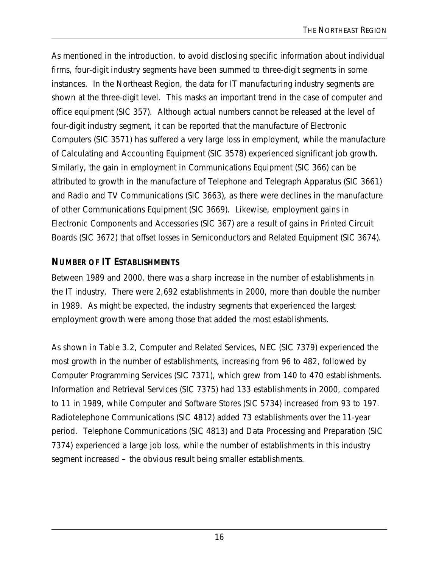As mentioned in the introduction, to avoid disclosing specific information about individual firms, four-digit industry segments have been summed to three-digit segments in some instances. In the Northeast Region, the data for IT manufacturing industry segments are shown at the three-digit level. This masks an important trend in the case of computer and office equipment (SIC 357). Although actual numbers cannot be released at the level of four-digit industry segment, it can be reported that the manufacture of Electronic Computers (SIC 3571) has suffered a very large loss in employment, while the manufacture of Calculating and Accounting Equipment (SIC 3578) experienced significant job growth. Similarly, the gain in employment in Communications Equipment (SIC 366) can be attributed to growth in the manufacture of Telephone and Telegraph Apparatus (SIC 3661) and Radio and TV Communications (SIC 3663), as there were declines in the manufacture of other Communications Equipment (SIC 3669). Likewise, employment gains in Electronic Components and Accessories (SIC 367) are a result of gains in Printed Circuit Boards (SIC 3672) that offset losses in Semiconductors and Related Equipment (SIC 3674).

### **NUMBER OF IT ESTABLISHMENTS**

Between 1989 and 2000, there was a sharp increase in the number of establishments in the IT industry. There were 2,692 establishments in 2000, more than double the number in 1989. As might be expected, the industry segments that experienced the largest employment growth were among those that added the most establishments.

As shown in Table 3.2, Computer and Related Services, NEC (SIC 7379) experienced the most growth in the number of establishments, increasing from 96 to 482, followed by Computer Programming Services (SIC 7371), which grew from 140 to 470 establishments. Information and Retrieval Services (SIC 7375) had 133 establishments in 2000, compared to 11 in 1989, while Computer and Software Stores (SIC 5734) increased from 93 to 197. Radiotelephone Communications (SIC 4812) added 73 establishments over the 11-year period. Telephone Communications (SIC 4813) and Data Processing and Preparation (SIC 7374) experienced a large job loss, while the number of establishments in this industry segment increased – the obvious result being smaller establishments.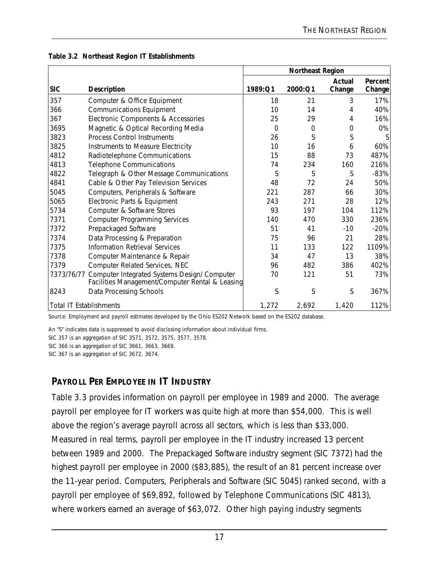|                                |                                                                                                 | <b>Northeast Region</b> |          |                  |                   |
|--------------------------------|-------------------------------------------------------------------------------------------------|-------------------------|----------|------------------|-------------------|
| <b>SIC</b>                     | <b>Description</b>                                                                              | 1989:Q1                 | 2000:Q1  | Actual<br>Change | Percent<br>Change |
| 357                            | Computer & Office Equipment                                                                     | 18                      | 21       | 3                | 17%               |
| 366                            | <b>Communications Equipment</b>                                                                 | 10                      | 14       | 4                | 40%               |
| 367                            | Electronic Components & Accessories                                                             | 25                      | 29       | 4                | 16%               |
| 3695                           | Magnetic & Optical Recording Media                                                              | $\Omega$                | $\Omega$ | 0                | 0%                |
| 3823                           | <b>Process Control Instruments</b>                                                              | 26                      | S        | S                |                   |
| 3825                           | Instruments to Measure Electricity                                                              | 10                      | 16       | 6                | 60%               |
| 4812                           | Radiotelephone Communications                                                                   | 15                      | 88       | 73               | 487%              |
| 4813                           | <b>Telephone Communications</b>                                                                 | 74                      | 234      | 160              | 216%              |
| 4822                           | Telegraph & Other Message Communications                                                        | S                       | S        | S                | $-83%$            |
| 4841                           | Cable & Other Pay Television Services                                                           | 48                      | 72       | 24               | 50%               |
| 5045                           | Computers, Peripherals & Software                                                               | 221                     | 287      | 66               | 30%               |
| 5065                           | Electronic Parts & Equipment                                                                    | 243                     | 271      | 28               | 12%               |
| 5734                           | Computer & Software Stores                                                                      | 93                      | 197      | 104              | 112%              |
| 7371                           | <b>Computer Programming Services</b>                                                            | 140                     | 470      | 330              | 236%              |
| 7372                           | Prepackaged Software                                                                            | 51                      | 41       | $-10$            | $-20%$            |
| 7374                           | Data Processing & Preparation                                                                   | 75                      | 96       | 21               | 28%               |
| 7375                           | <b>Information Retrieval Services</b>                                                           | 11                      | 133      | 122              | 1109%             |
| 7378                           | Computer Maintenance & Repair                                                                   | 34                      | 47       | 13               | 38%               |
| 7379                           | Computer Related Services, NEC                                                                  | 96                      | 482      | 386              | 402%              |
| 7373/76/77                     | Computer Integrated Systems Design/ Computer<br>Facilities Management/Computer Rental & Leasing | 70                      | 121      | 51               | 73%               |
| 8243                           | Data Processing Schools                                                                         | S                       | S        | S                | 367%              |
| <b>Total IT Establishments</b> |                                                                                                 | 1,272                   | 2,692    | 1,420            | 112%              |

#### **Table 3.2 Northeast Region IT Establishments**

Source: Employment and payroll estimates developed by the Ohio ES202 Network based on the ES202 database.

An "S" indicates data is suppressed to avoid disclosing information about individual firms.

SIC 357 is an aggregation of SIC 3571, 3572, 3575, 3577, 3578.

SIC 366 is an aggregation of SIC 3661, 3663, 3669.

SIC 367 is an aggregation of SIC 3672, 3674.

#### **PAYROLL PER EMPLOYEE IN IT INDUSTRY**

Table 3.3 provides information on payroll per employee in 1989 and 2000. The average payroll per employee for IT workers was quite high at more than \$54,000. This is well above the region's average payroll across all sectors, which is less than \$33,000. Measured in real terms, payroll per employee in the IT industry increased 13 percent between 1989 and 2000. The Prepackaged Software industry segment (SIC 7372) had the highest payroll per employee in 2000 (\$83,885), the result of an 81 percent increase over the 11-year period. Computers, Peripherals and Software (SIC 5045) ranked second, with a payroll per employee of \$69,892, followed by Telephone Communications (SIC 4813), where workers earned an average of \$63,072. Other high paying industry segments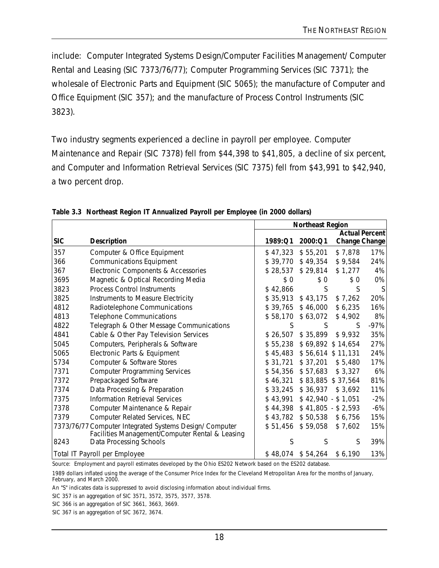include: Computer Integrated Systems Design/Computer Facilities Management/ Computer Rental and Leasing (SIC 7373/76/77); Computer Programming Services (SIC 7371); the wholesale of Electronic Parts and Equipment (SIC 5065); the manufacture of Computer and Office Equipment (SIC 357); and the manufacture of Process Control Instruments (SIC 3823).

Two industry segments experienced a decline in payroll per employee. Computer Maintenance and Repair (SIC 7378) fell from \$44,398 to \$41,805, a decline of six percent, and Computer and Information Retrieval Services (SIC 7375) fell from \$43,991 to \$42,940, a two percent drop.

|            |                                                                                                            | <b>Northeast Region</b> |                   |                      |                       |
|------------|------------------------------------------------------------------------------------------------------------|-------------------------|-------------------|----------------------|-----------------------|
|            |                                                                                                            |                         |                   |                      | <b>Actual Percent</b> |
| <b>SIC</b> | <b>Description</b>                                                                                         | 1989:Q1                 | 2000:Q1           | <b>Change Change</b> |                       |
| 357        | Computer & Office Equipment                                                                                | \$47,323                | \$55,201          | \$7,878              | 17%                   |
| 366        | <b>Communications Equipment</b>                                                                            |                         | \$39,770 \$49,354 | \$9,584              | 24%                   |
| 367        | Electronic Components & Accessories                                                                        | \$28,537                | \$29,814          | \$1,277              | 4%                    |
| 3695       | Magnetic & Optical Recording Media                                                                         | \$0                     | \$0               | \$0                  | 0%                    |
| 3823       | <b>Process Control Instruments</b>                                                                         | \$42,866                | S                 | S                    | S                     |
| 3825       | Instruments to Measure Electricity                                                                         | \$35,913                | \$43,175          | \$7,262              | 20%                   |
| 4812       | Radiotelephone Communications                                                                              | \$39,765                | \$46,000          | \$6,235              | 16%                   |
| 4813       | <b>Telephone Communications</b>                                                                            | \$58,170                | \$63,072          | \$4,902              | 8%                    |
| 4822       | Telegraph & Other Message Communications                                                                   | S                       | S                 | S                    | $-97%$                |
| 4841       | Cable & Other Pay Television Services                                                                      | \$26,507                | \$35,899          | \$9,932              | 35%                   |
| 5045       | Computers, Peripherals & Software                                                                          | \$55,238                |                   | \$69,892 \$14,654    | 27%                   |
| 5065       | Electronic Parts & Equipment                                                                               | \$45,483                |                   | \$56,614 \$11,131    | 24%                   |
| 5734       | Computer & Software Stores                                                                                 | \$31,721                | \$37,201          | \$5,480              | 17%                   |
| 7371       | <b>Computer Programming Services</b>                                                                       | \$54,356                | \$57,683          | \$3,327              | 6%                    |
| 7372       | Prepackaged Software                                                                                       | \$46,321                |                   | \$83,885 \$37,564    | 81%                   |
| 7374       | Data Processing & Preparation                                                                              | \$33,245                | \$36,937          | \$3,692              | 11%                   |
| 7375       | <b>Information Retrieval Services</b>                                                                      | \$43,991                |                   | $$42,940 - $1,051$   | $-2%$                 |
| 7378       | Computer Maintenance & Repair                                                                              | \$44,398                |                   | $$41,805 - $2,593$   | $-6%$                 |
| 7379       | Computer Related Services, NEC                                                                             | \$43,782                | \$50,538          | \$6,756              | 15%                   |
|            | 7373/76/77 Computer Integrated Systems Design/ Computer<br>Facilities Management/Computer Rental & Leasing | \$51,456                | \$59,058          | \$7,602              | 15%                   |
| 8243       | Data Processing Schools                                                                                    | S                       | S                 | S                    | 39%                   |
|            | Total IT Payroll per Employee                                                                              | \$48,074                | \$54,264          | \$6,190              | 13%                   |

**Table 3.3 Northeast Region IT Annualized Payroll per Employee (in 2000 dollars)**

Source: Employment and payroll estimates developed by the Ohio ES202 Network based on the ES202 database.

1989 dollars inflated using the average of the Consumer Price Index for the Cleveland Metropolitan Area for the months of January, February, and March 2000.

An "S" indicates data is suppressed to avoid disclosing information about individual firms.

SIC 357 is an aggregation of SIC 3571, 3572, 3575, 3577, 3578.

SIC 366 is an aggregation of SIC 3661, 3663, 3669.

SIC 367 is an aggregation of SIC 3672, 3674.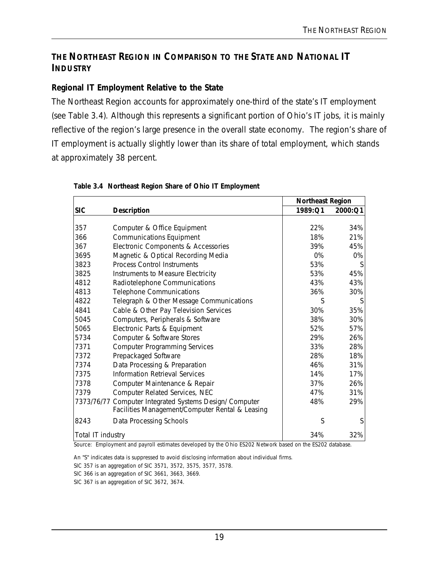### **THE NORTHEAST REGION IN COMPARISON TO THE STATE AND NATIONAL IT INDUSTRY**

#### **Regional IT Employment Relative to the State**

The Northeast Region accounts for approximately one-third of the state's IT employment (see Table 3.4). Although this represents a significant portion of Ohio's IT jobs, it is mainly reflective of the region's large presence in the overall state economy. The region's share of IT employment is actually slightly lower than its share of total employment, which stands at approximately 38 percent.

|                   |                                                                                                            |         | <b>Northeast Region</b> |
|-------------------|------------------------------------------------------------------------------------------------------------|---------|-------------------------|
| <b>SIC</b>        | <b>Description</b>                                                                                         | 1989:Q1 | 2000:Q1                 |
|                   |                                                                                                            |         |                         |
| 357               | Computer & Office Equipment                                                                                | 22%     | 34%                     |
| 366               | <b>Communications Equipment</b>                                                                            | 18%     | 21%                     |
| 367               | Electronic Components & Accessories                                                                        | 39%     | 45%                     |
| 3695              | Magnetic & Optical Recording Media                                                                         | 0%      | 0%                      |
| 3823              | <b>Process Control Instruments</b>                                                                         | 53%     | S                       |
| 3825              | Instruments to Measure Electricity                                                                         | 53%     | 45%                     |
| 4812              | Radiotelephone Communications                                                                              | 43%     | 43%                     |
| 4813              | <b>Telephone Communications</b>                                                                            | 36%     | 30%                     |
| 4822              | Telegraph & Other Message Communications                                                                   | S       | S                       |
| 4841              | Cable & Other Pay Television Services                                                                      | 30%     | 35%                     |
| 5045              | Computers, Peripherals & Software                                                                          | 38%     | 30%                     |
| 5065              | Electronic Parts & Equipment                                                                               | 52%     | 57%                     |
| 5734              | Computer & Software Stores                                                                                 | 29%     | 26%                     |
| 7371              | <b>Computer Programming Services</b>                                                                       | 33%     | 28%                     |
| 7372              | Prepackaged Software                                                                                       | 28%     | 18%                     |
| 7374              | Data Processing & Preparation                                                                              | 46%     | 31%                     |
| 7375              | <b>Information Retrieval Services</b>                                                                      | 14%     | 17%                     |
| 7378              | Computer Maintenance & Repair                                                                              | 37%     | 26%                     |
| 7379              | Computer Related Services, NEC                                                                             | 47%     | 31%                     |
|                   | 7373/76/77 Computer Integrated Systems Design/ Computer<br>Facilities Management/Computer Rental & Leasing | 48%     | 29%                     |
| 8243              | Data Processing Schools                                                                                    | S       | S                       |
| Total IT industry |                                                                                                            | 34%     | 32%                     |

#### **Table 3.4 Northeast Region Share of Ohio IT Employment**

Source: Employment and payroll estimates developed by the Ohio ES202 Network based on the ES202 database.

An "S" indicates data is suppressed to avoid disclosing information about individual firms.

SIC 357 is an aggregation of SIC 3571, 3572, 3575, 3577, 3578.

SIC 366 is an aggregation of SIC 3661, 3663, 3669.

SIC 367 is an aggregation of SIC 3672, 3674.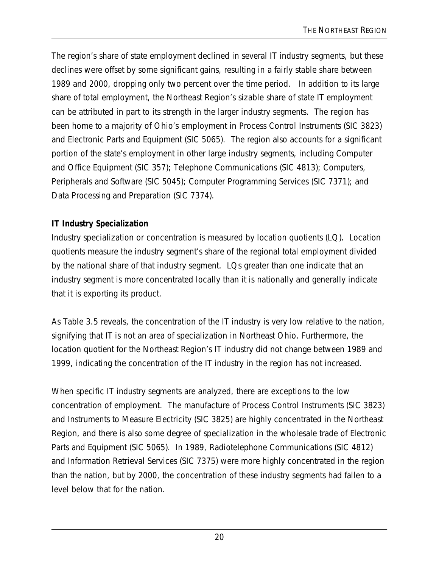The region's share of state employment declined in several IT industry segments, but these declines were offset by some significant gains, resulting in a fairly stable share between 1989 and 2000, dropping only two percent over the time period. In addition to its large share of total employment, the Northeast Region's sizable share of state IT employment can be attributed in part to its strength in the larger industry segments. The region has been home to a majority of Ohio's employment in Process Control Instruments (SIC 3823) and Electronic Parts and Equipment (SIC 5065). The region also accounts for a significant portion of the state's employment in other large industry segments, including Computer and Office Equipment (SIC 357); Telephone Communications (SIC 4813); Computers, Peripherals and Software (SIC 5045); Computer Programming Services (SIC 7371); and Data Processing and Preparation (SIC 7374).

#### **IT Industry Specialization**

Industry specialization or concentration is measured by location quotients (LQ). Location quotients measure the industry segment's share of the regional total employment divided by the national share of that industry segment. LQs greater than one indicate that an industry segment is more concentrated locally than it is nationally and generally indicate that it is exporting its product.

As Table 3.5 reveals, the concentration of the IT industry is very low relative to the nation, signifying that IT is not an area of specialization in Northeast Ohio. Furthermore, the location quotient for the Northeast Region's IT industry did not change between 1989 and 1999, indicating the concentration of the IT industry in the region has not increased.

When specific IT industry segments are analyzed, there are exceptions to the low concentration of employment. The manufacture of Process Control Instruments (SIC 3823) and Instruments to Measure Electricity (SIC 3825) are highly concentrated in the Northeast Region, and there is also some degree of specialization in the wholesale trade of Electronic Parts and Equipment (SIC 5065). In 1989, Radiotelephone Communications (SIC 4812) and Information Retrieval Services (SIC 7375) were more highly concentrated in the region than the nation, but by 2000, the concentration of these industry segments had fallen to a level below that for the nation.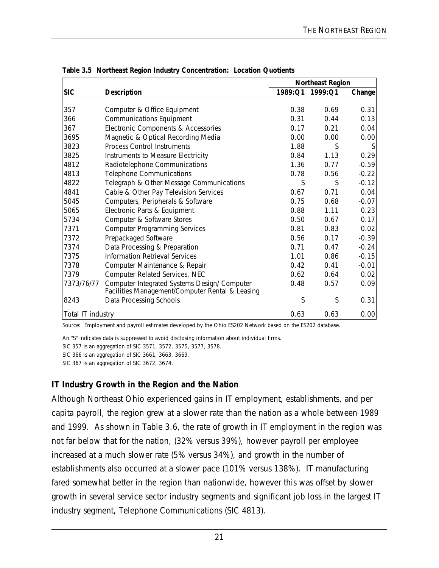|                   |                                                                                                 | <b>Northeast Region</b> |         |         |
|-------------------|-------------------------------------------------------------------------------------------------|-------------------------|---------|---------|
| <b>SIC</b>        | <b>Description</b>                                                                              | 1989:Q1                 | 1999:Q1 | Change  |
|                   |                                                                                                 |                         |         |         |
| 357               | Computer & Office Equipment                                                                     | 0.38                    | 0.69    | 0.31    |
| 366               | <b>Communications Equipment</b>                                                                 | 0.31                    | 0.44    | 0.13    |
| 367               | Electronic Components & Accessories                                                             | 0.17                    | 0.21    | 0.04    |
| 3695              | Magnetic & Optical Recording Media                                                              | 0.00                    | 0.00    | 0.00    |
| 3823              | <b>Process Control Instruments</b>                                                              | 1.88                    | S       |         |
| 3825              | Instruments to Measure Electricity                                                              | 0.84                    | 1.13    | 0.29    |
| 4812              | Radiotelephone Communications                                                                   | 1.36                    | 0.77    | $-0.59$ |
| 4813              | <b>Telephone Communications</b>                                                                 | 0.78                    | 0.56    | $-0.22$ |
| 4822              | Telegraph & Other Message Communications                                                        | S                       | S       | $-0.12$ |
| 4841              | Cable & Other Pay Television Services                                                           | 0.67                    | 0.71    | 0.04    |
| 5045              | Computers, Peripherals & Software                                                               | 0.75                    | 0.68    | $-0.07$ |
| 5065              | Electronic Parts & Equipment                                                                    | 0.88                    | 1.11    | 0.23    |
| 5734              | Computer & Software Stores                                                                      | 0.50                    | 0.67    | 0.17    |
| 7371              | <b>Computer Programming Services</b>                                                            | 0.81                    | 0.83    | 0.02    |
| 7372              | Prepackaged Software                                                                            | 0.56                    | 0.17    | $-0.39$ |
| 7374              | Data Processing & Preparation                                                                   | 0.71                    | 0.47    | $-0.24$ |
| 7375              | Information Retrieval Services                                                                  | 1.01                    | 0.86    | $-0.15$ |
| 7378              | Computer Maintenance & Repair                                                                   | 0.42                    | 0.41    | $-0.01$ |
| 7379              | Computer Related Services, NEC                                                                  | 0.62                    | 0.64    | 0.02    |
| 7373/76/77        | Computer Integrated Systems Design/ Computer<br>Facilities Management/Computer Rental & Leasing | 0.48                    | 0.57    | 0.09    |
| 8243              | Data Processing Schools                                                                         | S                       | S       | 0.31    |
| Total IT industry |                                                                                                 | 0.63                    | 0.63    | 0.00    |

**Table 3.5 Northeast Region Industry Concentration: Location Quotients**

Source: Employment and payroll estimates developed by the Ohio ES202 Network based on the ES202 database.

An "S" indicates data is suppressed to avoid disclosing information about individual firms.

SIC 357 is an aggregation of SIC 3571, 3572, 3575, 3577, 3578.

SIC 366 is an aggregation of SIC 3661, 3663, 3669.

SIC 367 is an aggregation of SIC 3672, 3674.

#### **IT Industry Growth in the Region and the Nation**

Although Northeast Ohio experienced gains in IT employment, establishments, and per capita payroll, the region grew at a slower rate than the nation as a whole between 1989 and 1999. As shown in Table 3.6, the rate of growth in IT employment in the region was not far below that for the nation, (32% versus 39%), however payroll per employee increased at a much slower rate (5% versus 34%), and growth in the number of establishments also occurred at a slower pace (101% versus 138%). IT manufacturing fared somewhat better in the region than nationwide, however this was offset by slower growth in several service sector industry segments and significant job loss in the largest IT industry segment, Telephone Communications (SIC 4813).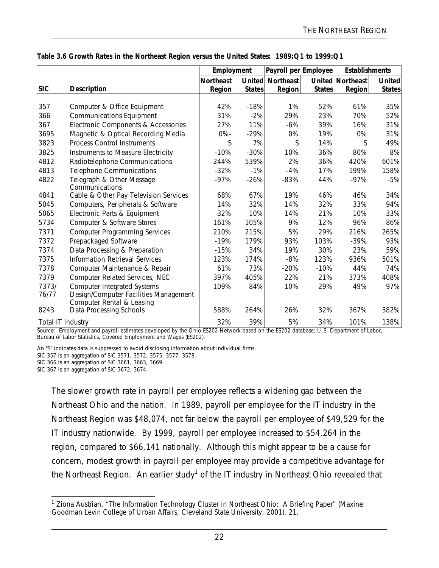| <b>United</b><br><b>States</b><br>35%<br>52%<br>31%<br>31%<br>49%<br>8%<br>601%<br>158% |
|-----------------------------------------------------------------------------------------|
|                                                                                         |
|                                                                                         |
|                                                                                         |
|                                                                                         |
|                                                                                         |
|                                                                                         |
|                                                                                         |
|                                                                                         |
|                                                                                         |
|                                                                                         |
|                                                                                         |
| $-5%$                                                                                   |
|                                                                                         |
| 34%                                                                                     |
| 94%                                                                                     |
| 33%                                                                                     |
| 86%                                                                                     |
| 265%                                                                                    |
| 93%                                                                                     |
| 59%                                                                                     |
| 501%                                                                                    |
| 74%                                                                                     |
| 408%                                                                                    |
| 97%                                                                                     |
|                                                                                         |
|                                                                                         |
| 382%                                                                                    |
| 138%                                                                                    |
|                                                                                         |

#### **Table 3.6 Growth Rates in the Northeast Region versus the United States: 1989:Q1 to 1999:Q1**

nent and payroll estimates developed by the Ohio ES202 Network based on the ES202 database; U.S. Department of Labor, Bureau of Labor Statistics, Covered Employment and Wages (ES202).

An "S" indicates data is suppressed to avoid disclosing information about individual firms.

SIC 357 is an aggregation of SIC 3571, 3572, 3575, 3577, 3578.

SIC 366 is an aggregation of SIC 3661, 3663, 3669.

SIC 367 is an aggregation of SIC 3672, 3674.

The slower growth rate in payroll per employee reflects a widening gap between the Northeast Ohio and the nation. In 1989, payroll per employee for the IT industry in the Northeast Region was \$48,074, not far below the payroll per employee of \$49,529 for the IT industry nationwide. By 1999, payroll per employee increased to \$54,264 in the region, compared to \$66,141 nationally. Although this might appear to be a cause for concern, modest growth in payroll per employee may provide a competitive advantage for the Northeast Region. An earlier study<sup>1</sup> of the IT industry in Northeast Ohio revealed that

<sup>&</sup>lt;u>nection</u><br><sup>1</sup> Ziona Austrian, "The Information Technology Cluster in Northeast Ohio: A Briefing Paper" (Maxine Goodman Levin College of Urban Affairs, Cleveland State University, 2001), 21.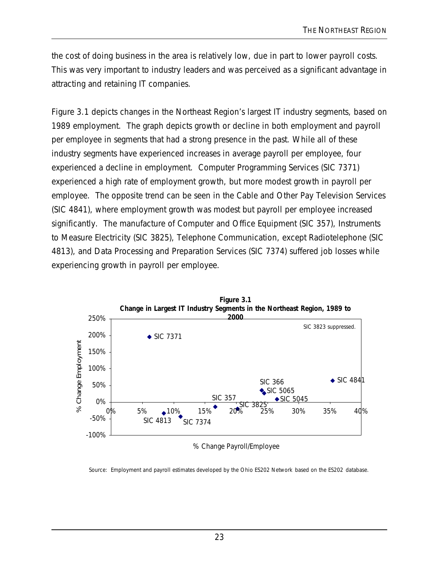the cost of doing business in the area is relatively low, due in part to lower payroll costs. This was very important to industry leaders and was perceived as a significant advantage in attracting and retaining IT companies.

Figure 3.1 depicts changes in the Northeast Region's largest IT industry segments, based on 1989 employment. The graph depicts growth or decline in both employment and payroll per employee in segments that had a strong presence in the past. While all of these industry segments have experienced increases in average payroll per employee, four experienced a decline in employment. Computer Programming Services (SIC 7371) experienced a high rate of employment growth, but more modest growth in payroll per employee. The opposite trend can be seen in the Cable and Other Pay Television Services (SIC 4841), where employment growth was modest but payroll per employee increased significantly. The manufacture of Computer and Office Equipment (SIC 357), Instruments to Measure Electricity (SIC 3825), Telephone Communication, except Radiotelephone (SIC 4813), and Data Processing and Preparation Services (SIC 7374) suffered job losses while experiencing growth in payroll per employee.



% Change Payroll/Employee

Source: Employment and payroll estimates developed by the Ohio ES202 Network based on the ES202 database.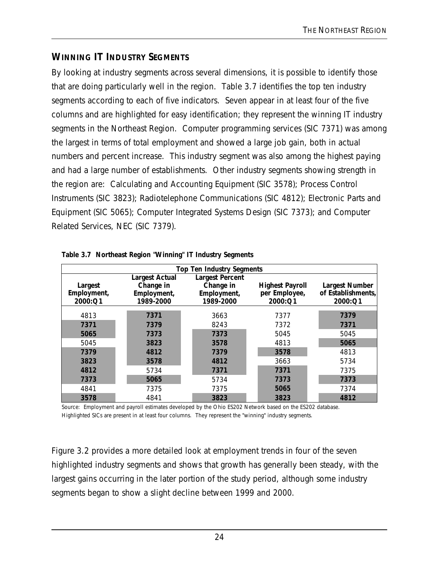### **WINNING IT INDUSTRY SEGMENTS**

By looking at industry segments across several dimensions, it is possible to identify those that are doing particularly well in the region. Table 3.7 identifies the top ten industry segments according to each of five indicators. Seven appear in at least four of the five columns and are highlighted for easy identification; they represent the winning IT industry segments in the Northeast Region. Computer programming services (SIC 7371) was among the largest in terms of total employment and showed a large job gain, both in actual numbers and percent increase. This industry segment was also among the highest paying and had a large number of establishments. Other industry segments showing strength in the region are: Calculating and Accounting Equipment (SIC 3578); Process Control Instruments (SIC 3823); Radiotelephone Communications (SIC 4812); Electronic Parts and Equipment (SIC 5065); Computer Integrated Systems Design (SIC 7373); and Computer Related Services, NEC (SIC 7379).

|                                   | <b>Top Ten Industry Segments</b>                               |                                                                 |                                                    |                                                        |  |  |  |  |
|-----------------------------------|----------------------------------------------------------------|-----------------------------------------------------------------|----------------------------------------------------|--------------------------------------------------------|--|--|--|--|
| Largest<br>Employment,<br>2000:Q1 | <b>Largest Actual</b><br>Change in<br>Employment,<br>1989-2000 | <b>Largest Percent</b><br>Change in<br>Employment,<br>1989-2000 | <b>Highest Payroll</b><br>per Employee,<br>2000:Q1 | <b>Largest Number</b><br>of Establishments,<br>2000:Q1 |  |  |  |  |
| 4813                              | 7371                                                           | 3663                                                            | 7377                                               | 7379                                                   |  |  |  |  |
| 7371                              | 7379                                                           | 8243                                                            | 7372                                               | 7371                                                   |  |  |  |  |
| 5065                              | 7373                                                           | 7373                                                            | 5045                                               | 5045                                                   |  |  |  |  |
| 5045                              | 3823                                                           | 3578                                                            | 4813                                               | 5065                                                   |  |  |  |  |
| 7379                              | 4812                                                           | 7379                                                            | 3578                                               | 4813                                                   |  |  |  |  |
| 3823                              | 3578                                                           | 4812                                                            | 3663                                               | 5734                                                   |  |  |  |  |
| 4812                              | 5734                                                           | 7371                                                            | 7371                                               | 7375                                                   |  |  |  |  |
| 7373                              | 5065                                                           | 5734                                                            | 7373                                               | 7373                                                   |  |  |  |  |
| 4841                              | 7375                                                           | 7375                                                            | 5065                                               | 7374                                                   |  |  |  |  |
| 3578                              | 4841                                                           | 3823                                                            | 3823                                               | 4812                                                   |  |  |  |  |

| Table 3.7 Northeast Region "Winning" IT Industry Segments |  |  |  |
|-----------------------------------------------------------|--|--|--|
|                                                           |  |  |  |

Source: Employment and payroll estimates developed by the Ohio ES202 Network based on the ES202 database. Highlighted SICs are present in at least four columns. They represent the "winning" industry segments.

Figure 3.2 provides a more detailed look at employment trends in four of the seven highlighted industry segments and shows that growth has generally been steady, with the largest gains occurring in the later portion of the study period, although some industry segments began to show a slight decline between 1999 and 2000.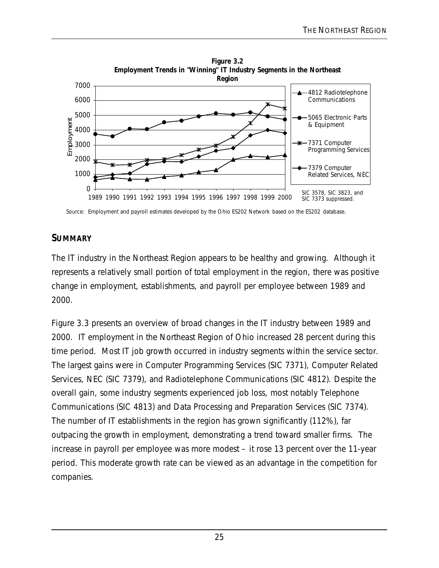

Source: Employment and payroll estimates developed by the Ohio ES202 Network based on the ES202 database.

#### **SUMMARY**

The IT industry in the Northeast Region appears to be healthy and growing. Although it represents a relatively small portion of total employment in the region, there was positive change in employment, establishments, and payroll per employee between 1989 and 2000.

Figure 3.3 presents an overview of broad changes in the IT industry between 1989 and 2000. IT employment in the Northeast Region of Ohio increased 28 percent during this time period. Most IT job growth occurred in industry segments within the service sector. The largest gains were in Computer Programming Services (SIC 7371), Computer Related Services, NEC (SIC 7379), and Radiotelephone Communications (SIC 4812). Despite the overall gain, some industry segments experienced job loss, most notably Telephone Communications (SIC 4813) and Data Processing and Preparation Services (SIC 7374). The number of IT establishments in the region has grown significantly (112%), far outpacing the growth in employment, demonstrating a trend toward smaller firms. The increase in payroll per employee was more modest – it rose 13 percent over the 11-year period. This moderate growth rate can be viewed as an advantage in the competition for companies.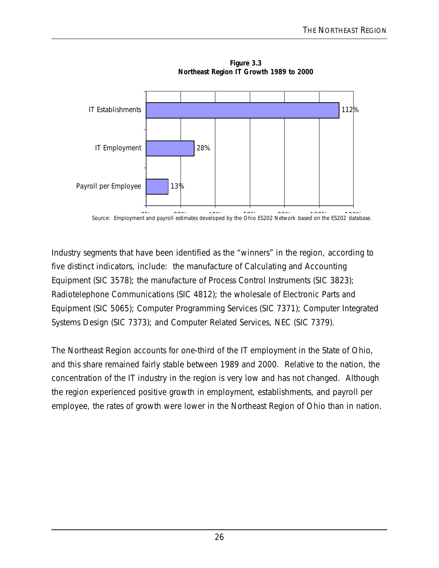

**Figure 3.3 Northeast Region IT Growth 1989 to 2000**

Source: Employment and payroll estimates developed by the Ohio ES202 Network based on the ES202 database.

Industry segments that have been identified as the "winners" in the region, according to five distinct indicators, include: the manufacture of Calculating and Accounting Equipment (SIC 3578); the manufacture of Process Control Instruments (SIC 3823); Radiotelephone Communications (SIC 4812); the wholesale of Electronic Parts and Equipment (SIC 5065); Computer Programming Services (SIC 7371); Computer Integrated Systems Design (SIC 7373); and Computer Related Services, NEC (SIC 7379).

The Northeast Region accounts for one-third of the IT employment in the State of Ohio, and this share remained fairly stable between 1989 and 2000. Relative to the nation, the concentration of the IT industry in the region is very low and has not changed. Although the region experienced positive growth in employment, establishments, and payroll per employee, the rates of growth were lower in the Northeast Region of Ohio than in nation.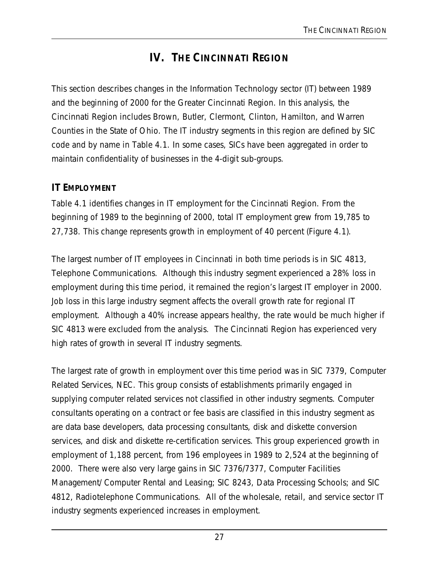## **IV. THE CINCINNATI REGION**

This section describes changes in the Information Technology sector (IT) between 1989 and the beginning of 2000 for the Greater Cincinnati Region. In this analysis, the Cincinnati Region includes Brown, Butler, Clermont, Clinton, Hamilton, and Warren Counties in the State of Ohio. The IT industry segments in this region are defined by SIC code and by name in Table 4.1. In some cases, SICs have been aggregated in order to maintain confidentiality of businesses in the 4-digit sub-groups.

#### **IT EMPLOYMENT**

Table 4.1 identifies changes in IT employment for the Cincinnati Region. From the beginning of 1989 to the beginning of 2000, total IT employment grew from 19,785 to 27,738. This change represents growth in employment of 40 percent (Figure 4.1).

The largest number of IT employees in Cincinnati in both time periods is in SIC 4813, Telephone Communications. Although this industry segment experienced a 28% loss in employment during this time period, it remained the region's largest IT employer in 2000. Job loss in this large industry segment affects the overall growth rate for regional IT employment. Although a 40% increase appears healthy, the rate would be much higher if SIC 4813 were excluded from the analysis. The Cincinnati Region has experienced very high rates of growth in several IT industry segments.

The largest rate of growth in employment over this time period was in SIC 7379, Computer Related Services, NEC. This group consists of establishments primarily engaged in supplying computer related services not classified in other industry segments. Computer consultants operating on a contract or fee basis are classified in this industry segment as are data base developers, data processing consultants, disk and diskette conversion services, and disk and diskette re-certification services. This group experienced growth in employment of 1,188 percent, from 196 employees in 1989 to 2,524 at the beginning of 2000. There were also very large gains in SIC 7376/7377, Computer Facilities Management/ Computer Rental and Leasing; SIC 8243, Data Processing Schools; and SIC 4812, Radiotelephone Communications. All of the wholesale, retail, and service sector IT industry segments experienced increases in employment.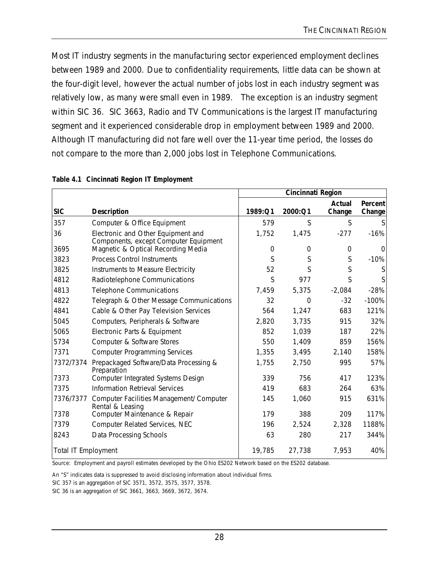Most IT industry segments in the manufacturing sector experienced employment declines between 1989 and 2000. Due to confidentiality requirements, little data can be shown at the four-digit level, however the actual number of jobs lost in each industry segment was relatively low, as many were small even in 1989. The exception is an industry segment within SIC 36. SIC 3663, Radio and TV Communications is the largest IT manufacturing segment and it experienced considerable drop in employment between 1989 and 2000. Although IT manufacturing did not fare well over the 11-year time period, the losses do not compare to the more than 2,000 jobs lost in Telephone Communications.

|                            |                                                                             | Cincinnati Region |          |                  |                   |
|----------------------------|-----------------------------------------------------------------------------|-------------------|----------|------------------|-------------------|
| <b>SIC</b>                 | <b>Description</b>                                                          | 1989:Q1           | 2000:Q1  | Actual<br>Change | Percent<br>Change |
| 357                        | Computer & Office Equipment                                                 | 579               | S        | S                |                   |
| 36                         | Electronic and Other Equipment and<br>Components, except Computer Equipment | 1,752             | 1,475    | $-277$           | $-16%$            |
| 3695                       | Magnetic & Optical Recording Media                                          | 0                 | $\Omega$ | $\Omega$         | 0                 |
| 3823                       | <b>Process Control Instruments</b>                                          | S                 | S        | S                | $-10%$            |
| 3825                       | Instruments to Measure Electricity                                          | 52                | S        | Ś                | S                 |
| 4812                       | Radiotelephone Communications                                               | S                 | 977      | S                |                   |
| 4813                       | <b>Telephone Communications</b>                                             | 7,459             | 5,375    | $-2,084$         | $-28%$            |
| 4822                       | Telegraph & Other Message Communications                                    | 32                | $\Omega$ | $-32$            | $-100%$           |
| 4841                       | Cable & Other Pay Television Services                                       | 564               | 1,247    | 683              | 121%              |
| 5045                       | Computers, Peripherals & Software                                           | 2,820             | 3,735    | 915              | 32%               |
| 5065                       | Electronic Parts & Equipment                                                | 852               | 1,039    | 187              | 22%               |
| 5734                       | Computer & Software Stores                                                  | 550               | 1,409    | 859              | 156%              |
| 7371                       | <b>Computer Programming Services</b>                                        | 1,355             | 3,495    | 2,140            | 158%              |
| 7372/7374                  | Prepackaged Software/Data Processing &<br>Preparation                       | 1,755             | 2,750    | 995              | 57%               |
| 7373                       | Computer Integrated Systems Design                                          | 339               | 756      | 417              | 123%              |
| 7375                       | <b>Information Retrieval Services</b>                                       | 419               | 683      | 264              | 63%               |
| 7376/7377                  | Computer Facilities Management/ Computer<br>Rental & Leasing                | 145               | 1,060    | 915              | 631%              |
| 7378                       | Computer Maintenance & Repair                                               | 179               | 388      | 209              | 117%              |
| 7379                       | Computer Related Services, NEC                                              | 196               | 2,524    | 2,328            | 1188%             |
| 8243                       | Data Processing Schools                                                     | 63                | 280      | 217              | 344%              |
| <b>Total IT Employment</b> |                                                                             | 19,785            | 27,738   | 7,953            | 40%               |

#### **Table 4.1 Cincinnati Region IT Employment**

Source: Employment and payroll estimates developed by the Ohio ES202 Network based on the ES202 database.

An "S" indicates data is suppressed to avoid disclosing information about individual firms.

SIC 357 is an aggregation of SIC 3571, 3572, 3575, 3577, 3578.

SIC 36 is an aggregation of SIC 3661, 3663, 3669, 3672, 3674.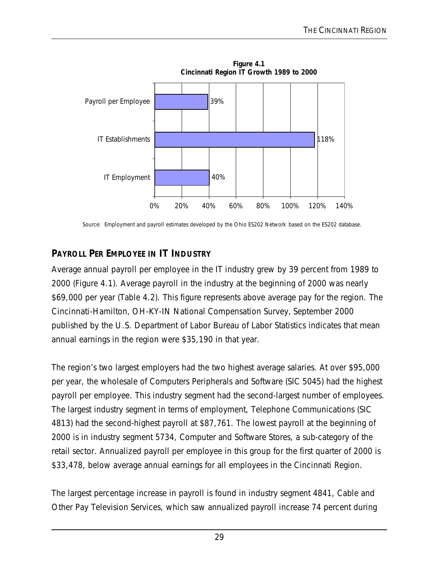

Source: Employment and payroll estimates developed by the Ohio ES202 Network based on the ES202 database.

### **PAYROLL PER EMPLOYEE IN IT INDUSTRY**

Average annual payroll per employee in the IT industry grew by 39 percent from 1989 to 2000 (Figure 4.1). Average payroll in the industry at the beginning of 2000 was nearly \$69,000 per year (Table 4.2). This figure represents above average pay for the region. The *Cincinnati-Hamilton, OH-KY-IN National Compensation Survey, September 2000* published by the U.S. Department of Labor Bureau of Labor Statistics indicates that mean annual earnings in the region were \$35,190 in that year.

The region's two largest employers had the two highest average salaries. At over \$95,000 per year, the wholesale of Computers Peripherals and Software (SIC 5045) had the highest payroll per employee. This industry segment had the second-largest number of employees. The largest industry segment in terms of employment, Telephone Communications (SIC 4813) had the second-highest payroll at \$87,761. The lowest payroll at the beginning of 2000 is in industry segment 5734, Computer and Software Stores, a sub-category of the retail sector. Annualized payroll per employee in this group for the first quarter of 2000 is \$33,478, below average annual earnings for all employees in the Cincinnati Region.

The largest percentage increase in payroll is found in industry segment 4841, Cable and Other Pay Television Services, which saw annualized payroll increase 74 percent during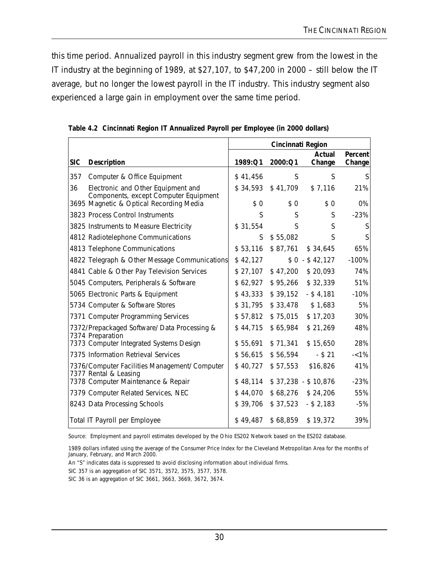this time period. Annualized payroll in this industry segment grew from the lowest in the IT industry at the beginning of 1989, at \$27,107, to \$47,200 in 2000 – still below the IT average, but no longer the lowest payroll in the IT industry. This industry segment also experienced a large gain in employment over the same time period.

|            |                                                                             | Cincinnati Region |          |                     |                   |  |
|------------|-----------------------------------------------------------------------------|-------------------|----------|---------------------|-------------------|--|
| <b>SIC</b> | <b>Description</b>                                                          | 1989:Q1           | 2000:Q1  | Actual<br>Change    | Percent<br>Change |  |
| 357        | Computer & Office Equipment                                                 | \$41,456          | S        | S                   |                   |  |
| 36         | Electronic and Other Equipment and<br>Components, except Computer Equipment | \$34,593          | \$41,709 | \$7,116             | 21%               |  |
|            | 3695 Magnetic & Optical Recording Media                                     | \$0               | \$0      | \$0                 | 0%                |  |
|            | 3823 Process Control Instruments                                            | S                 | S        | S                   | $-23%$            |  |
|            | 3825 Instruments to Measure Electricity                                     | \$31,554          | S        | S                   | S                 |  |
|            | 4812 Radiotelephone Communications                                          | S.                | \$55,082 | S                   |                   |  |
|            | 4813 Telephone Communications                                               | \$53,116          | \$87,761 | \$34,645            | 65%               |  |
|            | 4822 Telegraph & Other Message Communications                               | \$42,127          |          | $$0 - $42,127$      | $-100%$           |  |
|            | 4841 Cable & Other Pay Television Services                                  | \$27,107          | \$47,200 | \$20,093            | 74%               |  |
|            | 5045 Computers, Peripherals & Software                                      | \$62,927          | \$95,266 | \$32,339            | 51%               |  |
|            | 5065 Electronic Parts & Equipment                                           | \$43,333          | \$39,152 | $-$ \$4,181         | $-10%$            |  |
|            | 5734 Computer & Software Stores                                             | \$31,795          | \$33,478 | \$1,683             | 5%                |  |
|            | 7371 Computer Programming Services                                          | \$57,812          | \$75,015 | \$17,203            | 30%               |  |
|            | 7372/Prepackaged Software/ Data Processing &<br>7374 Preparation            | \$44,715          | \$65,984 | \$21,269            | 48%               |  |
|            | 7373 Computer Integrated Systems Design                                     | \$55,691          | \$71,341 | \$15,650            | 28%               |  |
|            | 7375 Information Retrieval Services                                         | \$56,615          | \$56,594 | $-$ \$ 21           | $-<1\%$           |  |
|            | 7376/Computer Facilities Management/ Computer<br>7377 Rental & Leasing      | \$40,727          | \$57,553 | \$16,826            | 41%               |  |
|            | 7378 Computer Maintenance & Repair                                          | \$48,114          |          | $$37,238 - $10,876$ | $-23%$            |  |
|            | 7379 Computer Related Services, NEC                                         | \$44,070          | \$68,276 | \$24,206            | 55%               |  |
|            | 8243 Data Processing Schools                                                | \$39,706          | \$37,523 | $-$ \$ 2,183        | $-5%$             |  |
|            | Total IT Payroll per Employee                                               | \$49,487          | \$68,859 | \$19,372            | 39%               |  |

**Table 4.2 Cincinnati Region IT Annualized Payroll per Employee (in 2000 dollars)**

Source: Employment and payroll estimates developed by the Ohio ES202 Network based on the ES202 database.

1989 dollars inflated using the average of the Consumer Price Index for the Cleveland Metropolitan Area for the months of January, February, and March 2000.

An "S" indicates data is suppressed to avoid disclosing information about individual firms.

SIC 357 is an aggregation of SIC 3571, 3572, 3575, 3577, 3578.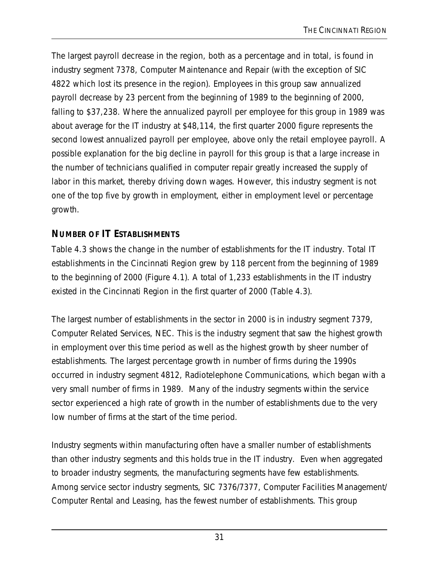The largest payroll decrease in the region, both as a percentage and in total, is found in industry segment 7378, Computer Maintenance and Repair (with the exception of SIC 4822 which lost its presence in the region). Employees in this group saw annualized payroll decrease by 23 percent from the beginning of 1989 to the beginning of 2000, falling to \$37,238. Where the annualized payroll per employee for this group in 1989 was about average for the IT industry at \$48,114, the first quarter 2000 figure represents the second lowest annualized payroll per employee, above only the retail employee payroll. A possible explanation for the big decline in payroll for this group is that a large increase in the number of technicians qualified in computer repair greatly increased the supply of labor in this market, thereby driving down wages. However, this industry segment is not one of the top five by growth in employment, either in employment level or percentage growth.

# **NUMBER OF IT ESTABLISHMENTS**

Table 4.3 shows the change in the number of establishments for the IT industry. Total IT establishments in the Cincinnati Region grew by 118 percent from the beginning of 1989 to the beginning of 2000 (Figure 4.1). A total of 1,233 establishments in the IT industry existed in the Cincinnati Region in the first quarter of 2000 (Table 4.3).

The largest number of establishments in the sector in 2000 is in industry segment 7379, Computer Related Services, NEC. This is the industry segment that saw the highest growth in employment over this time period as well as the highest growth by sheer number of establishments. The largest percentage growth in number of firms during the 1990s occurred in industry segment 4812, Radiotelephone Communications, which began with a very small number of firms in 1989. Many of the industry segments within the service sector experienced a high rate of growth in the number of establishments due to the very low number of firms at the start of the time period.

Industry segments within manufacturing often have a smaller number of establishments than other industry segments and this holds true in the IT industry. Even when aggregated to broader industry segments, the manufacturing segments have few establishments. Among service sector industry segments, SIC 7376/7377, Computer Facilities Management/ Computer Rental and Leasing, has the fewest number of establishments. This group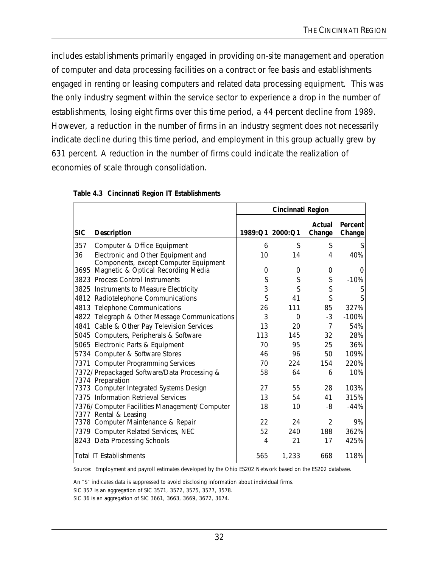includes establishments primarily engaged in providing on-site management and operation of computer and data processing facilities on a contract or fee basis and establishments engaged in renting or leasing computers and related data processing equipment. This was the only industry segment within the service sector to experience a drop in the number of establishments, losing eight firms over this time period, a 44 percent decline from 1989. However, a reduction in the number of firms in an industry segment does not necessarily indicate decline during this time period, and employment in this group actually grew by 631 percent. A reduction in the number of firms could indicate the realization of economies of scale through consolidation.

|            |                                                                  | <b>Cincinnati Region</b> |                 |                  |                   |  |
|------------|------------------------------------------------------------------|--------------------------|-----------------|------------------|-------------------|--|
| <b>SIC</b> | <b>Description</b>                                               |                          | 1989:Q1 2000:Q1 | Actual<br>Change | Percent<br>Change |  |
| 357        | Computer & Office Equipment                                      | 6                        | S               | S                | S                 |  |
| 36         | Electronic and Other Equipment and                               | 10                       | 14              | 4                | 40%               |  |
|            | Components, except Computer Equipment                            |                          |                 |                  |                   |  |
| 3695       | Magnetic & Optical Recording Media                               | 0                        | 0               | 0                | 0                 |  |
|            | 3823 Process Control Instruments                                 | S                        | S               | S                | $-10%$            |  |
|            | 3825 Instruments to Measure Electricity                          | 3                        | S               | S                | S                 |  |
|            | 4812 Radiotelephone Communications                               | S                        | 41              | S                | S                 |  |
|            | 4813 Telephone Communications                                    | 26                       | 111             | 85               | 327%              |  |
|            | 4822 Telegraph & Other Message Communications                    | 3                        | $\Omega$        | $-3$             | $-100%$           |  |
|            | 4841 Cable & Other Pay Television Services                       | 13                       | 20              | $\overline{7}$   | 54%               |  |
|            | 5045 Computers, Peripherals & Software                           | 113                      | 145             | 32               | 28%               |  |
|            | 5065 Electronic Parts & Equipment                                | 70                       | 95              | 25               | 36%               |  |
|            | 5734 Computer & Software Stores                                  | 46                       | 96              | 50               | 109%              |  |
|            | 7371 Computer Programming Services                               | 70                       | 224             | 154              | 220%              |  |
|            | 7372/ Prepackaged Software/Data Processing &<br>7374 Preparation | 58                       | 64              | 6                | 10%               |  |
|            | 7373 Computer Integrated Systems Design                          | 27                       | 55              | 28               | 103%              |  |
|            | 7375 Information Retrieval Services                              | 13                       | 54              | 41               | 315%              |  |
|            | 7376/ Computer Facilities Management/ Computer                   | 18                       | 10              | -8               | $-44%$            |  |
|            | 7377 Rental & Leasing                                            |                          |                 |                  |                   |  |
|            | 7378 Computer Maintenance & Repair                               | 22                       | 24              | $\mathfrak{D}$   | 9%                |  |
|            | 7379 Computer Related Services, NEC                              | 52                       | 240             | 188              | 362%              |  |
|            | 8243 Data Processing Schools                                     | 4                        | 21              | 17               | 425%              |  |
|            | <b>Total IT Establishments</b>                                   | 565                      | 1,233           | 668              | 118%              |  |

#### **Table 4.3 Cincinnati Region IT Establishments**

Source: Employment and payroll estimates developed by the Ohio ES202 Network based on the ES202 database.

An "S" indicates data is suppressed to avoid disclosing information about individual firms.

SIC 357 is an aggregation of SIC 3571, 3572, 3575, 3577, 3578.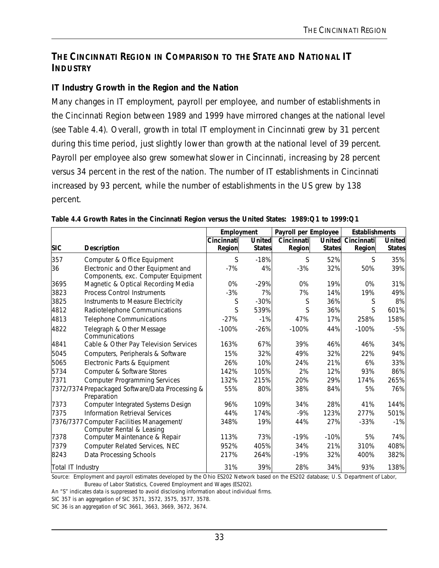### **THE CINCINNATI REGION IN COMPARISON TO THE STATE AND NATIONAL IT INDUSTRY**

### **IT Industry Growth in the Region and the Nation**

Many changes in IT employment, payroll per employee, and number of establishments in the Cincinnati Region between 1989 and 1999 have mirrored changes at the national level (see Table 4.4). Overall, growth in total IT employment in Cincinnati grew by 31 percent during this time period, just slightly lower than growth at the national level of 39 percent. Payroll per employee also grew somewhat slower in Cincinnati, increasing by 28 percent versus 34 percent in the rest of the nation. The number of IT establishments in Cincinnati increased by 93 percent, while the number of establishments in the US grew by 138 percent.

|                   |                                                                           |                      | Payroll per Employee<br>Employment |                      |                                |                      | <b>Establishments</b>          |  |
|-------------------|---------------------------------------------------------------------------|----------------------|------------------------------------|----------------------|--------------------------------|----------------------|--------------------------------|--|
| <b>SIC</b>        | <b>Description</b>                                                        | Cincinnati<br>Region | United<br><b>States</b>            | Cincinnati<br>Region | <b>United</b><br><b>States</b> | Cincinnati<br>Region | <b>United</b><br><b>States</b> |  |
| 357               | Computer & Office Equipment                                               | S                    | $-18%$                             | S                    | 52%                            | S                    | 35%                            |  |
| 36                | Electronic and Other Equipment and<br>Components, exc. Computer Equipment | $-7%$                | 4%                                 | $-3%$                | 32%                            | 50%                  | 39%                            |  |
| 3695              | Magnetic & Optical Recording Media                                        | 0%                   | $-29%$                             | 0%                   | 19%                            | 0%                   | 31%                            |  |
| 3823              | <b>Process Control Instruments</b>                                        | $-3%$                | 7%                                 | 7%                   | 14%                            | 19%                  | 49%                            |  |
| 3825              | Instruments to Measure Electricity                                        | S                    | $-30%$                             | S                    | 36%                            | S                    | 8%                             |  |
| 4812              | Radiotelephone Communications                                             | S                    | 539%                               | S                    | 36%                            | S                    | 601%                           |  |
| 4813              | <b>Telephone Communications</b>                                           | $-27%$               | $-1%$                              | 47%                  | 17%                            | 258%                 | 158%                           |  |
| 4822              | Telegraph & Other Message<br>Communications                               | $-100%$              | $-26%$                             | $-100%$              | 44%                            | $-100%$              | $-5%$                          |  |
| 4841              | Cable & Other Pay Television Services                                     | 163%                 | 67%                                | 39%                  | 46%                            | 46%                  | 34%                            |  |
| 5045              | Computers, Peripherals & Software                                         | 15%                  | 32%                                | 49%                  | 32%                            | 22%                  | 94%                            |  |
| 5065              | Electronic Parts & Equipment                                              | 26%                  | 10%                                | 24%                  | 21%                            | 6%                   | 33%                            |  |
| 5734              | Computer & Software Stores                                                | 142%                 | 105%                               | 2%                   | 12%                            | 93%                  | 86%                            |  |
| 7371              | <b>Computer Programming Services</b>                                      | 132%                 | 215%                               | 20%                  | 29%                            | 174%                 | 265%                           |  |
|                   | 7372/7374 Prepackaged Software/Data Processing &<br>Preparation           | 55%                  | 80%                                | 38%                  | 84%                            | 5%                   | 76%                            |  |
| 7373              | Computer Integrated Systems Design                                        | 96%                  | 109%                               | 34%                  | 28%                            | 41%                  | 144%                           |  |
| 7375              | Information Retrieval Services                                            | 44%                  | 174%                               | $-9%$                | 123%                           | 277%                 | 501%                           |  |
|                   | 7376/7377 Computer Facilities Management/<br>Computer Rental & Leasing    | 348%                 | 19%                                | 44%                  | 27%                            | $-33%$               | $-1%$                          |  |
| 7378              | Computer Maintenance & Repair                                             | 113%                 | 73%                                | $-19%$               | $-10%$                         | 5%                   | 74%                            |  |
| 7379              | Computer Related Services, NEC                                            | 952%                 | 405%                               | 34%                  | 21%                            | 310%                 | 408%                           |  |
| 8243              | Data Processing Schools                                                   | 217%                 | 264%                               | $-19%$               | 32%                            | 400%                 | 382%                           |  |
| Total IT Industry |                                                                           | 31%                  | 39%                                | 28%                  | 34%                            | 93%                  | 138%                           |  |

|  | Table 4.4 Growth Rates in the Cincinnati Region versus the United States: 1989:Q1 to 1999:Q1 |  |
|--|----------------------------------------------------------------------------------------------|--|

Source: Employment and payroll estimates developed by the Ohio ES202 Network based on the ES202 database; U.S. Department of Labor, Bureau of Labor Statistics, Covered Employment and Wages (ES202).

An "S" indicates data is suppressed to avoid disclosing information about individual firms.

SIC 357 is an aggregation of SIC 3571, 3572, 3575, 3577, 3578.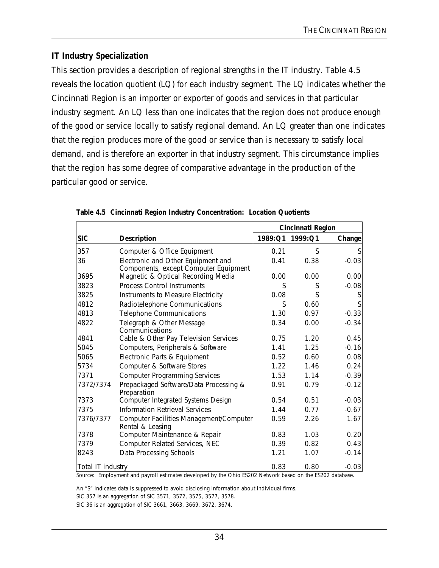## **IT Industry Specialization**

This section provides a description of regional strengths in the IT industry. Table 4.5 reveals the location quotient (LQ) for each industry segment. The LQ indicates whether the Cincinnati Region is an importer or exporter of goods and services in that particular industry segment. An LQ less than one indicates that the region does not produce enough of the good or service locally to satisfy regional demand. An LQ greater than one indicates that the region produces more of the good or service than is necessary to satisfy local demand, and is therefore an exporter in that industry segment. This circumstance implies that the region has some degree of comparative advantage in the production of the particular good or service.

|                   |                                                             | Cincinnati Region |                                |                              |  |
|-------------------|-------------------------------------------------------------|-------------------|--------------------------------|------------------------------|--|
| <b>SIC</b>        | <b>Description</b>                                          | 1989:Q1 1999:Q1   |                                | Change                       |  |
| 357               | Computer & Office Equipment                                 | 0.21              | S                              | S                            |  |
| 36                | Electronic and Other Equipment and                          | 0.41              | 0.38                           | $-0.03$                      |  |
|                   | Components, except Computer Equipment                       |                   |                                |                              |  |
| 3695              | Magnetic & Optical Recording Media                          | 0.00              | 0.00                           | 0.00                         |  |
| 3823              | <b>Process Control Instruments</b>                          | S                 | S                              | $-0.08$                      |  |
| 3825              | Instruments to Measure Electricity                          | 0.08              | S                              |                              |  |
| 4812              | Radiotelephone Communications                               | S                 | 0.60                           |                              |  |
| 4813              | <b>Telephone Communications</b>                             | 1.30              | 0.97                           | $-0.33$                      |  |
| 4822              | Telegraph & Other Message                                   | 0.34              | 0.00                           | $-0.34$                      |  |
|                   | Communications                                              |                   |                                |                              |  |
| 4841              | Cable & Other Pay Television Services                       | 0.75              | 1.20                           | 0.45                         |  |
| 5045              | Computers, Peripherals & Software                           | 1.41              | 1.25                           | $-0.16$                      |  |
| 5065              | Electronic Parts & Equipment                                | 0.52              | 0.60                           | 0.08                         |  |
| 5734              | Computer & Software Stores                                  | 1.22              | 1.46                           | 0.24                         |  |
| 7371              | <b>Computer Programming Services</b>                        | 1.53              | 1.14                           | $-0.39$                      |  |
| 7372/7374         | Prepackaged Software/Data Processing &<br>Preparation       | 0.91              | 0.79                           | $-0.12$                      |  |
| 7373              | Computer Integrated Systems Design                          | 0.54              | 0.51                           | $-0.03$                      |  |
| 7375              | <b>Information Retrieval Services</b>                       | 1.44              | 0.77                           | $-0.67$                      |  |
| 7376/7377         | Computer Facilities Management/Computer                     | 0.59              | 2.26                           | 1.67                         |  |
|                   | Rental & Leasing                                            |                   |                                |                              |  |
| 7378              | Computer Maintenance & Repair                               | 0.83              | 1.03                           | 0.20                         |  |
| 7379              | Computer Related Services, NEC                              | 0.39              | 0.82                           | 0.43                         |  |
| 8243              | Data Processing Schools                                     | 1.21              | 1.07                           | $-0.14$                      |  |
| Total IT industry | t and normall cetterates developed by the Obje EC202 Nature | 0.83              | 0.80<br>المرمان المتمتم ماليات | $-0.03$<br>the FCOOO detable |  |

|  |  | Table 4.5 Cincinnati Region Industry Concentration: Location Quotients |  |
|--|--|------------------------------------------------------------------------|--|
|  |  |                                                                        |  |

Source: Employment and payroll estimates developed by the Ohio ES202 Network based on the ES202 database.

An "S" indicates data is suppressed to avoid disclosing information about individual firms.

SIC 357 is an aggregation of SIC 3571, 3572, 3575, 3577, 3578.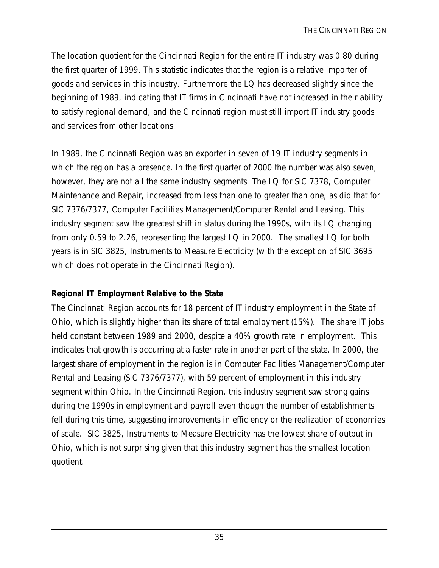The location quotient for the Cincinnati Region for the entire IT industry was 0.80 during the first quarter of 1999. This statistic indicates that the region is a relative importer of goods and services in this industry. Furthermore the LQ has decreased slightly since the beginning of 1989, indicating that IT firms in Cincinnati have not increased in their ability to satisfy regional demand, and the Cincinnati region must still import IT industry goods and services from other locations.

In 1989, the Cincinnati Region was an exporter in seven of 19 IT industry segments in which the region has a presence. In the first quarter of 2000 the number was also seven, however, they are not all the same industry segments. The LQ for SIC 7378, Computer Maintenance and Repair, increased from less than one to greater than one, as did that for SIC 7376/7377, Computer Facilities Management/Computer Rental and Leasing. This industry segment saw the greatest shift in status during the 1990s, with its LQ changing from only 0.59 to 2.26, representing the largest LQ in 2000. The smallest LQ for both years is in SIC 3825, Instruments to Measure Electricity (with the exception of SIC 3695 which does not operate in the Cincinnati Region).

### **Regional IT Employment Relative to the State**

The Cincinnati Region accounts for 18 percent of IT industry employment in the State of Ohio, which is slightly higher than its share of total employment (15%). The share IT jobs held constant between 1989 and 2000, despite a 40% growth rate in employment. This indicates that growth is occurring at a faster rate in another part of the state. In 2000, the largest share of employment in the region is in Computer Facilities Management/Computer Rental and Leasing (SIC 7376/7377), with 59 percent of employment in this industry segment within Ohio. In the Cincinnati Region, this industry segment saw strong gains during the 1990s in employment and payroll even though the number of establishments fell during this time, suggesting improvements in efficiency or the realization of economies of scale. SIC 3825, Instruments to Measure Electricity has the lowest share of output in Ohio, which is not surprising given that this industry segment has the smallest location quotient.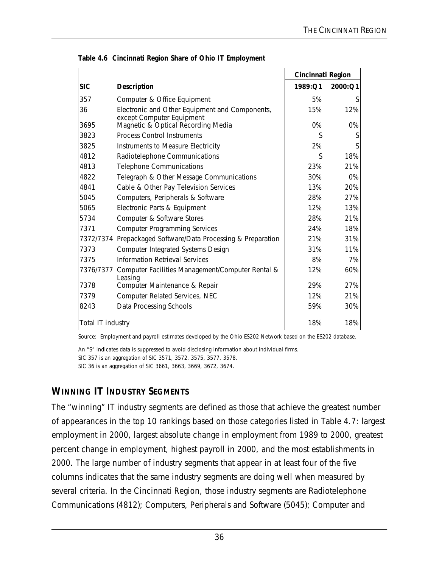|                   |                                                                             | Cincinnati Region |         |
|-------------------|-----------------------------------------------------------------------------|-------------------|---------|
| <b>SIC</b>        | <b>Description</b>                                                          | 1989:Q1           | 2000:Q1 |
| 357               | Computer & Office Equipment                                                 | 5%                | S       |
| 36                | Electronic and Other Equipment and Components,<br>except Computer Equipment | 15%               | 12%     |
| 3695              | Magnetic & Optical Recording Media                                          | $0\%$             | 0%      |
| 3823              | <b>Process Control Instruments</b>                                          | S                 | S       |
| 3825              | Instruments to Measure Electricity                                          | 2%                | S       |
| 4812              | Radiotelephone Communications                                               | S                 | 18%     |
| 4813              | <b>Telephone Communications</b>                                             | 23%               | 21%     |
| 4822              | Telegraph & Other Message Communications                                    | 30%               | 0%      |
| 4841              | Cable & Other Pay Television Services                                       | 13%               | 20%     |
| 5045              | Computers, Peripherals & Software                                           | 28%               | 27%     |
| 5065              | Electronic Parts & Equipment                                                | 12%               | 13%     |
| 5734              | Computer & Software Stores                                                  | 28%               | 21%     |
| 7371              | <b>Computer Programming Services</b>                                        | 24%               | 18%     |
| 7372/7374         | Prepackaged Software/Data Processing & Preparation                          | 21%               | 31%     |
| 7373              | <b>Computer Integrated Systems Design</b>                                   | 31%               | 11%     |
| 7375              | <b>Information Retrieval Services</b>                                       | 8%                | 7%      |
| 7376/7377         | Computer Facilities Management/Computer Rental &<br>Leasing                 | 12%               | 60%     |
| 7378              | Computer Maintenance & Repair                                               | 29%               | 27%     |
| 7379              | Computer Related Services, NEC                                              | 12%               | 21%     |
| 8243              | Data Processing Schools                                                     | 59%               | 30%     |
| Total IT industry |                                                                             | 18%               | 18%     |

**Table 4.6 Cincinnati Region Share of Ohio IT Employment**

Source: Employment and payroll estimates developed by the Ohio ES202 Network based on the ES202 database.

An "S" indicates data is suppressed to avoid disclosing information about individual firms. SIC 357 is an aggregation of SIC 3571, 3572, 3575, 3577, 3578. SIC 36 is an aggregation of SIC 3661, 3663, 3669, 3672, 3674.

# **WINNING IT INDUSTRY SEGMENTS**

The "winning" IT industry segments are defined as those that achieve the greatest number of appearances in the top 10 rankings based on those categories listed in Table 4.7: largest employment in 2000, largest absolute change in employment from 1989 to 2000, greatest percent change in employment, highest payroll in 2000, and the most establishments in 2000. The large number of industry segments that appear in at least four of the five columns indicates that the same industry segments are doing well when measured by several criteria. In the Cincinnati Region, those industry segments are Radiotelephone Communications (4812); Computers, Peripherals and Software (5045); Computer and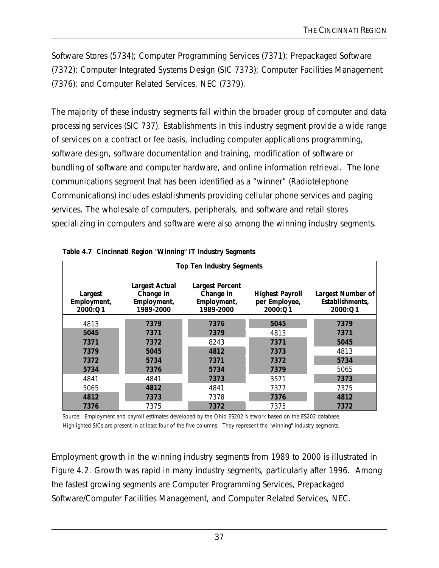Software Stores (5734); Computer Programming Services (7371); Prepackaged Software (7372); Computer Integrated Systems Design (SIC 7373); Computer Facilities Management (7376); and Computer Related Services, NEC (7379).

The majority of these industry segments fall within the broader group of computer and data processing services (SIC 737). Establishments in this industry segment provide a wide range of services on a contract or fee basis, including computer applications programming, software design, software documentation and training, modification of software or bundling of software and computer hardware, and online information retrieval. The lone communications segment that has been identified as a "winner" (Radiotelephone Communications) includes establishments providing cellular phone services and paging services. The wholesale of computers, peripherals, and software and retail stores specializing in computers and software were also among the winning industry segments.

| <b>Top Ten Industry Segments</b>  |                                                                |                                                                 |                                                    |                                                 |  |  |
|-----------------------------------|----------------------------------------------------------------|-----------------------------------------------------------------|----------------------------------------------------|-------------------------------------------------|--|--|
| Largest<br>Employment,<br>2000:Q1 | <b>Largest Actual</b><br>Change in<br>Employment,<br>1989-2000 | <b>Largest Percent</b><br>Change in<br>Employment,<br>1989-2000 | <b>Highest Payroll</b><br>per Employee,<br>2000:Q1 | Largest Number of<br>Establishments,<br>2000:Q1 |  |  |
| 4813                              | 7379                                                           | 7376                                                            | 5045                                               | 7379                                            |  |  |
| 5045                              | 7371                                                           | 7379                                                            | 4813                                               | 7371                                            |  |  |
| 7371                              | 7372                                                           | 8243                                                            | 7371                                               | 5045                                            |  |  |
| 7379                              | 5045                                                           | 4812                                                            | 7373                                               | 4813                                            |  |  |
| 7372                              | 5734                                                           | 7371                                                            | 7372                                               | 5734                                            |  |  |
| 5734                              | 7376                                                           | 5734                                                            | 7379                                               | 5065                                            |  |  |
| 4841                              | 4841                                                           | 7373                                                            | 3571                                               | 7373                                            |  |  |
| 5065                              | 4812                                                           | 4841                                                            | 7377                                               | 7375                                            |  |  |
| 4812                              | 7373                                                           | 7378                                                            | 7376                                               | 4812                                            |  |  |
| 7376                              | 7375                                                           | 7372                                                            | 7375                                               | 7372                                            |  |  |

| Table 4.7 Cincinnati Region "Winning" IT Industry Segments |  |  |  |
|------------------------------------------------------------|--|--|--|
|                                                            |  |  |  |

Source: Employment and payroll estimates developed by the Ohio ES202 Network based on the ES202 database. Highlighted SICs are present in at least four of the five columns. They represent the "winning" industry segments.

Employment growth in the winning industry segments from 1989 to 2000 is illustrated in Figure 4.2. Growth was rapid in many industry segments, particularly after 1996. Among the fastest growing segments are Computer Programming Services, Prepackaged Software/Computer Facilities Management, and Computer Related Services, NEC.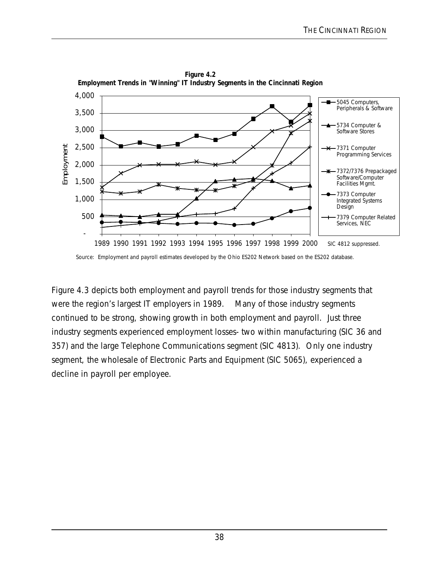

**Figure 4.2 Employment Trends in "Winning" IT Industry Segments in the Cincinnati Region**

Source: Employment and payroll estimates developed by the Ohio ES202 Network based on the ES202 database.

Figure 4.3 depicts both employment and payroll trends for those industry segments that were the region's largest IT employers in 1989. Many of those industry segments continued to be strong, showing growth in both employment and payroll. Just three industry segments experienced employment losses- two within manufacturing (SIC 36 and 357) and the large Telephone Communications segment (SIC 4813). Only one industry segment, the wholesale of Electronic Parts and Equipment (SIC 5065), experienced a decline in payroll per employee.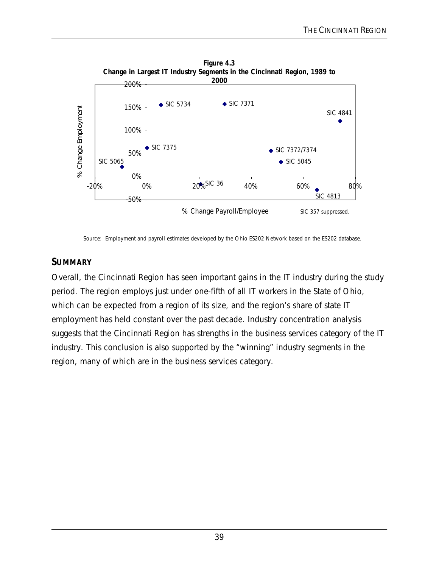

Source: Employment and payroll estimates developed by the Ohio ES202 Network based on the ES202 database.

# **SUMMARY**

Overall, the Cincinnati Region has seen important gains in the IT industry during the study period. The region employs just under one-fifth of all IT workers in the State of Ohio, which can be expected from a region of its size, and the region's share of state IT employment has held constant over the past decade. Industry concentration analysis suggests that the Cincinnati Region has strengths in the business services category of the IT industry. This conclusion is also supported by the "winning" industry segments in the region, many of which are in the business services category.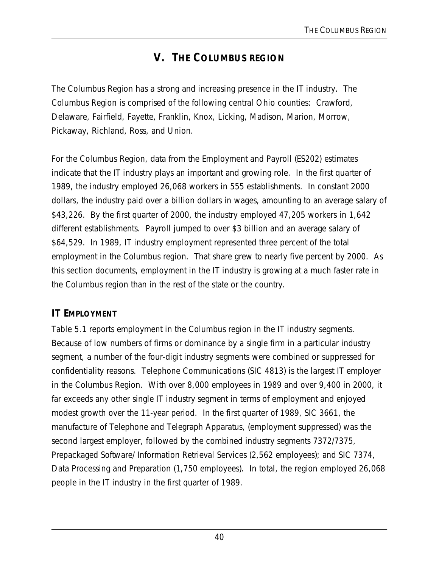# **V. THE COLUMBUS REGION**

The Columbus Region has a strong and increasing presence in the IT industry. The Columbus Region is comprised of the following central Ohio counties: Crawford, Delaware, Fairfield, Fayette, Franklin, Knox, Licking, Madison, Marion, Morrow, Pickaway, Richland, Ross, and Union.

For the Columbus Region, data from the Employment and Payroll (ES202) estimates indicate that the IT industry plays an important and growing role. In the first quarter of 1989, the industry employed 26,068 workers in 555 establishments. In constant 2000 dollars, the industry paid over a billion dollars in wages, amounting to an average salary of \$43,226. By the first quarter of 2000, the industry employed 47,205 workers in 1,642 different establishments. Payroll jumped to over \$3 billion and an average salary of \$64,529. In 1989, IT industry employment represented three percent of the total employment in the Columbus region. That share grew to nearly five percent by 2000. As this section documents, employment in the IT industry is growing at a much faster rate in the Columbus region than in the rest of the state or the country.

## **IT EMPLOYMENT**

Table 5.1 reports employment in the Columbus region in the IT industry segments. Because of low numbers of firms or dominance by a single firm in a particular industry segment, a number of the four-digit industry segments were combined or suppressed for confidentiality reasons. Telephone Communications (SIC 4813) is the largest IT employer in the Columbus Region. With over 8,000 employees in 1989 and over 9,400 in 2000, it far exceeds any other single IT industry segment in terms of employment and enjoyed modest growth over the 11-year period. In the first quarter of 1989, SIC 3661, the manufacture of Telephone and Telegraph Apparatus, (employment suppressed) was the second largest employer, followed by the combined industry segments 7372/7375, Prepackaged Software/ Information Retrieval Services (2,562 employees); and SIC 7374, Data Processing and Preparation (1,750 employees). In total, the region employed 26,068 people in the IT industry in the first quarter of 1989.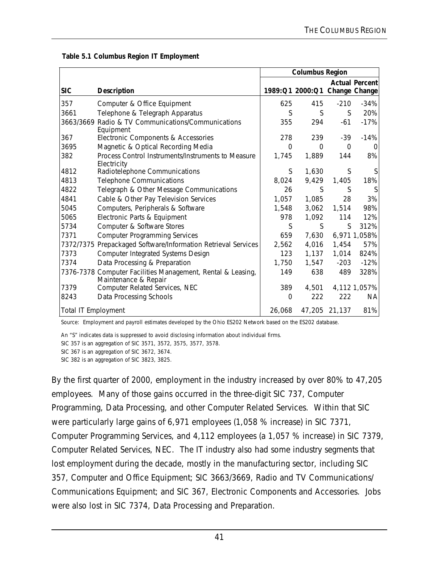|                     |                                                                                     | <b>Columbus Region</b> |                               |               |                       |
|---------------------|-------------------------------------------------------------------------------------|------------------------|-------------------------------|---------------|-----------------------|
| <b>SIC</b>          |                                                                                     |                        | 1989:Q1 2000:Q1 Change Change |               | <b>Actual Percent</b> |
|                     | <b>Description</b>                                                                  |                        |                               |               |                       |
| 357                 | Computer & Office Equipment                                                         | 625                    | 415                           | $-210$        | $-34%$                |
| 3661                | Telephone & Telegraph Apparatus                                                     | S                      | S                             | S             | 20%                   |
|                     | 3663/3669 Radio & TV Communications/Communications<br>Equipment                     | 355                    | 294                           | $-61$         | $-17%$                |
| 367                 | Electronic Components & Accessories                                                 | 278                    | 239                           | -39           | $-14%$                |
| 3695                | Magnetic & Optical Recording Media                                                  | $\Omega$               | $\Omega$                      | $\Omega$      | 0                     |
| 382                 | Process Control Instruments/Instruments to Measure<br>Electricity                   | 1,745                  | 1,889                         | 144           | 8%                    |
| 4812                | Radiotelephone Communications                                                       | S                      | 1,630                         | S             | S                     |
| 4813                | <b>Telephone Communications</b>                                                     | 8,024                  | 9,429                         | 1,405         | 18%                   |
| 4822                | Telegraph & Other Message Communications                                            | 26                     | S                             | S             | S                     |
| 4841                | Cable & Other Pay Television Services                                               | 1,057                  | 1,085                         | 28            | 3%                    |
| 5045                | Computers, Peripherals & Software                                                   | 1,548                  | 3,062                         | 1,514         | 98%                   |
| 5065                | Electronic Parts & Equipment                                                        | 978                    | 1,092                         | 114           | 12%                   |
| 5734                | Computer & Software Stores                                                          | S                      | S.                            | S             | 312%                  |
| 7371                | <b>Computer Programming Services</b>                                                | 659                    | 7,630                         |               | 6,971 1,058%          |
| 7372/7375           | Prepackaged Software/Information Retrieval Services                                 | 2,562                  | 4,016                         | 1,454         | 57%                   |
| 7373                | <b>Computer Integrated Systems Design</b>                                           | 123                    | 1,137                         | 1,014         | 824%                  |
| 7374                | Data Processing & Preparation                                                       | 1,750                  | 1,547                         | $-203$        | $-12%$                |
|                     | 7376-7378 Computer Facilities Management, Rental & Leasing,<br>Maintenance & Repair | 149                    | 638                           | 489           | 328%                  |
| 7379                | Computer Related Services, NEC                                                      | 389                    | 4,501                         |               | 4,112 1,057%          |
| 8243                | Data Processing Schools                                                             | $\Omega$               | 222                           | 222           | <b>NA</b>             |
| Total IT Employment |                                                                                     | 26,068                 |                               | 47,205 21,137 | 81%                   |

 **Table 5.1 Columbus Region IT Employment** 

Source: Employment and payroll estimates developed by the Ohio ES202 Network based on the ES202 database.

An "S" indicates data is suppressed to avoid disclosing information about individual firms.

SIC 357 is an aggregation of SIC 3571, 3572, 3575, 3577, 3578.

SIC 367 is an aggregation of SIC 3672, 3674.

SIC 382 is an aggregation of SIC 3823, 3825.

By the first quarter of 2000, employment in the industry increased by over 80% to 47,205 employees. Many of those gains occurred in the three-digit SIC 737, Computer Programming, Data Processing, and other Computer Related Services. Within that SIC were particularly large gains of 6,971 employees (1,058 % increase) in SIC 7371, Computer Programming Services, and 4,112 employees (a 1,057 % increase) in SIC 7379, Computer Related Services, NEC. The IT industry also had some industry segments that lost employment during the decade, mostly in the manufacturing sector, including SIC 357, Computer and Office Equipment; SIC 3663/3669, Radio and TV Communications/ Communications Equipment; and SIC 367, Electronic Components and Accessories. Jobs were also lost in SIC 7374, Data Processing and Preparation.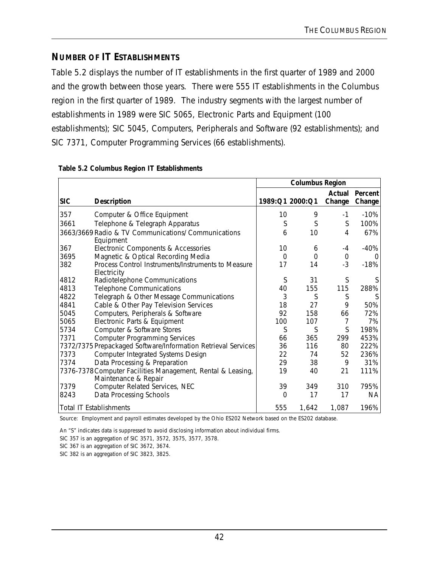# **NUMBER OF IT ESTABLISHMENTS**

Table 5.2 displays the number of IT establishments in the first quarter of 1989 and 2000 and the growth between those years. There were 555 IT establishments in the Columbus region in the first quarter of 1989. The industry segments with the largest number of establishments in 1989 were SIC 5065, Electronic Parts and Equipment (100 establishments); SIC 5045, Computers, Peripherals and Software (92 establishments); and SIC 7371, Computer Programming Services (66 establishments).

|            |                                                                                     | <b>Columbus Region</b> |                 |                  |                   |
|------------|-------------------------------------------------------------------------------------|------------------------|-----------------|------------------|-------------------|
| <b>SIC</b> | <b>Description</b>                                                                  |                        | 1989:Q1 2000:Q1 | Actual<br>Change | Percent<br>Change |
| 357        | Computer & Office Equipment                                                         | 10                     | 9               | $-1$             | $-10%$            |
| 3661       | Telephone & Telegraph Apparatus                                                     | S                      | S               | S                | 100%              |
|            | 3663/3669 Radio & TV Communications/ Communications<br>Equipment                    | 6                      | 10              | 4                | 67%               |
| 367        | Electronic Components & Accessories                                                 | 10                     | 6               | $-4$             | $-40%$            |
| 3695       | Magnetic & Optical Recording Media                                                  | $\Omega$               | $\Omega$        | $\mathbf 0$      | $\Omega$          |
| 382        | Process Control Instruments/Instruments to Measure<br>Electricity                   | 17                     | 14              | $-3$             | $-18%$            |
| 4812       | Radiotelephone Communications                                                       | S                      | 31              | S                | S                 |
| 4813       | <b>Telephone Communications</b>                                                     | 40                     | 155             | 115              | 288%              |
| 4822       | Telegraph & Other Message Communications                                            | 3                      | S               | S                | S                 |
| 4841       | Cable & Other Pay Television Services                                               | 18                     | 27              | 9                | 50%               |
| 5045       | Computers, Peripherals & Software                                                   | 92                     | 158             | 66               | 72%               |
| 5065       | Electronic Parts & Equipment                                                        | 100                    | 107             | 7                | 7%                |
| 5734       | Computer & Software Stores                                                          | S                      | S               | S                | 198%              |
| 7371       | <b>Computer Programming Services</b>                                                | 66                     | 365             | 299              | 453%              |
|            | 7372/7375 Prepackaged Software/Information Retrieval Services                       | 36                     | 116             | 80               | 222%              |
| 7373       | <b>Computer Integrated Systems Design</b>                                           | 22                     | 74              | 52               | 236%              |
| 7374       | Data Processing & Preparation                                                       | 29                     | 38              | 9                | 31%               |
|            | 7376-7378 Computer Facilities Management, Rental & Leasing,<br>Maintenance & Repair | 19                     | 40              | 21               | 111%              |
| 7379       | Computer Related Services, NEC                                                      | 39                     | 349             | 310              | 795%              |
| 8243       | Data Processing Schools                                                             | $\Omega$               | 17              | 17               | ΝA                |
|            | <b>Total IT Establishments</b>                                                      | 555                    | 1,642           | 1,087            | 196%              |

#### **Table 5.2 Columbus Region IT Establishments**

Source: Employment and payroll estimates developed by the Ohio ES202 Network based on the ES202 database.

An "S" indicates data is suppressed to avoid disclosing information about individual firms.

SIC 357 is an aggregation of SIC 3571, 3572, 3575, 3577, 3578.

SIC 367 is an aggregation of SIC 3672, 3674.

SIC 382 is an aggregation of SIC 3823, 3825.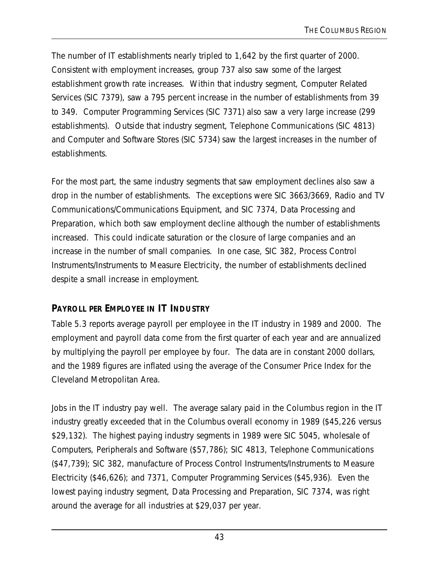The number of IT establishments nearly tripled to 1,642 by the first quarter of 2000. Consistent with employment increases, group 737 also saw some of the largest establishment growth rate increases. Within that industry segment, Computer Related Services (SIC 7379), saw a 795 percent increase in the number of establishments from 39 to 349. Computer Programming Services (SIC 7371) also saw a very large increase (299 establishments). Outside that industry segment, Telephone Communications (SIC 4813) and Computer and Software Stores (SIC 5734) saw the largest increases in the number of establishments.

For the most part, the same industry segments that saw employment declines also saw a drop in the number of establishments. The exceptions were SIC 3663/3669, Radio and TV Communications/Communications Equipment, and SIC 7374, Data Processing and Preparation, which both saw employment decline although the number of establishments increased. This could indicate saturation or the closure of large companies and an increase in the number of small companies. In one case, SIC 382, Process Control Instruments/Instruments to Measure Electricity, the number of establishments declined despite a small increase in employment.

## **PAYROLL PER EMPLOYEE IN IT INDUSTRY**

Table 5.3 reports average payroll per employee in the IT industry in 1989 and 2000. The employment and payroll data come from the first quarter of each year and are annualized by multiplying the payroll per employee by four. The data are in constant 2000 dollars, and the 1989 figures are inflated using the average of the Consumer Price Index for the Cleveland Metropolitan Area.

Jobs in the IT industry pay well. The average salary paid in the Columbus region in the IT industry greatly exceeded that in the Columbus overall economy in 1989 (\$45,226 versus \$29,132). The highest paying industry segments in 1989 were SIC 5045, wholesale of Computers, Peripherals and Software (\$57,786); SIC 4813, Telephone Communications (\$47,739); SIC 382, manufacture of Process Control Instruments/Instruments to Measure Electricity (\$46,626); and 7371, Computer Programming Services (\$45,936). Even the lowest paying industry segment, Data Processing and Preparation, SIC 7374, was right around the average for all industries at \$29,037 per year.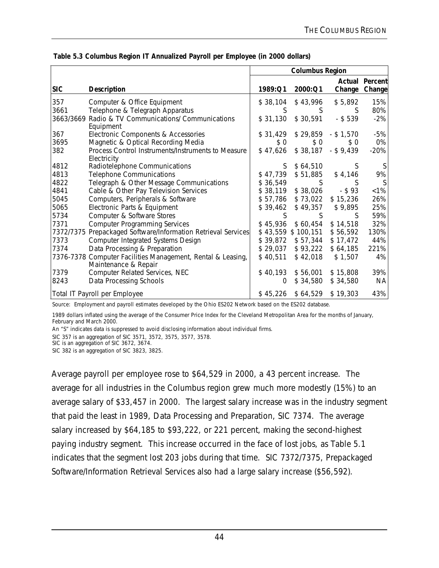|            |                                                                                     | <b>Columbus Region</b> |                    |              |                                        |
|------------|-------------------------------------------------------------------------------------|------------------------|--------------------|--------------|----------------------------------------|
| <b>SIC</b> | <b>Description</b>                                                                  | 1989:Q1                | 2000:Q1            |              | <b>Actual Percent</b><br>Change Change |
| 357        | Computer & Office Equipment                                                         | \$38,104               | \$43,996           | \$5,892      | 15%                                    |
| 3661       | Telephone & Telegraph Apparatus                                                     | S                      | S                  | S            | 80%                                    |
| 3663/3669  | Radio & TV Communications/ Communications<br>Equipment                              | \$31,130               | \$30,591           | $-$ \$ 539   | $-2%$                                  |
| 367        | Electronic Components & Accessories                                                 | \$31,429               | \$29,859           | $-$ \$ 1,570 | $-5%$                                  |
| 3695       | Magnetic & Optical Recording Media                                                  | \$0                    | \$ 0               | \$0          | 0%                                     |
| 382        | Process Control Instruments/Instruments to Measure<br>Electricity                   | \$47,626               | \$38,187           | $-$ \$ 9,439 | $-20%$                                 |
| 4812       | Radiotelephone Communications                                                       | S.                     | \$64,510           | S            |                                        |
| 4813       | <b>Telephone Communications</b>                                                     | \$47,739               | \$51,885           | \$4,146      | 9%                                     |
| 4822       | Telegraph & Other Message Communications                                            | \$36,549               | S.                 | S            |                                        |
| 4841       | Cable & Other Pay Television Services                                               | \$38,119               | \$38,026           | $-$ \$93     | $< 1\%$                                |
| 5045       | Computers, Peripherals & Software                                                   | \$57,786               | \$73,022           | \$15,236     | 26%                                    |
| 5065       | Electronic Parts & Equipment                                                        | \$39,462               | \$49,357           | \$9,895      | 25%                                    |
| 5734       | Computer & Software Stores                                                          | S                      | S                  | S.           | 59%                                    |
| 7371       | <b>Computer Programming Services</b>                                                | \$45,936               | \$60,454           | \$14,518     | 32%                                    |
| 7372/7375  | Prepackaged Software/Information Retrieval Services                                 |                        | \$43,559 \$100,151 | \$56,592     | 130%                                   |
| 7373       | Computer Integrated Systems Design                                                  | \$39,872               | \$57,344           | \$17,472     | 44%                                    |
| 7374       | Data Processing & Preparation                                                       | \$29,037               | \$93,222           | \$64,185     | 221%                                   |
|            | 7376-7378 Computer Facilities Management, Rental & Leasing,<br>Maintenance & Repair | \$40,511               | \$42,018           | \$1,507      | 4%                                     |
| 7379       | Computer Related Services, NEC                                                      | \$40,193               | \$56,001           | \$15,808     | 39%                                    |
| 8243       | Data Processing Schools                                                             | 0                      | \$34,580           | \$34,580     | NA                                     |
|            | Total IT Payroll per Employee                                                       | \$45,226               | \$64,529           | \$19,303     | 43%                                    |

|  | Table 5.3 Columbus Region IT Annualized Payroll per Employee (in 2000 dollars) |  |  |  |
|--|--------------------------------------------------------------------------------|--|--|--|
|  |                                                                                |  |  |  |

Source: Employment and payroll estimates developed by the Ohio ES202 Network based on the ES202 database.

1989 dollars inflated using the average of the Consumer Price Index for the Cleveland Metropolitan Area for the months of January, February and March 2000.

An "S" indicates data is suppressed to avoid disclosing information about individual firms.

SIC 357 is an aggregation of SIC 3571, 3572, 3575, 3577, 3578.

SIC is an aggregation of SIC 3672, 3674.

SIC 382 is an aggregation of SIC 3823, 3825.

Average payroll per employee rose to \$64,529 in 2000, a 43 percent increase. The average for all industries in the Columbus region grew much more modestly (15%) to an average salary of \$33,457 in 2000. The largest salary increase was in the industry segment that paid the least in 1989, Data Processing and Preparation, SIC 7374. The average salary increased by \$64,185 to \$93,222, or 221 percent, making the second-highest paying industry segment. This increase occurred in the face of lost jobs, as Table 5.1 indicates that the segment lost 203 jobs during that time. SIC 7372/7375, Prepackaged Software/Information Retrieval Services also had a large salary increase (\$56,592).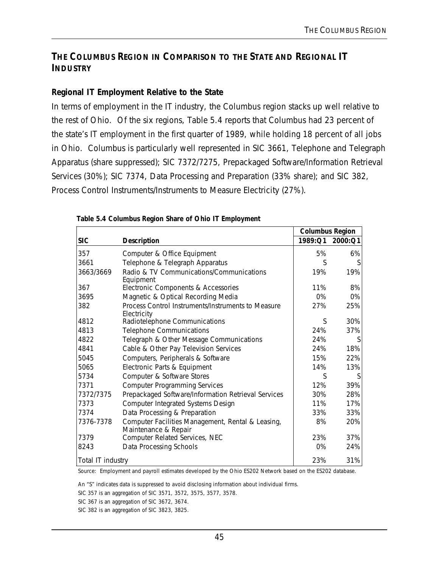# **THE COLUMBUS REGION IN COMPARISON TO THE STATE AND REGIONAL IT INDUSTRY**

### **Regional IT Employment Relative to the State**

In terms of employment in the IT industry, the Columbus region stacks up well relative to the rest of Ohio. Of the six regions, Table 5.4 reports that Columbus had 23 percent of the state's IT employment in the first quarter of 1989, while holding 18 percent of all jobs in Ohio. Columbus is particularly well represented in SIC 3661, Telephone and Telegraph Apparatus (share suppressed); SIC 7372/7275, Prepackaged Software/Information Retrieval Services (30%); SIC 7374, Data Processing and Preparation (33% share); and SIC 382, Process Control Instruments/Instruments to Measure Electricity (27%).

|                   |                                                                           | <b>Columbus Region</b> |         |
|-------------------|---------------------------------------------------------------------------|------------------------|---------|
| <b>SIC</b>        | <b>Description</b>                                                        | 1989:Q1                | 2000:Q1 |
| 357               | Computer & Office Equipment                                               | 5%                     | 6%      |
| 3661              | Telephone & Telegraph Apparatus                                           | S                      |         |
| 3663/3669         | Radio & TV Communications/Communications<br>Equipment                     | 19%                    | 19%     |
| 367               | Electronic Components & Accessories                                       | 11%                    | 8%      |
| 3695              | Magnetic & Optical Recording Media                                        | $0\%$                  | 0%      |
| 382               | Process Control Instruments/Instruments to Measure<br>Electricity         | 27%                    | 25%     |
| 4812              | Radiotelephone Communications                                             | S                      | 30%     |
| 4813              | <b>Telephone Communications</b>                                           | 24%                    | 37%     |
| 4822              | Telegraph & Other Message Communications                                  | 24%                    | S       |
| 4841              | Cable & Other Pay Television Services                                     | 24%                    | 18%     |
| 5045              | Computers, Peripherals & Software                                         | 15%                    | 22%     |
| 5065              | Electronic Parts & Equipment                                              | 14%                    | 13%     |
| 5734              | Computer & Software Stores                                                | S                      | S       |
| 7371              | <b>Computer Programming Services</b>                                      | 12%                    | 39%     |
| 7372/7375         | Prepackaged Software/Information Retrieval Services                       | 30%                    | 28%     |
| 7373              | Computer Integrated Systems Design                                        | 11%                    | 17%     |
| 7374              | Data Processing & Preparation                                             | 33%                    | 33%     |
| 7376-7378         | Computer Facilities Management, Rental & Leasing,<br>Maintenance & Repair | 8%                     | 20%     |
| 7379              | Computer Related Services, NEC                                            | 23%                    | 37%     |
| 8243              | Data Processing Schools                                                   | 0%                     | 24%     |
| Total IT industry |                                                                           | 23%                    | 31%     |

#### **Table 5.4 Columbus Region Share of Ohio IT Employment**

Source: Employment and payroll estimates developed by the Ohio ES202 Network based on the ES202 database.

An "S" indicates data is suppressed to avoid disclosing information about individual firms.

SIC 357 is an aggregation of SIC 3571, 3572, 3575, 3577, 3578.

SIC 367 is an aggregation of SIC 3672, 3674.

SIC 382 is an aggregation of SIC 3823, 3825.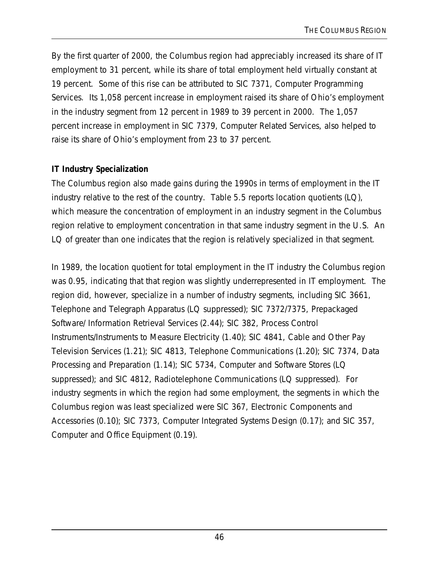By the first quarter of 2000, the Columbus region had appreciably increased its share of IT employment to 31 percent, while its share of total employment held virtually constant at 19 percent. Some of this rise can be attributed to SIC 7371, Computer Programming Services. Its 1,058 percent increase in employment raised its share of Ohio's employment in the industry segment from 12 percent in 1989 to 39 percent in 2000. The 1,057 percent increase in employment in SIC 7379, Computer Related Services, also helped to raise its share of Ohio's employment from 23 to 37 percent.

### **IT Industry Specialization**

The Columbus region also made gains during the 1990s in terms of employment in the IT industry relative to the rest of the country. Table 5.5 reports location quotients  $(LO)$ , which measure the concentration of employment in an industry segment in the Columbus region relative to employment concentration in that same industry segment in the U.S. An LQ of greater than one indicates that the region is relatively specialized in that segment.

In 1989, the location quotient for total employment in the IT industry the Columbus region was 0.95, indicating that that region was slightly underrepresented in IT employment. The region did, however, specialize in a number of industry segments, including SIC 3661, Telephone and Telegraph Apparatus (LQ suppressed); SIC 7372/7375, Prepackaged Software/ Information Retrieval Services (2.44); SIC 382, Process Control Instruments/Instruments to Measure Electricity (1.40); SIC 4841, Cable and Other Pay Television Services (1.21); SIC 4813, Telephone Communications (1.20); SIC 7374, Data Processing and Preparation (1.14); SIC 5734, Computer and Software Stores (LQ suppressed); and SIC 4812, Radiotelephone Communications (LQ suppressed). For industry segments in which the region had some employment, the segments in which the Columbus region was least specialized were SIC 367, Electronic Components and Accessories (0.10); SIC 7373, Computer Integrated Systems Design (0.17); and SIC 357, Computer and Office Equipment (0.19).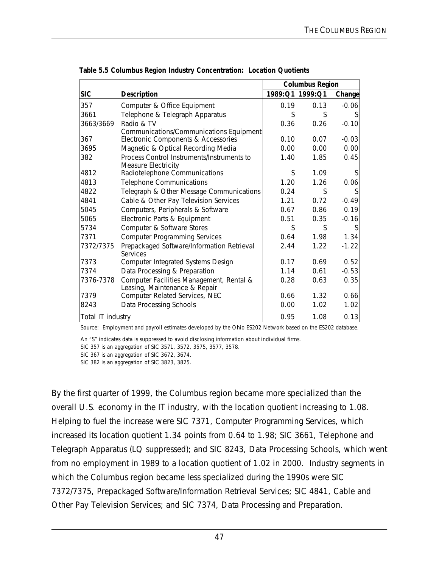|                   |                                                                   | <b>Columbus Region</b> |                 |         |
|-------------------|-------------------------------------------------------------------|------------------------|-----------------|---------|
| <b>SIC</b>        | <b>Description</b>                                                |                        | 1989:Q1 1999:Q1 | Change  |
| 357               | Computer & Office Equipment                                       | 0.19                   | 0.13            | $-0.06$ |
| 3661              | Telephone & Telegraph Apparatus                                   | S                      | S               | S       |
| 3663/3669         | Radio & TV                                                        | 0.36                   | 0.26            | $-0.10$ |
| 367               | Communications/Communications Equipment                           | 0.10                   | 0.07            | $-0.03$ |
|                   | Electronic Components & Accessories                               |                        |                 |         |
| 3695              | Magnetic & Optical Recording Media                                | 0.00                   | 0.00            | 0.00    |
| 382               | Process Control Instruments/Instruments to<br>Measure Electricity | 1.40                   | 1.85            | 0.45    |
| 4812              | Radiotelephone Communications                                     | S                      | 1.09            | S       |
| 4813              | <b>Telephone Communications</b>                                   | 1.20                   | 1.26            | 0.06    |
| 4822              | Telegraph & Other Message Communications                          | 0.24                   | S               | S       |
| 4841              | Cable & Other Pay Television Services                             | 1.21                   | 0.72            | $-0.49$ |
| 5045              | Computers, Peripherals & Software                                 | 0.67                   | 0.86            | 0.19    |
| 5065              | Electronic Parts & Equipment                                      | 0.51                   | 0.35            | $-0.16$ |
| 5734              | Computer & Software Stores                                        | S                      | S               | S       |
| 7371              | <b>Computer Programming Services</b>                              | 0.64                   | 1.98            | 1.34    |
| 7372/7375         | Prepackaged Software/Information Retrieval<br>Services            | 2.44                   | 1.22            | $-1.22$ |
| 7373              | Computer Integrated Systems Design                                | 0.17                   | 0.69            | 0.52    |
| 7374              | Data Processing & Preparation                                     | 1.14                   | 0.61            | $-0.53$ |
| 7376-7378         | Computer Facilities Management, Rental &                          | 0.28                   | 0.63            | 0.35    |
| 7379              | Leasing, Maintenance & Repair                                     | 0.66                   | 1.32            |         |
|                   | Computer Related Services, NEC                                    |                        |                 | 0.66    |
| 8243              | Data Processing Schools                                           | 0.00                   | 1.02            | 1.02    |
| Total IT industry |                                                                   | 0.95                   | 1.08            | 0.13    |

**Table 5.5 Columbus Region Industry Concentration: Location Quotients**

Source: Employment and payroll estimates developed by the Ohio ES202 Network based on the ES202 database.

An "S" indicates data is suppressed to avoid disclosing information about individual firms. SIC 357 is an aggregation of SIC 3571, 3572, 3575, 3577, 3578.

SIC 367 is an aggregation of SIC 3672, 3674.

SIC 382 is an aggregation of SIC 3823, 3825.

By the first quarter of 1999, the Columbus region became more specialized than the overall U.S. economy in the IT industry, with the location quotient increasing to 1.08. Helping to fuel the increase were SIC 7371, Computer Programming Services, which increased its location quotient 1.34 points from 0.64 to 1.98; SIC 3661, Telephone and Telegraph Apparatus (LQ suppressed); and SIC 8243, Data Processing Schools, which went from no employment in 1989 to a location quotient of 1.02 in 2000. Industry segments in which the Columbus region became less specialized during the 1990s were SIC 7372/7375, Prepackaged Software/Information Retrieval Services; SIC 4841, Cable and Other Pay Television Services; and SIC 7374, Data Processing and Preparation.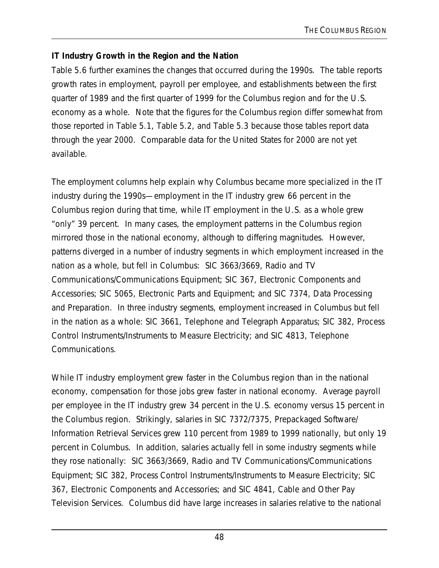### **IT Industry Growth in the Region and the Nation**

Table 5.6 further examines the changes that occurred during the 1990s. The table reports growth rates in employment, payroll per employee, and establishments between the first quarter of 1989 and the first quarter of 1999 for the Columbus region and for the U.S. economy as a whole. Note that the figures for the Columbus region differ somewhat from those reported in Table 5.1, Table 5.2, and Table 5.3 because those tables report data through the year 2000. Comparable data for the United States for 2000 are not yet available.

The employment columns help explain why Columbus became more specialized in the IT industry during the 1990s—employment in the IT industry grew 66 percent in the Columbus region during that time, while IT employment in the U.S. as a whole grew "only" 39 percent. In many cases, the employment patterns in the Columbus region mirrored those in the national economy, although to differing magnitudes. However, patterns diverged in a number of industry segments in which employment increased in the nation as a whole, but fell in Columbus: SIC 3663/3669, Radio and TV Communications/Communications Equipment; SIC 367, Electronic Components and Accessories; SIC 5065, Electronic Parts and Equipment; and SIC 7374, Data Processing and Preparation. In three industry segments, employment increased in Columbus but fell in the nation as a whole: SIC 3661, Telephone and Telegraph Apparatus; SIC 382, Process Control Instruments/Instruments to Measure Electricity; and SIC 4813, Telephone Communications.

While IT industry employment grew faster in the Columbus region than in the national economy, compensation for those jobs grew faster in national economy. Average payroll per employee in the IT industry grew 34 percent in the U.S. economy versus 15 percent in the Columbus region. Strikingly, salaries in SIC 7372/7375, Prepackaged Software/ Information Retrieval Services grew 110 percent from 1989 to 1999 nationally, but only 19 percent in Columbus. In addition, salaries actually fell in some industry segments while they rose nationally: SIC 3663/3669, Radio and TV Communications/Communications Equipment; SIC 382, Process Control Instruments/Instruments to Measure Electricity; SIC 367, Electronic Components and Accessories; and SIC 4841, Cable and Other Pay Television Services. Columbus did have large increases in salaries relative to the national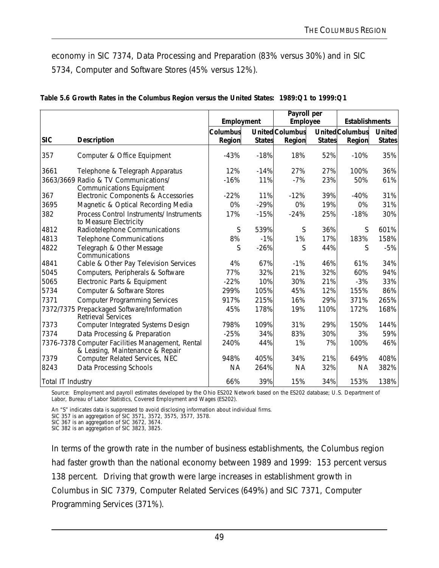economy in SIC 7374, Data Processing and Preparation (83% versus 30%) and in SIC 5734, Computer and Software Stores (45% versus 12%).

|                   |                                                                                     | Employment      |               | Payroll per<br>Employee |               | <b>Establishments</b> |               |
|-------------------|-------------------------------------------------------------------------------------|-----------------|---------------|-------------------------|---------------|-----------------------|---------------|
|                   |                                                                                     | <b>Columbus</b> |               | <b>United Columbus</b>  |               | <b>UnitedColumbus</b> | <b>United</b> |
| <b>SIC</b>        | <b>Description</b>                                                                  | Region          | <b>States</b> | Region                  | <b>States</b> | Region                | <b>States</b> |
| 357               | Computer & Office Equipment                                                         | $-43%$          | $-18%$        | 18%                     | 52%           | $-10%$                | 35%           |
| 3661              | Telephone & Telegraph Apparatus                                                     | 12%             | $-14%$        | 27%                     | 27%           | 100%                  | 36%           |
|                   | 3663/3669 Radio & TV Communications/<br><b>Communications Equipment</b>             | $-16%$          | 11%           | $-7%$                   | 23%           | 50%                   | 61%           |
| 367               | Electronic Components & Accessories                                                 | $-22%$          | 11%           | $-12%$                  | 39%           | $-40%$                | 31%           |
| 3695              | Magnetic & Optical Recording Media                                                  | 0%              | $-29%$        | 0%                      | 19%           | 0%                    | 31%           |
| 382               | Process Control Instruments/ Instruments<br>to Measure Electricity                  | 17%             | $-15%$        | $-24%$                  | 25%           | $-18%$                | 30%           |
| 4812              | Radiotelephone Communications                                                       | S               | 539%          | S                       | 36%           | S                     | 601%          |
| 4813              | <b>Telephone Communications</b>                                                     | 8%              | $-1%$         | 1%                      | 17%           | 183%                  | 158%          |
| 4822              | Telegraph & Other Message<br>Communications                                         | S               | $-26%$        | S                       | 44%           | S                     | $-5%$         |
| 4841              | Cable & Other Pay Television Services                                               | 4%              | 67%           | $-1%$                   | 46%           | 61%                   | 34%           |
| 5045              | Computers, Peripherals & Software                                                   | 77%             | 32%           | 21%                     | 32%           | 60%                   | 94%           |
| 5065              | Electronic Parts & Equipment                                                        | $-22%$          | 10%           | 30%                     | 21%           | $-3%$                 | 33%           |
| 5734              | Computer & Software Stores                                                          | 299%            | 105%          | 45%                     | 12%           | 155%                  | 86%           |
| 7371              | <b>Computer Programming Services</b>                                                | 917%            | 215%          | 16%                     | 29%           | 371%                  | 265%          |
|                   | 7372/7375 Prepackaged Software/Information<br><b>Retrieval Services</b>             | 45%             | 178%          | 19%                     | 110%          | 172%                  | 168%          |
| 7373              | Computer Integrated Systems Design                                                  | 798%            | 109%          | 31%                     | 29%           | 150%                  | 144%          |
| 7374              | Data Processing & Preparation                                                       | $-25%$          | 34%           | 83%                     | 30%           | 3%                    | 59%           |
|                   | 7376-7378 Computer Facilities Management, Rental<br>& Leasing, Maintenance & Repair | 240%            | 44%           | 1%                      | 7%            | 100%                  | 46%           |
| 7379              | Computer Related Services, NEC                                                      | 948%            | 405%          | 34%                     | 21%           | 649%                  | 408%          |
| 8243              | Data Processing Schools                                                             | <b>NA</b>       | 264%          | <b>NA</b>               | 32%           | <b>NA</b>             | 382%          |
| Total IT Industry |                                                                                     | 66%             | 39%           | 15%                     | 34%           | 153%                  | 138%          |

| Table 5.6 Growth Rates in the Columbus Region versus the United States: 1989:Q1 to 1999:Q1 |  |
|--------------------------------------------------------------------------------------------|--|
|--------------------------------------------------------------------------------------------|--|

Source: Employment and payroll estimates developed by the Ohio ES202 Network based on the ES202 database; U.S. Department of Labor, Bureau of Labor Statistics, Covered Employment and Wages (ES202).

An "S" indicates data is suppressed to avoid disclosing information about individual firms.

SIC 357 is an aggregation of SIC 3571, 3572, 3575, 3577, 3578.

SIC 367 is an aggregation of SIC 3672, 3674.

SIC 382 is an aggregation of SIC 3823, 3825.

In terms of the growth rate in the number of business establishments, the Columbus region had faster growth than the national economy between 1989 and 1999: 153 percent versus 138 percent. Driving that growth were large increases in establishment growth in Columbus in SIC 7379, Computer Related Services (649%) and SIC 7371, Computer Programming Services (371%).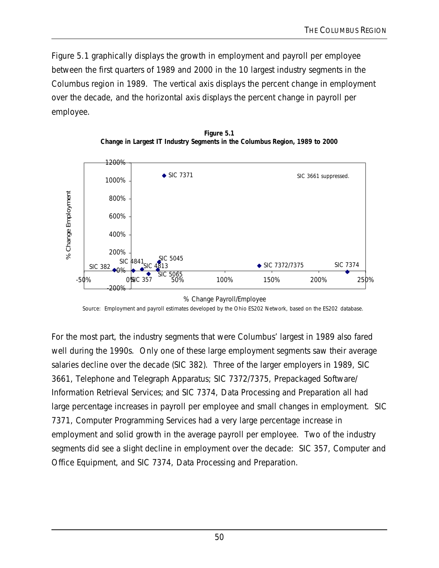Figure 5.1 graphically displays the growth in employment and payroll per employee between the first quarters of 1989 and 2000 in the 10 largest industry segments in the Columbus region in 1989. The vertical axis displays the percent change in employment over the decade, and the horizontal axis displays the percent change in payroll per employee.





Source: Employment and payroll estimates developed by the Ohio ES202 Network, based on the ES202 database.

For the most part, the industry segments that were Columbus' largest in 1989 also fared well during the 1990s. Only one of these large employment segments saw their average salaries decline over the decade (SIC 382). Three of the larger employers in 1989, SIC 3661, Telephone and Telegraph Apparatus; SIC 7372/7375, Prepackaged Software/ Information Retrieval Services; and SIC 7374, Data Processing and Preparation all had large percentage increases in payroll per employee and small changes in employment. SIC 7371, Computer Programming Services had a very large percentage increase in employment and solid growth in the average payroll per employee. Two of the industry segments did see a slight decline in employment over the decade: SIC 357, Computer and Office Equipment, and SIC 7374, Data Processing and Preparation.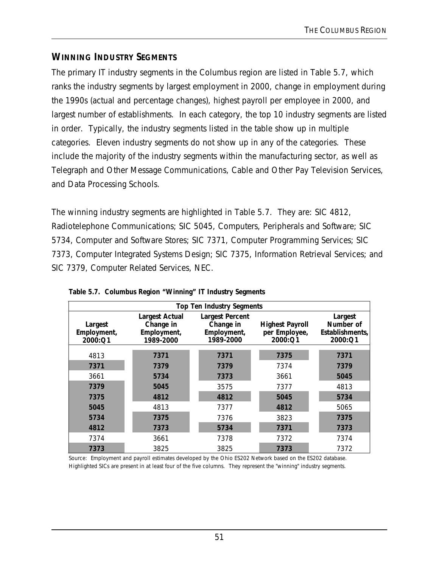# **WINNING INDUSTRY SEGMENTS**

The primary IT industry segments in the Columbus region are listed in Table 5.7, which ranks the industry segments by largest employment in 2000, change in employment during the 1990s (actual and percentage changes), highest payroll per employee in 2000, and largest number of establishments. In each category, the top 10 industry segments are listed in order. Typically, the industry segments listed in the table show up in multiple categories. Eleven industry segments do not show up in any of the categories. These include the majority of the industry segments within the manufacturing sector, as well as Telegraph and Other Message Communications, Cable and Other Pay Television Services, and Data Processing Schools.

The winning industry segments are highlighted in Table 5.7. They are: SIC 4812, Radiotelephone Communications; SIC 5045, Computers, Peripherals and Software; SIC 5734, Computer and Software Stores; SIC 7371, Computer Programming Services; SIC 7373, Computer Integrated Systems Design; SIC 7375, Information Retrieval Services; and SIC 7379, Computer Related Services, NEC.

| <b>Top Ten Industry Segments</b>  |                                                                |                                                                 |                                                    |                                                    |  |  |  |
|-----------------------------------|----------------------------------------------------------------|-----------------------------------------------------------------|----------------------------------------------------|----------------------------------------------------|--|--|--|
| Largest<br>Employment,<br>2000:Q1 | <b>Largest Actual</b><br>Change in<br>Employment,<br>1989-2000 | <b>Largest Percent</b><br>Change in<br>Employment,<br>1989-2000 | <b>Highest Payroll</b><br>per Employee,<br>2000:Q1 | Largest<br>Number of<br>Establishments,<br>2000:Q1 |  |  |  |
| 4813                              | 7371                                                           | 7371                                                            | 7375                                               | 7371                                               |  |  |  |
| 7371                              | 7379                                                           | 7379                                                            | 7374                                               | 7379                                               |  |  |  |
| 3661                              | 5734                                                           | 7373                                                            | 3661                                               | 5045                                               |  |  |  |
| 7379                              | 5045                                                           | 3575                                                            | 7377                                               | 4813                                               |  |  |  |
| 7375                              | 4812                                                           | 4812                                                            | 5045                                               | 5734                                               |  |  |  |
| 5045                              | 4813                                                           | 7377                                                            | 4812                                               | 5065                                               |  |  |  |
| 5734                              | 7375                                                           | 7376                                                            | 3823                                               | 7375                                               |  |  |  |
| 4812                              | 7373                                                           | 5734                                                            | 7371                                               | 7373                                               |  |  |  |
| 7374                              | 3661                                                           | 7378                                                            | 7372                                               | 7374                                               |  |  |  |
| 7373                              | 3825                                                           | 3825                                                            | 7373                                               | 7372                                               |  |  |  |

**Table 5.7. Columbus Region "Winning" IT Industry Segments**

Source: Employment and payroll estimates developed by the Ohio ES202 Network based on the ES202 database. Highlighted SICs are present in at least four of the five columns. They represent the "winning" industry segments.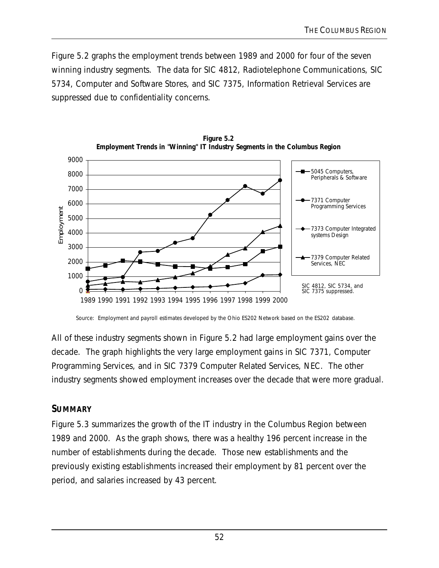Figure 5.2 graphs the employment trends between 1989 and 2000 for four of the seven winning industry segments. The data for SIC 4812, Radiotelephone Communications, SIC 5734, Computer and Software Stores, and SIC 7375, Information Retrieval Services are suppressed due to confidentiality concerns.



**Figure 5.2 Employment Trends in "Winning" IT Industry Segments in the Columbus Region**

Source: Employment and payroll estimates developed by the Ohio ES202 Network based on the ES202 database.

All of these industry segments shown in Figure 5.2 had large employment gains over the decade. The graph highlights the very large employment gains in SIC 7371, Computer Programming Services, and in SIC 7379 Computer Related Services, NEC. The other industry segments showed employment increases over the decade that were more gradual.

### **SUMMARY**

Figure 5.3 summarizes the growth of the IT industry in the Columbus Region between 1989 and 2000. As the graph shows, there was a healthy 196 percent increase in the number of establishments during the decade. Those new establishments and the previously existing establishments increased their employment by 81 percent over the period, and salaries increased by 43 percent.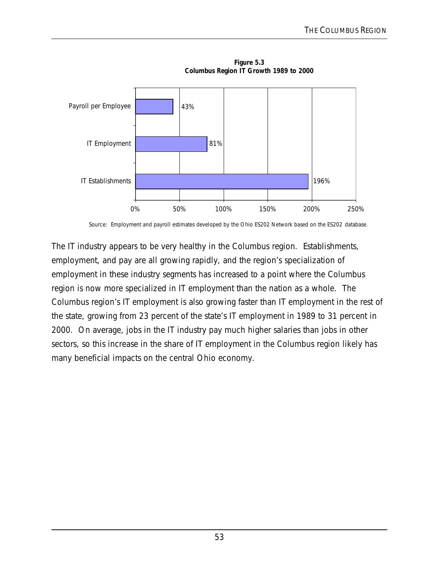

**Figure 5.3 Columbus Region IT Growth 1989 to 2000**

The IT industry appears to be very healthy in the Columbus region. Establishments, employment, and pay are all growing rapidly, and the region's specialization of employment in these industry segments has increased to a point where the Columbus region is now more specialized in IT employment than the nation as a whole. The Columbus region's IT employment is also growing faster than IT employment in the rest of the state, growing from 23 percent of the state's IT employment in 1989 to 31 percent in 2000. On average, jobs in the IT industry pay much higher salaries than jobs in other sectors, so this increase in the share of IT employment in the Columbus region likely has many beneficial impacts on the central Ohio economy.

Source: Employment and payroll estimates developed by the Ohio ES202 Network based on the ES202 database.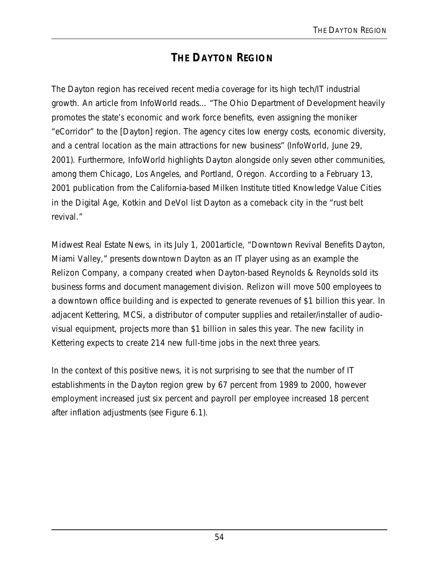# **THE DAYTON REGION**

The Dayton region has received recent media coverage for its high tech/IT industrial growth. An article from *InfoWorld* reads… "The Ohio Department of Development heavily promotes the state's economic and work force benefits, even assigning the moniker "eCorridor" to the [Dayton] region. The agency cites low energy costs, economic diversity, and a central location as the main attractions for new business" (*InfoWorld*, June 29, 2001). Furthermore, *InfoWorld* highlights Dayton alongside only seven other communities, among them Chicago, Los Angeles, and Portland, Oregon. According to a February 13, 2001 publication from the California-based Milken Institute titled *Knowledge Value Cities in the Digital Age*, Kotkin and DeVol list Dayton as a comeback city in the "rust belt revival."

*Midwest Real Estate News*, in its July 1, 2001article, "Downtown Revival Benefits Dayton, Miami Valley," presents downtown Dayton as an IT player using as an example the Relizon Company, a company created when Dayton-based Reynolds & Reynolds sold its business forms and document management division. Relizon will move 500 employees to a downtown office building and is expected to generate revenues of \$1 billion this year. In adjacent Kettering, MCSi, a distributor of computer supplies and retailer/installer of audiovisual equipment, projects more than \$1 billion in sales this year. The new facility in Kettering expects to create 214 new full-time jobs in the next three years.

In the context of this positive news, it is not surprising to see that the number of IT establishments in the Dayton region grew by 67 percent from 1989 to 2000, however employment increased just six percent and payroll per employee increased 18 percent after inflation adjustments (see Figure 6.1).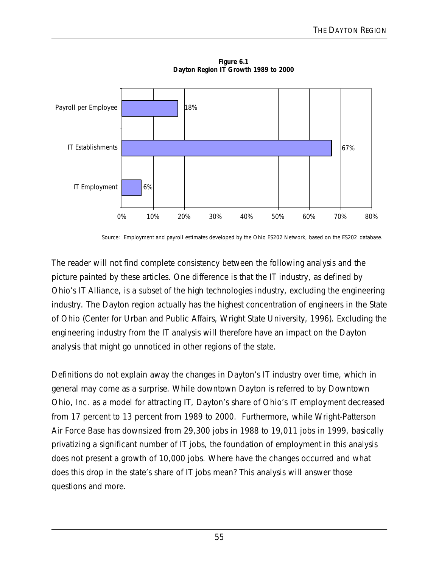

**Figure 6.1 Dayton Region IT Growth 1989 to 2000**

Source: Employment and payroll estimates developed by the Ohio ES202 Network, based on the ES202 database.

The reader will not find complete consistency between the following analysis and the picture painted by these articles. One difference is that the IT industry, as defined by Ohio's IT Alliance, is a subset of the high technologies industry, excluding the engineering industry. The Dayton region actually has the highest concentration of engineers in the State of Ohio (Center for Urban and Public Affairs, Wright State University, 1996). Excluding the engineering industry from the IT analysis will therefore have an impact on the Dayton analysis that might go unnoticed in other regions of the state.

Definitions do not explain away the changes in Dayton's IT industry over time, which in general may come as a surprise. While downtown Dayton is referred to by Downtown Ohio, Inc. as a model for attracting IT, Dayton's share of Ohio's IT employment decreased from 17 percent to 13 percent from 1989 to 2000. Furthermore, while Wright-Patterson Air Force Base has downsized from 29,300 jobs in 1988 to 19,011 jobs in 1999, basically privatizing a significant number of IT jobs, the foundation of employment in this analysis does not present a growth of 10,000 jobs. Where have the changes occurred and what does this drop in the state's share of IT jobs mean? This analysis will answer those questions and more.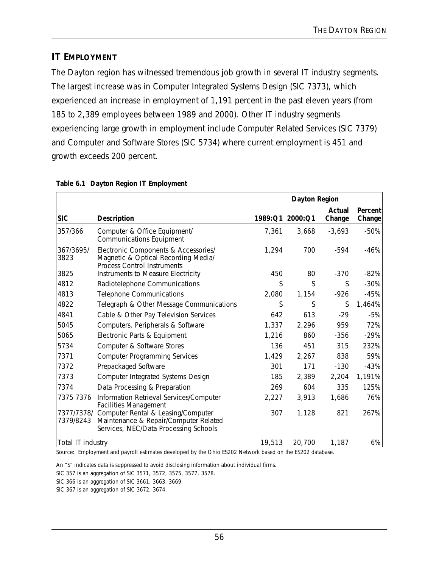# **IT EMPLOYMENT**

The Dayton region has witnessed tremendous job growth in several IT industry segments. The largest increase was in Computer Integrated Systems Design (SIC 7373), which experienced an increase in employment of 1,191 percent in the past eleven years (from 185 to 2,389 employees between 1989 and 2000). Other IT industry segments experiencing large growth in employment include Computer Related Services (SIC 7379) and Computer and Software Stores (SIC 5734) where current employment is 451 and growth exceeds 200 percent.

|                         |                                                                                                                      | <b>Dayton Region</b> |         |                  |                          |
|-------------------------|----------------------------------------------------------------------------------------------------------------------|----------------------|---------|------------------|--------------------------|
| <b>SIC</b>              | <b>Description</b>                                                                                                   | 1989:Q1              | 2000:Q1 | Actual<br>Change | <b>Percent</b><br>Change |
| 357/366                 | Computer & Office Equipment/<br><b>Communications Equipment</b>                                                      | 7,361                | 3,668   | $-3,693$         | $-50%$                   |
| 367/3695/<br>3823       | Electronic Components & Accessories/<br>Magnetic & Optical Recording Media/<br><b>Process Control Instruments</b>    | 1,294                | 700     | $-594$           | $-46%$                   |
| 3825                    | Instruments to Measure Electricity                                                                                   | 450                  | 80      | $-370$           | $-82%$                   |
| 4812                    | Radiotelephone Communications                                                                                        | S                    | S       | S                | $-30%$                   |
| 4813                    | <b>Telephone Communications</b>                                                                                      | 2,080                | 1,154   | $-926$           | $-45%$                   |
| 4822                    | Telegraph & Other Message Communications                                                                             | S                    | S       | S                | 1,464%                   |
| 4841                    | Cable & Other Pay Television Services                                                                                | 642                  | 613     | $-29$            | $-5%$                    |
| 5045                    | Computers, Peripherals & Software                                                                                    | 1,337                | 2,296   | 959              | 72%                      |
| 5065                    | Electronic Parts & Equipment                                                                                         | 1,216                | 860     | $-356$           | $-29%$                   |
| 5734                    | Computer & Software Stores                                                                                           | 136                  | 451     | 315              | 232%                     |
| 7371                    | <b>Computer Programming Services</b>                                                                                 | 1,429                | 2,267   | 838              | 59%                      |
| 7372                    | Prepackaged Software                                                                                                 | 301                  | 171     | $-130$           | $-43%$                   |
| 7373                    | Computer Integrated Systems Design                                                                                   | 185                  | 2,389   | 2,204            | 1,191%                   |
| 7374                    | Data Processing & Preparation                                                                                        | 269                  | 604     | 335              | 125%                     |
| 7375 7376               | Information Retrieval Services/Computer<br><b>Facilities Management</b>                                              | 2,227                | 3,913   | 1,686            | 76%                      |
| 7377/7378/<br>7379/8243 | Computer Rental & Leasing/Computer<br>Maintenance & Repair/Computer Related<br>Services, NEC/Data Processing Schools | 307                  | 1,128   | 821              | 267%                     |
| Total IT industry       |                                                                                                                      | 19,513               | 20,700  | 1,187            | 6%                       |

#### **Table 6.1 Dayton Region IT Employment**

Source: Employment and payroll estimates developed by the Ohio ES202 Network based on the ES202 database.

An "S" indicates data is suppressed to avoid disclosing information about individual firms.

SIC 357 is an aggregation of SIC 3571, 3572, 3575, 3577, 3578.

SIC 366 is an aggregation of SIC 3661, 3663, 3669.

SIC 367 is an aggregation of SIC 3672, 3674.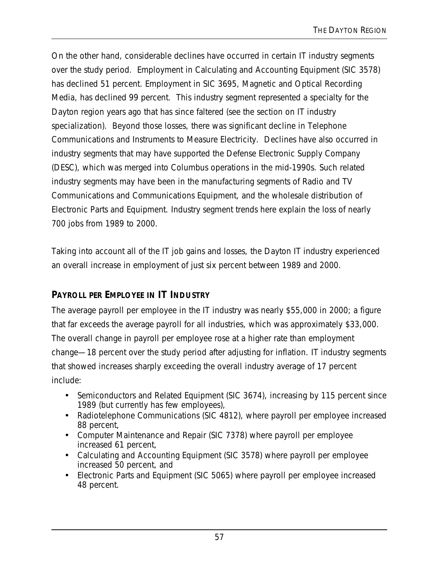On the other hand, considerable declines have occurred in certain IT industry segments over the study period. Employment in Calculating and Accounting Equipment (SIC 3578) has declined 51 percent. Employment in SIC 3695, Magnetic and Optical Recording Media, has declined 99 percent. This industry segment represented a specialty for the Dayton region years ago that has since faltered (see the section on IT industry specialization). Beyond those losses, there was significant decline in Telephone Communications and Instruments to Measure Electricity. Declines have also occurred in industry segments that may have supported the Defense Electronic Supply Company (DESC), which was merged into Columbus operations in the mid-1990s. Such related industry segments may have been in the manufacturing segments of Radio and TV Communications and Communications Equipment, and the wholesale distribution of Electronic Parts and Equipment. Industry segment trends here explain the loss of nearly 700 jobs from 1989 to 2000.

Taking into account all of the IT job gains and losses, the Dayton IT industry experienced an overall increase in employment of just six percent between 1989 and 2000.

# **PAYROLL PER EMPLOYEE IN IT INDUSTRY**

The average payroll per employee in the IT industry was nearly \$55,000 in 2000; a figure that far exceeds the average payroll for all industries, which was approximately \$33,000. The overall change in payroll per employee rose at a higher rate than employment change—18 percent over the study period after adjusting for inflation. IT industry segments that showed increases sharply exceeding the overall industry average of 17 percent include:

- Semiconductors and Related Equipment (SIC 3674), increasing by 115 percent since 1989 (but currently has few employees),
- Radiotelephone Communications (SIC 4812), where payroll per employee increased 88 percent,
- Computer Maintenance and Repair (SIC 7378) where payroll per employee increased 61 percent,
- Calculating and Accounting Equipment (SIC 3578) where payroll per employee increased 50 percent, and
- Electronic Parts and Equipment (SIC 5065) where payroll per employee increased 48 percent.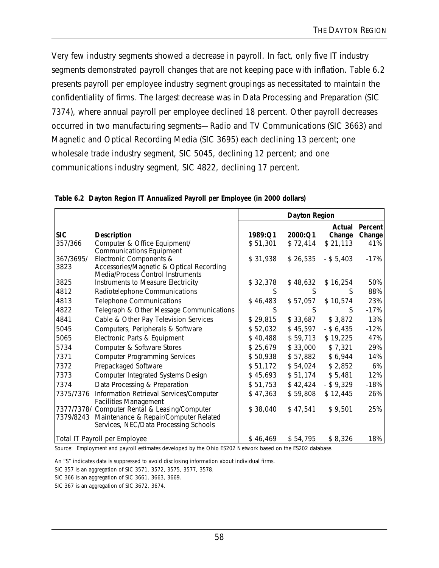Very few industry segments showed a decrease in payroll. In fact, only five IT industry segments demonstrated payroll changes that are not keeping pace with inflation. Table 6.2 presents payroll per employee industry segment groupings as necessitated to maintain the confidentiality of firms. The largest decrease was in Data Processing and Preparation (SIC 7374), where annual payroll per employee declined 18 percent. Other payroll decreases occurred in two manufacturing segments—Radio and TV Communications (SIC 3663) and Magnetic and Optical Recording Media (SIC 3695) each declining 13 percent; one wholesale trade industry segment, SIC 5045, declining 12 percent; and one communications industry segment, SIC 4822, declining 17 percent.

|                   |                                                                                                                                 | <b>Dayton Region</b> |          |                  |                   |
|-------------------|---------------------------------------------------------------------------------------------------------------------------------|----------------------|----------|------------------|-------------------|
| <b>SIC</b>        | <b>Description</b>                                                                                                              | 1989:Q1              | 2000:Q1  | Actual<br>Change | Percent<br>Change |
| 357/366           | Computer & Office Equipment/<br><b>Communications Equipment</b>                                                                 | \$51,301             | \$72,414 | \$21,113         | 41%               |
| 367/3695/<br>3823 | Electronic Components &<br>Accessories/Magnetic & Optical Recording<br>Media/Process Control Instruments                        | \$31,938             | \$26,535 | $-$ \$ 5,403     | $-17%$            |
| 3825              | Instruments to Measure Electricity                                                                                              | \$32,378             | \$48,632 | \$16,254         | 50%               |
| 4812              | Radiotelephone Communications                                                                                                   | S                    | S        | S                | 88%               |
| 4813              | <b>Telephone Communications</b>                                                                                                 | \$46,483             | \$57,057 | \$10,574         | 23%               |
| 4822              | Telegraph & Other Message Communications                                                                                        | S                    | S        | S                | $-17%$            |
| 4841              | Cable & Other Pay Television Services                                                                                           | \$29,815             | \$33,687 | \$3,872          | 13%               |
| 5045              | Computers, Peripherals & Software                                                                                               | \$52,032             | \$45,597 | $-$ \$ 6,435     | $-12%$            |
| 5065              | Electronic Parts & Equipment                                                                                                    | \$40,488             | \$59,713 | \$19,225         | 47%               |
| 5734              | Computer & Software Stores                                                                                                      | \$25,679             | \$33,000 | \$7,321          | 29%               |
| 7371              | <b>Computer Programming Services</b>                                                                                            | \$50,938             | \$57,882 | \$6,944          | 14%               |
| 7372              | Prepackaged Software                                                                                                            | \$51,172             | \$54,024 | \$2,852          | 6%                |
| 7373              | Computer Integrated Systems Design                                                                                              | \$45,693             | \$51,174 | \$5,481          | 12%               |
| 7374              | Data Processing & Preparation                                                                                                   | \$51,753             | \$42,424 | $-$ \$9,329      | $-18%$            |
| 7375/7376         | Information Retrieval Services/Computer<br><b>Facilities Management</b>                                                         | \$47,363             | \$59,808 | \$12,445         | 26%               |
| 7379/8243         | 7377/7378/ Computer Rental & Leasing/Computer<br>Maintenance & Repair/Computer Related<br>Services, NEC/Data Processing Schools | \$38,040             | \$47,541 | \$9,501          | 25%               |
|                   | Total IT Payroll per Employee                                                                                                   | \$46,469             | \$54,795 | \$8,326          | 18%               |

**Table 6.2 Dayton Region IT Annualized Payroll per Employee (in 2000 dollars)**

Source: Employment and payroll estimates developed by the Ohio ES202 Network based on the ES202 database.

An "S" indicates data is suppressed to avoid disclosing information about individual firms.

SIC 357 is an aggregation of SIC 3571, 3572, 3575, 3577, 3578.

SIC 366 is an aggregation of SIC 3661, 3663, 3669.

SIC 367 is an aggregation of SIC 3672, 3674.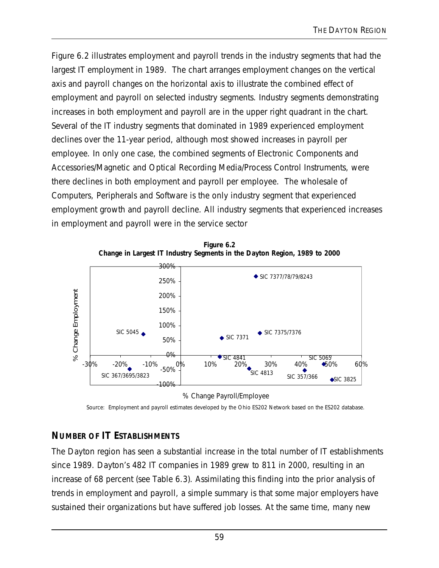Figure 6.2 illustrates employment and payroll trends in the industry segments that had the largest IT employment in 1989. The chart arranges employment changes on the vertical axis and payroll changes on the horizontal axis to illustrate the combined effect of employment and payroll on selected industry segments. Industry segments demonstrating increases in both employment and payroll are in the upper right quadrant in the chart. Several of the IT industry segments that dominated in 1989 experienced employment declines over the 11-year period, although most showed increases in payroll per employee. In only one case, the combined segments of Electronic Components and Accessories/Magnetic and Optical Recording Media/Process Control Instruments, were there declines in both employment and payroll per employee. The wholesale of Computers, Peripherals and Software is the only industry segment that experienced employment growth and payroll decline. All industry segments that experienced increases in employment and payroll were in the service sector



**Figure 6.2 Change in Largest IT Industry Segments in the Dayton Region, 1989 to 2000**

% Change Payroll/Employee

Source: Employment and payroll estimates developed by the Ohio ES202 Network based on the ES202 database.

## **NUMBER OF IT ESTABLISHMENTS**

The Dayton region has seen a substantial increase in the total number of IT establishments since 1989. Dayton's 482 IT companies in 1989 grew to 811 in 2000, resulting in an increase of 68 percent (see Table 6.3). Assimilating this finding into the prior analysis of trends in employment and payroll, a simple summary is that some major employers have sustained their organizations but have suffered job losses. At the same time, many new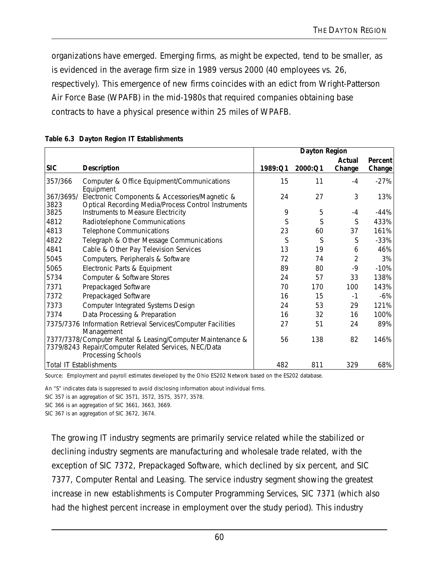organizations have emerged. Emerging firms, as might be expected, tend to be smaller, as is evidenced in the average firm size in 1989 versus 2000 (40 employees vs. 26, respectively). This emergence of new firms coincides with an edict from Wright-Patterson Air Force Base (WPAFB) in the mid-1980s that required companies obtaining base contracts to have a physical presence within 25 miles of WPAFB.

|                   |                                                                                                                                          | Dayton Region |         |        |         |
|-------------------|------------------------------------------------------------------------------------------------------------------------------------------|---------------|---------|--------|---------|
|                   |                                                                                                                                          |               |         | Actual | Percent |
| <b>SIC</b>        | <b>Description</b>                                                                                                                       | 1989:Q1       | 2000:Q1 | Change | Change  |
| 357/366           | Computer & Office Equipment/Communications<br>Equipment                                                                                  | 15            | 11      | $-4$   | $-27%$  |
| 367/3695/<br>3823 | Electronic Components & Accessories/Magnetic &<br>Optical Recording Media/Process Control Instruments                                    | 24            | 27      | 3      | 13%     |
| 3825              | Instruments to Measure Electricity                                                                                                       | 9             | 5       | $-4$   | $-44%$  |
| 4812              | Radiotelephone Communications                                                                                                            | S             | S       | S      | 433%    |
| 4813              | <b>Telephone Communications</b>                                                                                                          | 23            | 60      | 37     | 161%    |
| 4822              | Telegraph & Other Message Communications                                                                                                 | S             | S       | S      | $-33%$  |
| 4841              | Cable & Other Pay Television Services                                                                                                    | 13            | 19      | 6      | 46%     |
| 5045              | Computers, Peripherals & Software                                                                                                        | 72            | 74      | 2      | 3%      |
| 5065              | Electronic Parts & Equipment                                                                                                             | 89            | 80      | -9     | $-10%$  |
| 5734              | Computer & Software Stores                                                                                                               | 24            | 57      | 33     | 138%    |
| 7371              | Prepackaged Software                                                                                                                     | 70            | 170     | 100    | 143%    |
| 7372              | Prepackaged Software                                                                                                                     | 16            | 15      | $-1$   | $-6\%$  |
| 7373              | Computer Integrated Systems Design                                                                                                       | 24            | 53      | 29     | 121%    |
| 7374              | Data Processing & Preparation                                                                                                            | 16            | 32      | 16     | 100%    |
|                   | 7375/7376 Information Retrieval Services/Computer Facilities<br>Management                                                               | 27            | 51      | 24     | 89%     |
|                   | 7377/7378/Computer Rental & Leasing/Computer Maintenance &<br>7379/8243 Repair/Computer Related Services, NEC/Data<br>Processing Schools | 56            | 138     | 82     | 146%    |
|                   | <b>Total IT Establishments</b>                                                                                                           | 482           | 811     | 329    | 68%     |

|  |  | Table 6.3 Dayton Region IT Establishments |
|--|--|-------------------------------------------|
|  |  |                                           |

Source: Employment and payroll estimates developed by the Ohio ES202 Network based on the ES202 database.

An "S" indicates data is suppressed to avoid disclosing information about individual firms.

SIC 357 is an aggregation of SIC 3571, 3572, 3575, 3577, 3578.

SIC 366 is an aggregation of SIC 3661, 3663, 3669.

SIC 367 is an aggregation of SIC 3672, 3674.

The growing IT industry segments are primarily service related while the stabilized or declining industry segments are manufacturing and wholesale trade related, with the exception of SIC 7372, Prepackaged Software, which declined by six percent, and SIC 7377, Computer Rental and Leasing. The service industry segment showing the greatest increase in new establishments is Computer Programming Services, SIC 7371 (which also had the highest percent increase in employment over the study period). This industry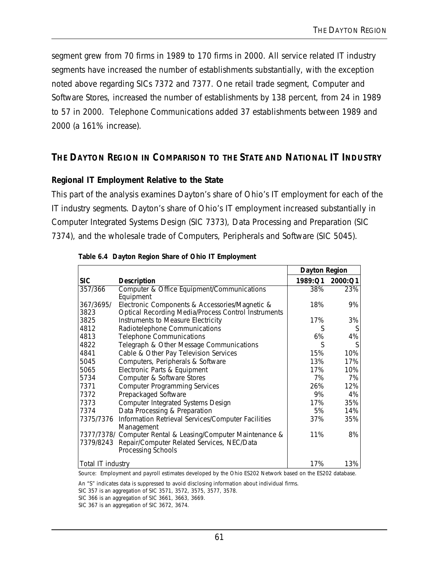segment grew from 70 firms in 1989 to 170 firms in 2000. All service related IT industry segments have increased the number of establishments substantially, with the exception noted above regarding SICs 7372 and 7377. One retail trade segment, Computer and Software Stores, increased the number of establishments by 138 percent, from 24 in 1989 to 57 in 2000. Telephone Communications added 37 establishments between 1989 and 2000 (a 161% increase).

### **THE DAYTON REGION IN COMPARISON TO THE STATE AND NATIONAL IT INDUSTRY**

### **Regional IT Employment Relative to the State**

This part of the analysis examines Dayton's share of Ohio's IT employment for each of the IT industry segments. Dayton's share of Ohio's IT employment increased substantially in Computer Integrated Systems Design (SIC 7373), Data Processing and Preparation (SIC 7374), and the wholesale trade of Computers, Peripherals and Software (SIC 5045).

|                   |                                                     | <b>Dayton Region</b> |         |
|-------------------|-----------------------------------------------------|----------------------|---------|
| <b>SIC</b>        | <b>Description</b>                                  | 1989:Q1              | 2000:Q1 |
| 357/366           | Computer & Office Equipment/Communications          | 38%                  | 23%     |
|                   | Equipment                                           |                      |         |
| 367/3695/         | Electronic Components & Accessories/Magnetic &      | 18%                  | 9%      |
| 3823              | Optical Recording Media/Process Control Instruments |                      |         |
| 3825              | Instruments to Measure Electricity                  | 17%                  | 3%      |
| 4812              | Radiotelephone Communications                       | S                    |         |
| 4813              | <b>Telephone Communications</b>                     | 6%                   | 4%      |
| 4822              | Telegraph & Other Message Communications            | S                    |         |
| 4841              | Cable & Other Pay Television Services               | 15%                  | 10%     |
| 5045              | Computers, Peripherals & Software                   | 13%                  | 17%     |
| 5065              | Electronic Parts & Equipment                        | 17%                  | 10%     |
| 5734              | Computer & Software Stores                          | 7%                   | 7%      |
| 7371              | <b>Computer Programming Services</b>                | 26%                  | 12%     |
| 7372              | Prepackaged Software                                | 9%                   | 4%      |
| 7373              | Computer Integrated Systems Design                  | 17%                  | 35%     |
| 7374              | Data Processing & Preparation                       | 5%                   | 14%     |
| 7375/7376         | Information Retrieval Services/Computer Facilities  | 37%                  | 35%     |
|                   | Management                                          |                      |         |
| 7377/7378/        | Computer Rental & Leasing/Computer Maintenance &    | 11%                  | 8%      |
| 7379/8243         | Repair/Computer Related Services, NEC/Data          |                      |         |
|                   | Processing Schools                                  |                      |         |
| Total IT industry |                                                     | 17%                  | 13%     |

|  |  |  | Table 6.4 Dayton Region Share of Ohio IT Employment |
|--|--|--|-----------------------------------------------------|
|  |  |  |                                                     |

Source: Employment and payroll estimates developed by the Ohio ES202 Network based on the ES202 database.

An "S" indicates data is suppressed to avoid disclosing information about individual firms.

SIC 357 is an aggregation of SIC 3571, 3572, 3575, 3577, 3578.

SIC 366 is an aggregation of SIC 3661, 3663, 3669.

SIC 367 is an aggregation of SIC 3672, 3674.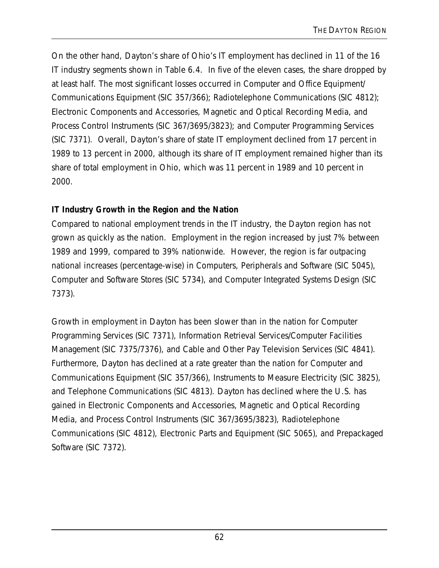On the other hand, Dayton's share of Ohio's IT employment has declined in 11 of the 16 IT industry segments shown in Table 6.4. In five of the eleven cases, the share dropped by at least half. The most significant losses occurred in Computer and Office Equipment/ Communications Equipment (SIC 357/366); Radiotelephone Communications (SIC 4812); Electronic Components and Accessories, Magnetic and Optical Recording Media, and Process Control Instruments (SIC 367/3695/3823); and Computer Programming Services (SIC 7371). Overall, Dayton's share of state IT employment declined from 17 percent in 1989 to 13 percent in 2000, although its share of IT employment remained higher than its share of total employment in Ohio, which was 11 percent in 1989 and 10 percent in 2000.

## **IT Industry Growth in the Region and the Nation**

Compared to national employment trends in the IT industry, the Dayton region has not grown as quickly as the nation. Employment in the region increased by just 7% between 1989 and 1999, compared to 39% nationwide. However, the region is far outpacing national increases (percentage-wise) in Computers, Peripherals and Software (SIC 5045), Computer and Software Stores (SIC 5734), and Computer Integrated Systems Design (SIC 7373).

Growth in employment in Dayton has been slower than in the nation for Computer Programming Services (SIC 7371), Information Retrieval Services/Computer Facilities Management (SIC 7375/7376), and Cable and Other Pay Television Services (SIC 4841). Furthermore, Dayton has declined at a rate greater than the nation for Computer and Communications Equipment (SIC 357/366), Instruments to Measure Electricity (SIC 3825), and Telephone Communications (SIC 4813). Dayton has declined where the U.S. has gained in Electronic Components and Accessories, Magnetic and Optical Recording Media, and Process Control Instruments (SIC 367/3695/3823), Radiotelephone Communications (SIC 4812), Electronic Parts and Equipment (SIC 5065), and Prepackaged Software (SIC 7372).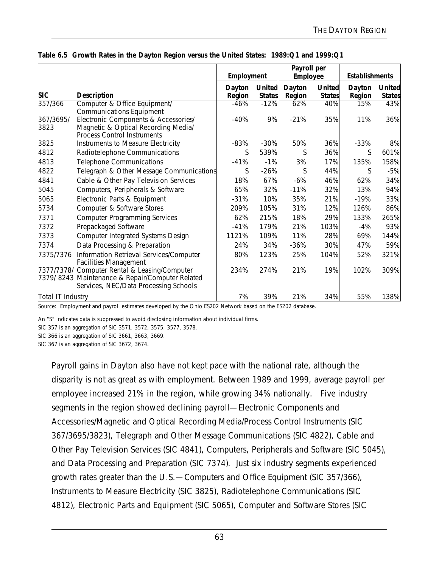|                   |                                                                                                                                           |                  | Employment                     |                  | Payroll per<br>Employee        |                  | <b>Establishments</b>          |  |
|-------------------|-------------------------------------------------------------------------------------------------------------------------------------------|------------------|--------------------------------|------------------|--------------------------------|------------------|--------------------------------|--|
| <b>SIC</b>        | <b>Description</b>                                                                                                                        | Dayton<br>Region | <b>United</b><br><b>States</b> | Dayton<br>Region | <b>United</b><br><b>States</b> | Dayton<br>Region | <b>United</b><br><b>States</b> |  |
| 357/366           | Computer & Office Equipment/<br><b>Communications Equipment</b>                                                                           | $-46%$           | $-12%$                         | 62%              | 40%                            | 15%              | 43%                            |  |
| 367/3695/<br>3823 | Electronic Components & Accessories/<br>Magnetic & Optical Recording Media/<br><b>Process Control Instruments</b>                         | $-40%$           | 9%                             | $-21%$           | 35%                            | 11%              | 36%                            |  |
| 3825              | Instruments to Measure Electricity                                                                                                        | $-83%$           | $-30%$                         | 50%              | 36%                            | $-33%$           | 8%                             |  |
| 4812              | Radiotelephone Communications                                                                                                             | S                | 539%                           | S                | 36%                            | S                | 601%                           |  |
| 4813              | <b>Telephone Communications</b>                                                                                                           | $-41%$           | $-1%$                          | 3%               | 17%                            | 135%             | 158%                           |  |
| 4822              | Telegraph & Other Message Communications                                                                                                  | S                | $-26%$                         | S                | 44%                            | S                | $-5%$                          |  |
| 4841              | Cable & Other Pay Television Services                                                                                                     | 18%              | 67%                            | $-6%$            | 46%                            | 62%              | 34%                            |  |
| 5045              | Computers, Peripherals & Software                                                                                                         | 65%              | 32%                            | $-11%$           | 32%                            | 13%              | 94%                            |  |
| 5065              | Electronic Parts & Equipment                                                                                                              | $-31%$           | 10%                            | 35%              | 21%                            | $-19%$           | 33%                            |  |
| 5734              | Computer & Software Stores                                                                                                                | 209%             | 105%                           | 31%              | 12%                            | 126%             | 86%                            |  |
| 7371              | <b>Computer Programming Services</b>                                                                                                      | 62%              | 215%                           | 18%              | 29%                            | 133%             | 265%                           |  |
| 7372              | Prepackaged Software                                                                                                                      | $-41%$           | 179%                           | 21%              | 103%                           | $-4%$            | 93%                            |  |
| 7373              | Computer Integrated Systems Design                                                                                                        | 1121%            | 109%                           | 11%              | 28%                            | 69%              | 144%                           |  |
| 7374              | Data Processing & Preparation                                                                                                             | 24%              | 34%                            | $-36%$           | 30%                            | 47%              | 59%                            |  |
| 7375/7376         | Information Retrieval Services/Computer<br><b>Facilities Management</b>                                                                   | 80%              | 123%                           | 25%              | 104%                           | 52%              | 321%                           |  |
|                   | 7377/7378/ Computer Rental & Leasing/Computer<br>7379/8243 Maintenance & Repair/Computer Related<br>Services, NEC/Data Processing Schools | 234%             | 274%                           | 21%              | 19%                            | 102%             | 309%                           |  |
| Total IT Industry |                                                                                                                                           | 7%               | 39%                            | 21%              | 34%                            | 55%              | 138%                           |  |

Source: Employment and payroll estimates developed by the Ohio ES202 Network based on the ES202 database.

An "S" indicates data is suppressed to avoid disclosing information about individual firms.

SIC 357 is an aggregation of SIC 3571, 3572, 3575, 3577, 3578.

SIC 366 is an aggregation of SIC 3661, 3663, 3669.

SIC 367 is an aggregation of SIC 3672, 3674.

Payroll gains in Dayton also have not kept pace with the national rate, although the disparity is not as great as with employment. Between 1989 and 1999, average payroll per employee increased 21% in the region, while growing 34% nationally. Five industry segments in the region showed declining payroll—Electronic Components and Accessories/Magnetic and Optical Recording Media/Process Control Instruments (SIC 367/3695/3823), Telegraph and Other Message Communications (SIC 4822), Cable and Other Pay Television Services (SIC 4841), Computers, Peripherals and Software (SIC 5045), and Data Processing and Preparation (SIC 7374). Just six industry segments experienced growth rates greater than the U.S.—Computers and Office Equipment (SIC 357/366), Instruments to Measure Electricity (SIC 3825), Radiotelephone Communications (SIC 4812), Electronic Parts and Equipment (SIC 5065), Computer and Software Stores (SIC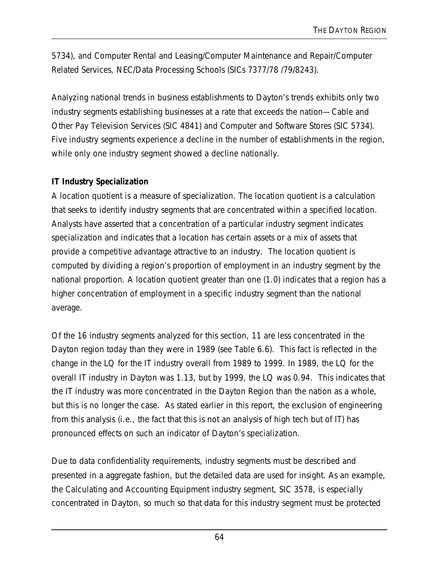5734), and Computer Rental and Leasing/Computer Maintenance and Repair/Computer Related Services, NEC/Data Processing Schools (SICs 7377/78 /79/8243).

Analyzing national trends in business establishments to Dayton's trends exhibits only two industry segments establishing businesses at a rate that exceeds the nation—Cable and Other Pay Television Services (SIC 4841) and Computer and Software Stores (SIC 5734). Five industry segments experience a decline in the number of establishments in the region, while only one industry segment showed a decline nationally.

### **IT Industry Specialization**

A location quotient is a measure of specialization. The location quotient is a calculation that seeks to identify industry segments that are concentrated within a specified location. Analysts have asserted that a concentration of a particular industry segment indicates specialization and indicates that a location has certain assets or a mix of assets that provide a competitive advantage attractive to an industry. The location quotient is computed by dividing a region's proportion of employment in an industry segment by the national proportion. A location quotient greater than one (1.0) indicates that a region has a higher concentration of employment in a specific industry segment than the national average.

Of the 16 industry segments analyzed for this section, 11 are less concentrated in the Dayton region today than they were in 1989 (see Table 6.6). This fact is reflected in the change in the LQ for the IT industry overall from 1989 to 1999. In 1989, the LQ for the overall IT industry in Dayton was 1.13, but by 1999, the LQ was 0.94. This indicates that the IT industry was more concentrated in the Dayton Region than the nation as a whole, but this is no longer the case. As stated earlier in this report, the exclusion of engineering from this analysis (i.e., the fact that this is not an analysis of high tech but of IT) has pronounced effects on such an indicator of Dayton's specialization.

Due to data confidentiality requirements, industry segments must be described and presented in a aggregate fashion, but the detailed data are used for insight. As an example, the Calculating and Accounting Equipment industry segment, SIC 3578, is especially concentrated in Dayton, so much so that data for this industry segment must be protected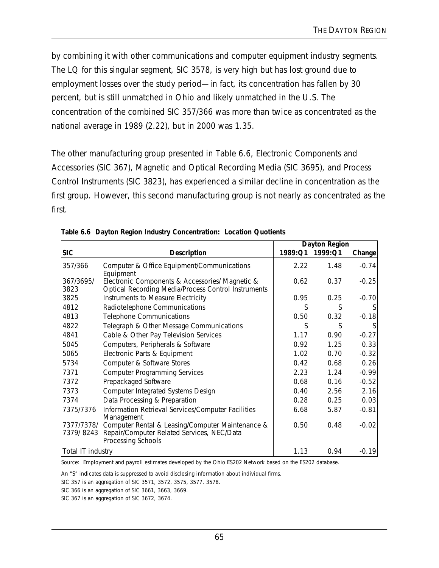by combining it with other communications and computer equipment industry segments. The LQ for this singular segment, SIC 3578, is very high but has lost ground due to employment losses over the study period—in fact, its concentration has fallen by 30 percent, but is still unmatched in Ohio and likely unmatched in the U.S. The concentration of the combined SIC 357/366 was more than twice as concentrated as the national average in 1989 (2.22), but in 2000 was 1.35.

The other manufacturing group presented in Table 6.6, Electronic Components and Accessories (SIC 367), Magnetic and Optical Recording Media (SIC 3695), and Process Control Instruments (SIC 3823), has experienced a similar decline in concentration as the first group. However, this second manufacturing group is not nearly as concentrated as the first.

|                         |                                                                                                                      | Dayton Region |         |         |
|-------------------------|----------------------------------------------------------------------------------------------------------------------|---------------|---------|---------|
| <b>SIC</b>              | Description                                                                                                          | 1989:Q1       | 1999:Q1 | Change  |
| 357/366                 | Computer & Office Equipment/Communications<br>Equipment                                                              | 2.22          | 1.48    | $-0.74$ |
| 367/3695/<br>3823       | Electronic Components & Accessories/ Magnetic &<br><b>Optical Recording Media/Process Control Instruments</b>        | 0.62          | 0.37    | $-0.25$ |
| 3825                    | Instruments to Measure Electricity                                                                                   | 0.95          | 0.25    | $-0.70$ |
| 4812                    | Radiotelephone Communications                                                                                        | S             | S       |         |
| 4813                    | <b>Telephone Communications</b>                                                                                      | 0.50          | 0.32    | $-0.18$ |
| 4822                    | Telegraph & Other Message Communications                                                                             | S             | S       |         |
| 4841                    | Cable & Other Pay Television Services                                                                                | 1.17          | 0.90    | $-0.27$ |
| 5045                    | Computers, Peripherals & Software                                                                                    | 0.92          | 1.25    | 0.33    |
| 5065                    | Electronic Parts & Equipment                                                                                         | 1.02          | 0.70    | $-0.32$ |
| 5734                    | Computer & Software Stores                                                                                           | 0.42          | 0.68    | 0.26    |
| 7371                    | <b>Computer Programming Services</b>                                                                                 | 2.23          | 1.24    | $-0.99$ |
| 7372                    | Prepackaged Software                                                                                                 | 0.68          | 0.16    | $-0.52$ |
| 7373                    | Computer Integrated Systems Design                                                                                   | 0.40          | 2.56    | 2.16    |
| 7374                    | Data Processing & Preparation                                                                                        | 0.28          | 0.25    | 0.03    |
| 7375/7376               | Information Retrieval Services/Computer Facilities<br>Management                                                     | 6.68          | 5.87    | $-0.81$ |
| 7377/7378/<br>7379/8243 | Computer Rental & Leasing/Computer Maintenance &<br>Repair/Computer Related Services, NEC/Data<br>Processing Schools | 0.50          | 0.48    | $-0.02$ |
| Total IT industry       |                                                                                                                      | 1.13          | 0.94    | $-0.19$ |

|  |  | Table 6.6 Dayton Region Industry Concentration: Location Quotients |
|--|--|--------------------------------------------------------------------|
|  |  |                                                                    |

Source: Employment and payroll estimates developed by the Ohio ES202 Network based on the ES202 database.

An "S" indicates data is suppressed to avoid disclosing information about individual firms.

SIC 357 is an aggregation of SIC 3571, 3572, 3575, 3577, 3578.

SIC 366 is an aggregation of SIC 3661, 3663, 3669.

SIC 367 is an aggregation of SIC 3672, 3674.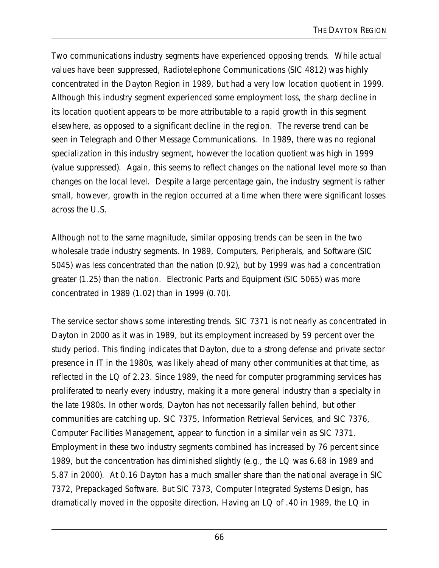Two communications industry segments have experienced opposing trends. While actual values have been suppressed, Radiotelephone Communications (SIC 4812) was highly concentrated in the Dayton Region in 1989, but had a very low location quotient in 1999. Although this industry segment experienced some employment loss, the sharp decline in its location quotient appears to be more attributable to a rapid growth in this segment elsewhere, as opposed to a significant decline in the region. The reverse trend can be seen in Telegraph and Other Message Communications. In 1989, there was no regional specialization in this industry segment, however the location quotient was high in 1999 (value suppressed). Again, this seems to reflect changes on the national level more so than changes on the local level. Despite a large percentage gain, the industry segment is rather small, however, growth in the region occurred at a time when there were significant losses across the U.S.

Although not to the same magnitude, similar opposing trends can be seen in the two wholesale trade industry segments. In 1989, Computers, Peripherals, and Software (SIC 5045) was less concentrated than the nation (0.92), but by 1999 was had a concentration greater (1.25) than the nation. Electronic Parts and Equipment (SIC 5065) was more concentrated in 1989 (1.02) than in 1999 (0.70).

The service sector shows some interesting trends. SIC 7371 is not nearly as concentrated in Dayton in 2000 as it was in 1989, but its employment increased by 59 percent over the study period. This finding indicates that Dayton, due to a strong defense and private sector presence in IT in the 1980s, was likely ahead of many other communities at that time, as reflected in the LQ of 2.23. Since 1989, the need for computer programming services has proliferated to nearly every industry, making it a more general industry than a specialty in the late 1980s. In other words, Dayton has not necessarily fallen behind, but other communities are catching up. SIC 7375, Information Retrieval Services, and SIC 7376, Computer Facilities Management, appear to function in a similar vein as SIC 7371. Employment in these two industry segments combined has increased by 76 percent since 1989, but the concentration has diminished slightly (e.g., the LQ was 6.68 in 1989 and 5.87 in 2000). At 0.16 Dayton has a much smaller share than the national average in SIC 7372, Prepackaged Software. But SIC 7373, Computer Integrated Systems Design, has dramatically moved in the opposite direction. Having an LQ of .40 in 1989, the LQ in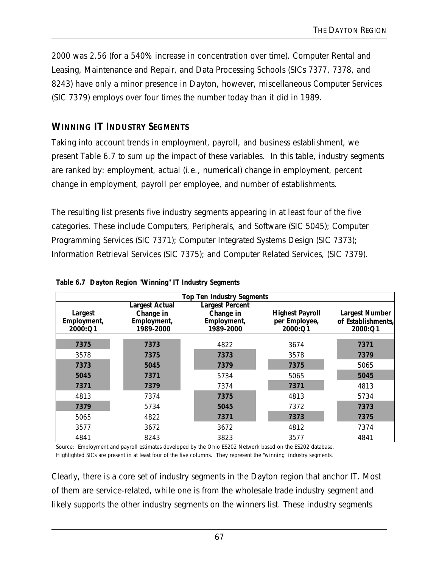2000 was 2.56 (for a 540% increase in concentration over time). Computer Rental and Leasing, Maintenance and Repair, and Data Processing Schools (SICs 7377, 7378, and 8243) have only a minor presence in Dayton, however, miscellaneous Computer Services (SIC 7379) employs over four times the number today than it did in 1989.

# **WINNING IT INDUSTRY SEGMENTS**

Taking into account trends in employment, payroll, and business establishment, we present Table 6.7 to sum up the impact of these variables. In this table, industry segments are ranked by: employment, actual (i.e., numerical) change in employment, percent change in employment, payroll per employee, and number of establishments.

The resulting list presents five industry segments appearing in at least four of the five categories. These include Computers, Peripherals, and Software (SIC 5045); Computer Programming Services (SIC 7371); Computer Integrated Systems Design (SIC 7373); Information Retrieval Services (SIC 7375); and Computer Related Services, (SIC 7379).

|                        |                             | <b>Top Ten Industry Segments</b>    |                          |                               |
|------------------------|-----------------------------|-------------------------------------|--------------------------|-------------------------------|
| Largest                | Largest Actual<br>Change in | <b>Largest Percent</b><br>Change in | <b>Highest Payroll</b>   | <b>Largest Number</b>         |
| Employment,<br>2000:Q1 | Employment,<br>1989-2000    | Employment,<br>1989-2000            | per Employee,<br>2000:Q1 | of Establishments,<br>2000:Q1 |
|                        |                             |                                     |                          |                               |
| 7375                   | 7373                        | 4822                                | 3674                     | 7371                          |
| 3578                   | 7375                        | 7373                                | 3578                     | 7379                          |
| 7373                   | 5045                        | 7379                                | 7375                     | 5065                          |
| 5045                   | 7371                        | 5734                                | 5065                     | 5045                          |
| 7371                   | 7379                        | 7374                                | 7371                     | 4813                          |
| 4813                   | 7374                        | 7375                                | 4813                     | 5734                          |
| 7379                   | 5734                        | 5045                                | 7372                     | 7373                          |
| 5065                   | 4822                        | 7371                                | 7373                     | 7375                          |
| 3577                   | 3672                        | 3672                                | 4812                     | 7374                          |
| 4841                   | 8243                        | 3823                                | 3577                     | 4841                          |

**Table 6.7 Dayton Region "Winning" IT Industry Segments**

Source: Employment and payroll estimates developed by the Ohio ES202 Network based on the ES202 database. Highlighted SICs are present in at least four of the five columns. They represent the "winning" industry segments.

Clearly, there is a core set of industry segments in the Dayton region that anchor IT. Most of them are service-related, while one is from the wholesale trade industry segment and likely supports the other industry segments on the winners list. These industry segments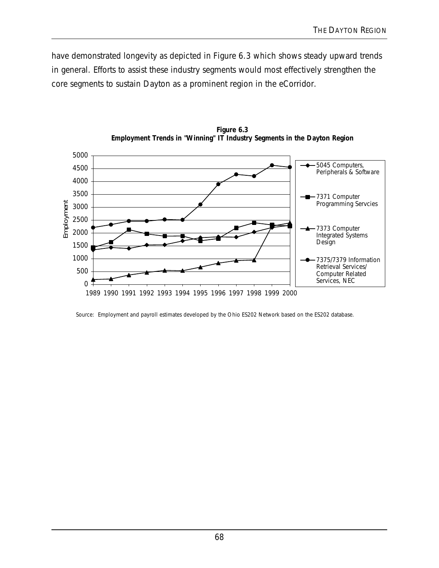have demonstrated longevity as depicted in Figure 6.3 which shows steady upward trends in general. Efforts to assist these industry segments would most effectively strengthen the core segments to sustain Dayton as a prominent region in the eCorridor.



**Figure 6.3 Employment Trends in "Winning" IT Industry Segments in the Dayton Region**

Source: Employment and payroll estimates developed by the Ohio ES202 Network based on the ES202 database.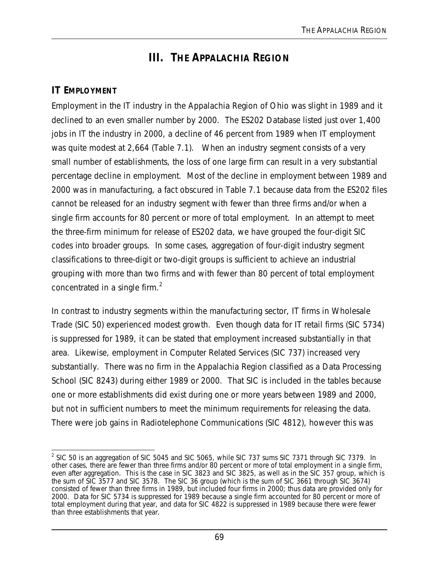# **III. THE APPALACHIA REGION**

# **IT EMPLOYMENT**

Employment in the IT industry in the Appalachia Region of Ohio was slight in 1989 and it declined to an even smaller number by 2000. The ES202 Database listed just over 1,400 jobs in IT the industry in 2000, a decline of 46 percent from 1989 when IT employment was quite modest at 2,664 (Table 7.1). When an industry segment consists of a very small number of establishments, the loss of one large firm can result in a very substantial percentage decline in employment. Most of the decline in employment between 1989 and 2000 was in manufacturing, a fact obscured in Table 7.1 because data from the ES202 files cannot be released for an industry segment with fewer than three firms and/or when a single firm accounts for 80 percent or more of total employment. In an attempt to meet the three-firm minimum for release of ES202 data, we have grouped the four-digit SIC codes into broader groups. In some cases, aggregation of four-digit industry segment classifications to three-digit or two-digit groups is sufficient to achieve an industrial grouping with more than two firms and with fewer than 80 percent of total employment concentrated in a single firm.<sup>2</sup>

In contrast to industry segments within the manufacturing sector, IT firms in Wholesale Trade (SIC 50) experienced modest growth. Even though data for IT retail firms (SIC 5734) is suppressed for 1989, it can be stated that employment increased substantially in that area. Likewise, employment in Computer Related Services (SIC 737) increased very substantially. There was no firm in the Appalachia Region classified as a Data Processing School (SIC 8243) during either 1989 or 2000. That SIC is included in the tables because one or more establishments did exist during one or more years between 1989 and 2000, but not in sufficient numbers to meet the minimum requirements for releasing the data. There were job gains in Radiotelephone Communications (SIC 4812), however this was

<sup>&</sup>lt;u>2</u><br><sup>2</sup> SIC 50 is an aggregation of SIC 5045 and SIC 5065, while SIC 737 sums SIC 7371 through SIC 7379. In other cases, there are fewer than three firms and/or 80 percent or more of total employment in a single firm, even after aggregation. This is the case in SIC 3823 and SIC 3825, as well as in the SIC 357 group, which is the sum of SIC 3577 and SIC 3578. The SIC 36 group (which is the sum of SIC 3661 through SIC 3674) consisted of fewer than three firms in 1989, but included four firms in 2000; thus data are provided only for 2000. Data for SIC 5734 is suppressed for 1989 because a single firm accounted for 80 percent or more of total employment during that year, and data for SIC 4822 is suppressed in 1989 because there were fewer than three establishments that year.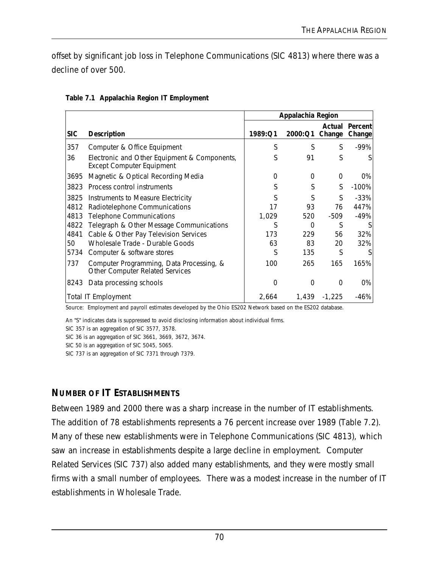offset by significant job loss in Telephone Communications (SIC 4813) where there was a decline of over 500.

|            |                                                                                    | Appalachia Region |              |                  |                   |
|------------|------------------------------------------------------------------------------------|-------------------|--------------|------------------|-------------------|
| <b>SIC</b> | <b>Description</b>                                                                 | 1989:Q1           | 2000:Q1      | Actual<br>Change | Percent<br>Change |
| 357        | Computer & Office Equipment                                                        | S                 | S            | S                | -99%              |
| 36         | Electronic and Other Equipment & Components,<br><b>Except Computer Equipment</b>   | S                 | 91           | S                |                   |
| 3695       | Magnetic & Optical Recording Media                                                 | 0                 | 0            | $\Omega$         | 0%                |
| 3823       | Process control instruments                                                        | S                 | S            | S                | $-100\%$          |
| 3825       | Instruments to Measure Electricity                                                 | S                 | S            | S                | $-33%$            |
| 4812       | Radiotelephone Communications                                                      | 17                | 93           | 76               | 447%              |
| 4813       | <b>Telephone Communications</b>                                                    | 1,029             | 520          | -509             | $-49%$            |
| 4822       | Telegraph & Other Message Communications                                           | S                 | $\Omega$     | S                |                   |
| 4841       | Cable & Other Pay Television Services                                              | 173               | 229          | 56               | 32%               |
| 50         | Wholesale Trade - Durable Goods                                                    | 63                | 83           | 20               | 32%               |
| 5734       | Computer & software stores                                                         | S                 | 135          | S                |                   |
| 737        | Computer Programming, Data Processing, &<br><b>Other Computer Related Services</b> | 100               | 265          | 165              | 165%              |
| 8243       | Data processing schools                                                            | $\Omega$          | <sup>0</sup> | $\Omega$         | $0\%$             |
|            | <b>Total IT Employment</b>                                                         | 2,664             | 1,439        | $-1,225$         | -46%              |

#### **Table 7.1 Appalachia Region IT Employment**

Source: Employment and payroll estimates developed by the Ohio ES202 Network based on the ES202 database.

An "S" indicates data is suppressed to avoid disclosing information about individual firms.

SIC 357 is an aggregation of SIC 3577, 3578.

SIC 36 is an aggregation of SIC 3661, 3669, 3672, 3674.

SIC 50 is an aggregation of SIC 5045, 5065.

SIC 737 is an aggregation of SIC 7371 through 7379.

### **NUMBER OF IT ESTABLISHMENTS**

Between 1989 and 2000 there was a sharp increase in the number of IT establishments. The addition of 78 establishments represents a 76 percent increase over 1989 (Table 7.2). Many of these new establishments were in Telephone Communications (SIC 4813), which saw an increase in establishments despite a large decline in employment. Computer Related Services (SIC 737) also added many establishments, and they were mostly small firms with a small number of employees. There was a modest increase in the number of IT establishments in Wholesale Trade.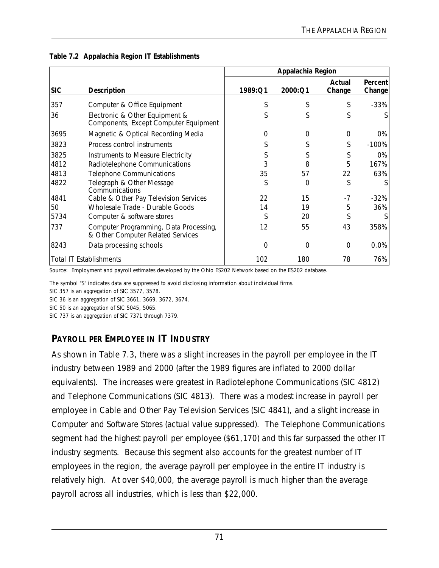|            |                                                                             | Appalachia Region |             |                  |                          |  |
|------------|-----------------------------------------------------------------------------|-------------------|-------------|------------------|--------------------------|--|
| <b>SIC</b> | <b>Description</b>                                                          | 1989:Q1           | 2000:Q1     | Actual<br>Change | <b>Percent</b><br>Change |  |
| 357        | Computer & Office Equipment                                                 | S                 | S           | S                | $-33%$                   |  |
| 36         | Electronic & Other Equipment &<br>Components, Except Computer Equipment     | S                 | S           | S                |                          |  |
| 3695       | Magnetic & Optical Recording Media                                          | 0                 | $\Omega$    | $\Omega$         | 0%                       |  |
| 3823       | Process control instruments                                                 | S                 | S           | S                | $-100\%$                 |  |
| 3825       | Instruments to Measure Electricity                                          | S                 | S           | S                | 0%                       |  |
| 4812       | Radiotelephone Communications                                               | 3                 | 8           | 5                | 167%                     |  |
| 4813       | <b>Telephone Communications</b>                                             | 35                | 57          | 22               | 63%                      |  |
| 4822       | Telegraph & Other Message<br>Communications                                 | S                 | 0           | S                |                          |  |
| 4841       | Cable & Other Pay Television Services                                       | 22                | 15          | -7               | $-32%$                   |  |
| 50         | Wholesale Trade - Durable Goods                                             | 14                | 19          | 5                | 36%                      |  |
| 5734       | Computer & software stores                                                  | S                 | 20          | S                |                          |  |
| 737        | Computer Programming, Data Processing,<br>& Other Computer Related Services | 12                | 55          | 43               | 358%                     |  |
| 8243       | Data processing schools                                                     | $\Omega$          | $\mathbf 0$ | $\Omega$         | 0.0%                     |  |
|            | <b>Total IT Establishments</b>                                              | 102               | 180         | 78               | 76%                      |  |

#### **Table 7.2 Appalachia Region IT Establishments**

Source: Employment and payroll estimates developed by the Ohio ES202 Network based on the ES202 database.

The symbol "S" indicates data are suppressed to avoid disclosing information about individual firms.

SIC 357 is an aggregation of SIC 3577, 3578.

SIC 36 is an aggregation of SIC 3661, 3669, 3672, 3674.

SIC 50 is an aggregation of SIC 5045, 5065.

SIC 737 is an aggregation of SIC 7371 through 7379.

# **PAYROLL PER EMPLOYEE IN IT INDUSTRY**

As shown in Table 7.3, there was a slight increases in the payroll per employee in the IT industry between 1989 and 2000 (after the 1989 figures are inflated to 2000 dollar equivalents). The increases were greatest in Radiotelephone Communications (SIC 4812) and Telephone Communications (SIC 4813). There was a modest increase in payroll per employee in Cable and Other Pay Television Services (SIC 4841), and a slight increase in Computer and Software Stores (actual value suppressed). The Telephone Communications segment had the highest payroll per employee (\$61,170) and this far surpassed the other IT industry segments. Because this segment also accounts for the greatest number of IT employees in the region, the average payroll per employee in the entire IT industry is relatively high. At over \$40,000, the average payroll is much higher than the average payroll across all industries, which is less than \$22,000.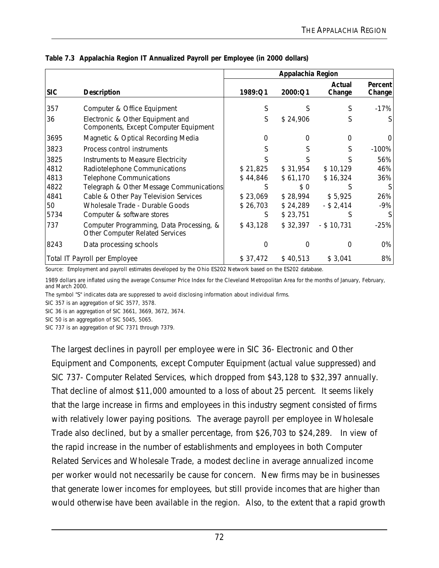|                                                           |                                                                                                                                                                                                                                                                                                          | Appalachia Region                                                  |                                                                              |                                                                       |                                             |  |
|-----------------------------------------------------------|----------------------------------------------------------------------------------------------------------------------------------------------------------------------------------------------------------------------------------------------------------------------------------------------------------|--------------------------------------------------------------------|------------------------------------------------------------------------------|-----------------------------------------------------------------------|---------------------------------------------|--|
| <b>SIC</b>                                                | <b>Description</b>                                                                                                                                                                                                                                                                                       | 1989:Q1                                                            | 2000:Q1                                                                      | Actual<br>Change                                                      | <b>Percent</b><br>Change                    |  |
| 357                                                       | Computer & Office Equipment                                                                                                                                                                                                                                                                              | S                                                                  | S                                                                            | S                                                                     | $-17\%$                                     |  |
| 36                                                        | Electronic & Other Equipment and<br>Components, Except Computer Equipment                                                                                                                                                                                                                                | S                                                                  | \$24,906                                                                     |                                                                       |                                             |  |
| 3695                                                      | Magnetic & Optical Recording Media                                                                                                                                                                                                                                                                       | $\left( \right)$                                                   | $\mathcal{L}$                                                                | 0                                                                     | $\left( \right)$                            |  |
| 3823                                                      | Process control instruments                                                                                                                                                                                                                                                                              |                                                                    |                                                                              |                                                                       | $-100\%$                                    |  |
| 3825<br>4812<br>4813<br>4822<br>4841<br>50<br>5734<br>737 | Instruments to Measure Electricity<br>Radiotelephone Communications<br><b>Telephone Communications</b><br>Telegraph & Other Message Communications<br>Cable & Other Pay Television Services<br>Wholesale Trade - Durable Goods<br>Computer & software stores<br>Computer Programming, Data Processing, & | \$21,825<br>\$44,846<br>S<br>\$23,069<br>\$26,703<br>S<br>\$43,128 | \$31,954<br>\$61,170<br>\$ 0<br>\$28,994<br>\$24,289<br>\$23,751<br>\$32,397 | \$10,129<br>\$16,324<br>\$5,925<br>$-$ \$ 2,414<br>S<br>$-$ \$ 10,731 | 56%<br>46%<br>36%<br>26%<br>$-9%$<br>$-25%$ |  |
|                                                           | Other Computer Related Services                                                                                                                                                                                                                                                                          |                                                                    |                                                                              |                                                                       |                                             |  |
| 8243                                                      | Data processing schools                                                                                                                                                                                                                                                                                  | O                                                                  | O                                                                            | O                                                                     | 0%                                          |  |
|                                                           | Total IT Payroll per Employee                                                                                                                                                                                                                                                                            | \$37,472                                                           | \$40,513                                                                     | \$3,041                                                               | 8%                                          |  |

**Table 7.3 Appalachia Region IT Annualized Payroll per Employee (in 2000 dollars)**

Source: Employment and payroll estimates developed by the Ohio ES202 Network based on the ES202 database.

1989 dollars are inflated using the average Consumer Price Index for the Cleveland Metropolitan Area for the months of January, February, and March 2000.

The symbol "S" indicates data are suppressed to avoid disclosing information about individual firms.

SIC 357 is an aggregation of SIC 3577, 3578.

SIC 36 is an aggregation of SIC 3661, 3669, 3672, 3674.

SIC 50 is an aggregation of SIC 5045, 5065.

SIC 737 is an aggregation of SIC 7371 through 7379.

The largest declines in payroll per employee were in SIC 36- Electronic and Other Equipment and Components, except Computer Equipment (actual value suppressed) and SIC 737- Computer Related Services, which dropped from \$43,128 to \$32,397 annually. That decline of almost \$11,000 amounted to a loss of about 25 percent. It seems likely that the large increase in firms and employees in this industry segment consisted of firms with relatively lower paying positions. The average payroll per employee in Wholesale Trade also declined, but by a smaller percentage, from \$26,703 to \$24,289. In view of the rapid increase in the number of establishments and employees in both Computer Related Services and Wholesale Trade, a modest decline in average annualized income per worker would not necessarily be cause for concern. New firms may be in businesses that generate lower incomes for employees, but still provide incomes that are higher than would otherwise have been available in the region. Also, to the extent that a rapid growth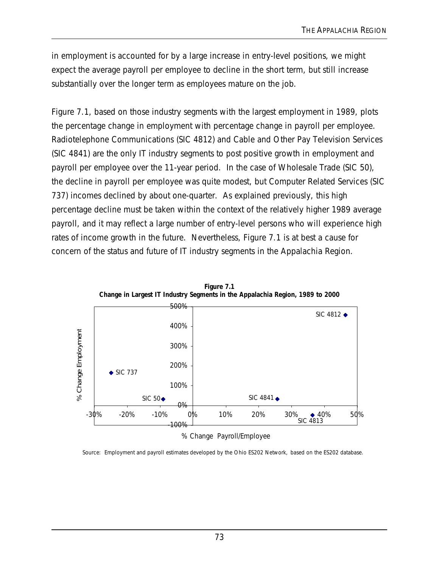in employment is accounted for by a large increase in entry-level positions, we might expect the average payroll per employee to decline in the short term, but still increase substantially over the longer term as employees mature on the job.

Figure 7.1, based on those industry segments with the largest employment in 1989, plots the percentage change in employment with percentage change in payroll per employee. Radiotelephone Communications (SIC 4812) and Cable and Other Pay Television Services (SIC 4841) are the only IT industry segments to post positive growth in employment and payroll per employee over the 11-year period. In the case of Wholesale Trade (SIC 50), the decline in payroll per employee was quite modest, but Computer Related Services (SIC 737) incomes declined by about one-quarter. As explained previously, this high percentage decline must be taken within the context of the relatively higher 1989 average payroll, and it may reflect a large number of entry-level persons who will experience high rates of income growth in the future. Nevertheless, Figure 7.1 is at best a cause for concern of the status and future of IT industry segments in the Appalachia Region.



**Figure 7.1**

% Change Payroll/Employee

Source: Employment and payroll estimates developed by the Ohio ES202 Network, based on the ES202 database.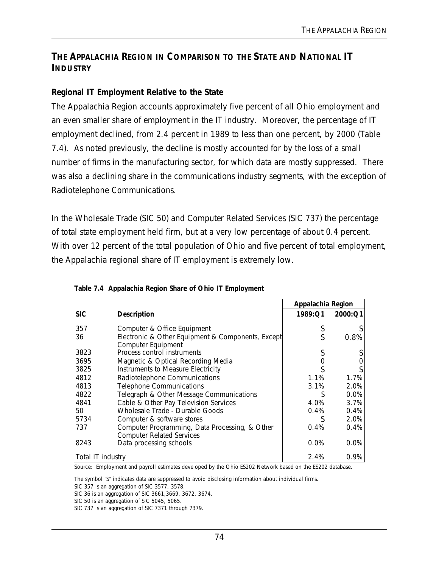### **THE APPALACHIA REGION IN COMPARISON TO THE STATE AND NATIONAL IT INDUSTRY**

#### **Regional IT Employment Relative to the State**

The Appalachia Region accounts approximately five percent of all Ohio employment and an even smaller share of employment in the IT industry. Moreover, the percentage of IT employment declined, from 2.4 percent in 1989 to less than one percent, by 2000 (Table 7.4). As noted previously, the decline is mostly accounted for by the loss of a small number of firms in the manufacturing sector, for which data are mostly suppressed. There was also a declining share in the communications industry segments, with the exception of Radiotelephone Communications.

In the Wholesale Trade (SIC 50) and Computer Related Services (SIC 737) the percentage of total state employment held firm, but at a very low percentage of about 0.4 percent. With over 12 percent of the total population of Ohio and five percent of total employment, the Appalachia regional share of IT employment is extremely low.

|                   |                                                                                    | Appalachia Region |         |
|-------------------|------------------------------------------------------------------------------------|-------------------|---------|
| <b>SIC</b>        | Description                                                                        | 1989:Q1           | 2000:Q1 |
| 357               | Computer & Office Equipment                                                        | S                 |         |
| 36                | Electronic & Other Equipment & Components, Except<br>Computer Equipment            | S                 | 0.8%    |
| 3823              | Process control instruments                                                        |                   |         |
| 3695              | Magnetic & Optical Recording Media                                                 |                   |         |
| 3825              | Instruments to Measure Electricity                                                 |                   |         |
| 4812              | Radiotelephone Communications                                                      | 1.1%              | 1.7%    |
| 4813              | <b>Telephone Communications</b>                                                    | 3.1%              | 2.0%    |
| 4822              | Telegraph & Other Message Communications                                           | S                 | 0.0%    |
| 4841              | Cable & Other Pay Television Services                                              | 4.0%              | 3.7%    |
| 50                | Wholesale Trade - Durable Goods                                                    | $0.4\%$           | 0.4%    |
| 5734              | Computer & software stores                                                         |                   | 2.0%    |
| 737               | Computer Programming, Data Processing, & Other<br><b>Computer Related Services</b> | 0.4%              | 0.4%    |
| 8243              | Data processing schools                                                            | 0.0%              | 0.0%    |
| Total IT industry |                                                                                    | 2.4%              | 0.9%    |

|  |  |  | Table 7.4 Appalachia Region Share of Ohio IT Employment |
|--|--|--|---------------------------------------------------------|
|  |  |  |                                                         |

Source: Employment and payroll estimates developed by the Ohio ES202 Network based on the ES202 database.

The symbol "S" indicates data are suppressed to avoid disclosing information about individual firms.

SIC 357 is an aggregation of SIC 3577, 3578.

SIC 36 is an aggregation of SIC 3661,3669, 3672, 3674.

SIC 50 is an aggregation of SIC 5045, 5065.

SIC 737 is an aggregation of SIC 7371 through 7379.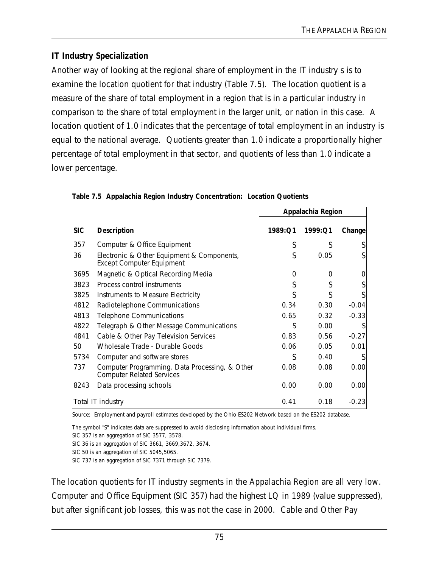## **IT Industry Specialization**

Another way of looking at the regional share of employment in the IT industry s is to examine the location quotient for that industry (Table 7.5). The location quotient is a measure of the share of total employment in a region that is in a particular industry in comparison to the share of total employment in the larger unit, or nation in this case. A location quotient of 1.0 indicates that the percentage of total employment in an industry is equal to the national average. Quotients greater than 1.0 indicate a proportionally higher percentage of total employment in that sector, and quotients of less than 1.0 indicate a lower percentage.

|            |                                                                                    | Appalachia Region |         |         |
|------------|------------------------------------------------------------------------------------|-------------------|---------|---------|
| <b>SIC</b> | <b>Description</b>                                                                 | 1989:Q1           | 1999:Q1 | Change  |
| 357        | Computer & Office Equipment                                                        | S                 | S       | S       |
| 36         | Electronic & Other Equipment & Components,<br><b>Except Computer Equipment</b>     | S                 | 0.05    |         |
| 3695       | Magnetic & Optical Recording Media                                                 | 0                 | 0       |         |
| 3823       | Process control instruments                                                        | S                 | S       |         |
| 3825       | Instruments to Measure Electricity                                                 | S                 | ς       |         |
| 4812       | Radiotelephone Communications                                                      | 0.34              | 0.30    | $-0.04$ |
| 4813       | <b>Telephone Communications</b>                                                    | 0.65              | 0.32    | $-0.33$ |
| 4822       | Telegraph & Other Message Communications                                           | S                 | 0.00    | S       |
| 4841       | Cable & Other Pay Television Services                                              | 0.83              | 0.56    | $-0.27$ |
| 50         | Wholesale Trade - Durable Goods                                                    | 0.06              | 0.05    | 0.01    |
| 5734       | Computer and software stores                                                       | S                 | 0.40    |         |
| 737        | Computer Programming, Data Processing, & Other<br><b>Computer Related Services</b> | 0.08              | 0.08    | 0.00    |
| 8243       | Data processing schools                                                            | 0.00              | 0.00    | 0.00    |
|            | Total IT industry                                                                  | 0.41              | 0.18    | $-0.23$ |

**Table 7.5 Appalachia Region Industry Concentration: Location Quotients**

Source: Employment and payroll estimates developed by the Ohio ES202 Network based on the ES202 database.

The symbol "S" indicates data are suppressed to avoid disclosing information about individual firms. SIC 357 is an aggregation of SIC 3577, 3578.

SIC 36 is an aggregation of SIC 3661, 3669,3672, 3674.

SIC 50 is an aggregation of SIC 5045,5065.

SIC 737 is an aggregation of SIC 7371 through SIC 7379.

The location quotients for IT industry segments in the Appalachia Region are all very low. Computer and Office Equipment (SIC 357) had the highest LQ in 1989 (value suppressed), but after significant job losses, this was not the case in 2000. Cable and Other Pay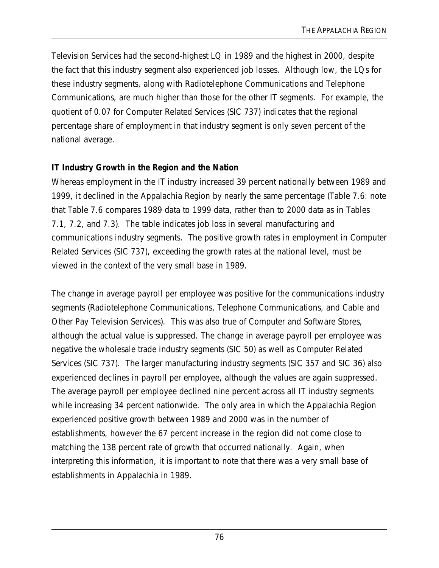Television Services had the second-highest LQ in 1989 and the highest in 2000, despite the fact that this industry segment also experienced job losses. Although low, the LQs for these industry segments, along with Radiotelephone Communications and Telephone Communications, are much higher than those for the other IT segments. For example, the quotient of 0.07 for Computer Related Services (SIC 737) indicates that the regional percentage share of employment in that industry segment is only seven percent of the national average.

#### **IT Industry Growth in the Region and the Nation**

Whereas employment in the IT industry increased 39 percent nationally between 1989 and 1999, it declined in the Appalachia Region by nearly the same percentage (Table 7.6: note that Table 7.6 compares 1989 data to 1999 data, rather than to 2000 data as in Tables 7.1, 7.2, and 7.3). The table indicates job loss in several manufacturing and communications industry segments. The positive growth rates in employment in Computer Related Services (SIC 737), exceeding the growth rates at the national level, must be viewed in the context of the very small base in 1989.

The change in average payroll per employee was positive for the communications industry segments (Radiotelephone Communications, Telephone Communications, and Cable and Other Pay Television Services). This was also true of Computer and Software Stores, although the actual value is suppressed. The change in average payroll per employee was negative the wholesale trade industry segments (SIC 50) as well as Computer Related Services (SIC 737). The larger manufacturing industry segments (SIC 357 and SIC 36) also experienced declines in payroll per employee, although the values are again suppressed. The average payroll per employee declined nine percent across all IT industry segments while increasing 34 percent nationwide. The only area in which the Appalachia Region experienced positive growth between 1989 and 2000 was in the number of establishments, however the 67 percent increase in the region did not come close to matching the 138 percent rate of growth that occurred nationally. Again, when interpreting this information, it is important to note that there was a very small base of establishments in Appalachia in 1989.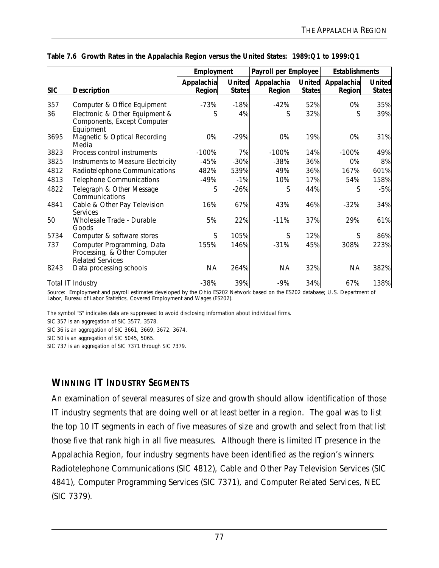|            |                                                                                       | Employment           |                                | Payroll per Employee |                                | <b>Establishments</b> |                                |
|------------|---------------------------------------------------------------------------------------|----------------------|--------------------------------|----------------------|--------------------------------|-----------------------|--------------------------------|
| <b>SIC</b> | <b>Description</b>                                                                    | Appalachia<br>Region | <b>United</b><br><b>States</b> | Appalachia<br>Region | <b>United</b><br><b>States</b> | Appalachia<br>Region  | <b>United</b><br><b>States</b> |
| 357        | Computer & Office Equipment                                                           | $-73%$               | $-18%$                         | $-42%$               | 52%                            | 0%                    | 35%                            |
| 36         | Electronic & Other Equipment &<br>Components, Except Computer<br>Equipment            | S                    | 4%                             | S                    | 32%                            | S                     | 39%                            |
| 3695       | Magnetic & Optical Recording<br>Media                                                 | 0%                   | $-29%$                         | 0%                   | 19%                            | 0%                    | 31%                            |
| 3823       | Process control instruments                                                           | $-100%$              | 7%                             | $-100%$              | 14%                            | $-100%$               | 49%                            |
| 3825       | Instruments to Measure Electricity                                                    | -45%                 | $-30%$                         | $-38%$               | 36%                            | 0%                    | 8%                             |
| 4812       | Radiotelephone Communications                                                         | 482%                 | 539%                           | 49%                  | 36%                            | 167%                  | 601%                           |
| 4813       | <b>Telephone Communications</b>                                                       | -49%                 | $-1%$                          | 10%                  | 17%                            | 54%                   | 158%                           |
| 4822       | Telegraph & Other Message<br>Communications                                           | S                    | $-26%$                         | S                    | 44%                            | S                     | $-5%$                          |
| 4841       | Cable & Other Pay Television<br>Services                                              | 16%                  | 67%                            | 43%                  | 46%                            | $-32%$                | 34%                            |
| 50         | Wholesale Trade - Durable<br>Goods                                                    | 5%                   | 22%                            | $-11%$               | 37%                            | 29%                   | 61%                            |
| 5734       | Computer & software stores                                                            | S                    | 105%                           | S                    | 12%                            | S                     | 86%                            |
| 737        | Computer Programming, Data<br>Processing, & Other Computer<br><b>Related Services</b> | 155%                 | 146%                           | $-31%$               | 45%                            | 308%                  | 223%                           |
| 8243       | Data processing schools                                                               | <b>NA</b>            | 264%                           | <b>NA</b>            | 32%                            | <b>NA</b>             | 382%                           |
|            | Total IT Industry                                                                     | $-38%$               | 39%                            | $-9%$                | 34%                            | 67%                   | 138%                           |

|  |  | Table 7.6 Growth Rates in the Appalachia Region versus the United States: 1989:Q1 to 1999:Q1 |
|--|--|----------------------------------------------------------------------------------------------|
|  |  |                                                                                              |

Source: Employment and payroll estimates developed by the Ohio ES202 Network based on the ES202 database; U.S. Department of Labor, Bureau of Labor Statistics, Covered Employment and Wages (ES202).

The symbol "S" indicates data are suppressed to avoid disclosing information about individual firms.

SIC 357 is an aggregation of SIC 3577, 3578.

SIC 36 is an aggregation of SIC 3661, 3669, 3672, 3674.

SIC 50 is an aggregation of SIC 5045, 5065.

SIC 737 is an aggregation of SIC 7371 through SIC 7379.

### **WINNING IT INDUSTRY SEGMENTS**

An examination of several measures of size and growth should allow identification of those IT industry segments that are doing well or at least better in a region. The goal was to list the top 10 IT segments in each of five measures of size and growth and select from that list those five that rank high in all five measures. Although there is limited IT presence in the Appalachia Region, four industry segments have been identified as the region's winners: Radiotelephone Communications (SIC 4812), Cable and Other Pay Television Services (SIC 4841), Computer Programming Services (SIC 7371), and Computer Related Services, NEC (SIC 7379).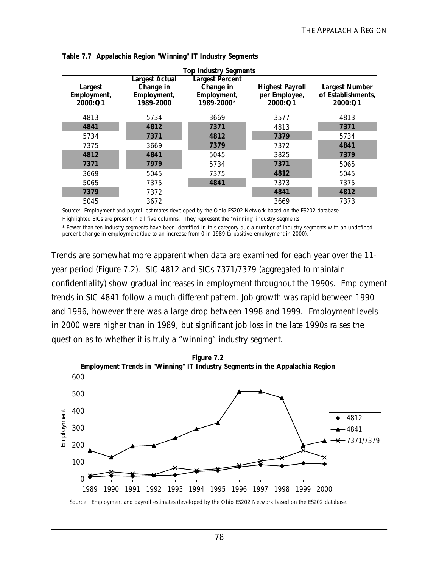|             | <b>Top Industry Segments</b>                    |             |                        |                       |  |  |  |  |
|-------------|-------------------------------------------------|-------------|------------------------|-----------------------|--|--|--|--|
|             | <b>Largest Actual</b><br><b>Largest Percent</b> |             |                        |                       |  |  |  |  |
| Largest     | Change in                                       | Change in   | <b>Highest Payroll</b> | <b>Largest Number</b> |  |  |  |  |
| Employment, | Employment,                                     | Employment, | per Employee,          | of Establishments,    |  |  |  |  |
| 2000:Q1     | 1989-2000                                       | 1989-2000*  | 2000:Q1                | 2000:Q1               |  |  |  |  |
| 4813        | 5734                                            | 3669        | 3577                   | 4813                  |  |  |  |  |
| 4841        | 4812                                            | 7371        | 4813                   | 7371                  |  |  |  |  |
| 5734        | 7371                                            | 4812        | 7379                   | 5734                  |  |  |  |  |
| 7375        | 3669                                            | 7379        | 7372                   | 4841                  |  |  |  |  |
| 4812        | 4841                                            | 5045        | 3825                   | 7379                  |  |  |  |  |
| 7371        | 7979                                            | 5734        | 7371                   | 5065                  |  |  |  |  |
| 3669        | 5045                                            | 7375        | 4812                   | 5045                  |  |  |  |  |
| 5065        | 7375                                            | 4841        | 7373                   | 7375                  |  |  |  |  |
| 7379        | 7372                                            |             | 4841                   | 4812                  |  |  |  |  |
| 5045        | 3672                                            |             | 3669                   | 7373                  |  |  |  |  |

**Table 7.7 Appalachia Region "Winning" IT Industry Segments**

Source: Employment and payroll estimates developed by the Ohio ES202 Network based on the ES202 database. Highlighted SICs are present in all five columns. They represent the "winning" industry segments.

\* Fewer than ten industry segments have been identified in this category due a number of industry segments with an undefined percent change in employment (due to an increase from 0 in 1989 to positive employment in 2000).

Trends are somewhat more apparent when data are examined for each year over the 11 year period (Figure 7.2). SIC 4812 and SICs 7371/7379 (aggregated to maintain confidentiality) show gradual increases in employment throughout the 1990s. Employment trends in SIC 4841 follow a much different pattern. Job growth was rapid between 1990 and 1996, however there was a large drop between 1998 and 1999. Employment levels in 2000 were higher than in 1989, but significant job loss in the late 1990s raises the question as to whether it is truly a "winning" industry segment.



Source: Employment and payroll estimates developed by the Ohio ES202 Network based on the ES202 database.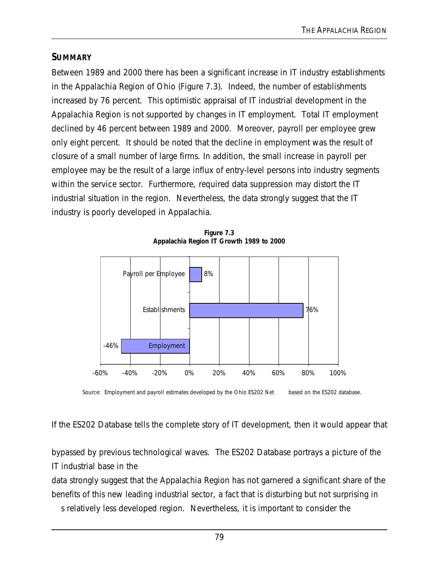#### **SUMMARY**

Between 1989 and 2000 there has been a significant increase in IT industry establishments in the Appalachia Region of Ohio (Figure 7.3). Indeed, the number of establishments increased by 76 percent. This optimistic appraisal of IT industrial development in the Appalachia Region is not supported by changes in IT employment. Total IT employment declined by 46 percent between 1989 and 2000. Moreover, payroll per employee grew only eight percent. It should be noted that the decline in employment was the result of closure of a small number of large firms. In addition, the small increase in payroll per employee may be the result of a large influx of entry-level persons into industry segments within the service sector. Furthermore, required data suppression may distort the IT industrial situation in the region. Nevertheless, the data strongly suggest that the IT industry is poorly developed in Appalachia.



**Figure 7.3 Appalachia Region IT Growth 1989 to 2000**

Source: Employment and payroll estimates developed by the Ohio ES202 Net based on the ES202 database.

If the ES202 Database tells the complete story of IT development, then it would appear that

bypassed by previous technological waves. The ES202 Database portrays a picture of the IT industrial base in the

data strongly suggest that the Appalachia Region has not garnered a significant share of the benefits of this new leading industrial sector, a fact that is disturbing but not surprising in

s relatively less developed region. Nevertheless, it is important to consider the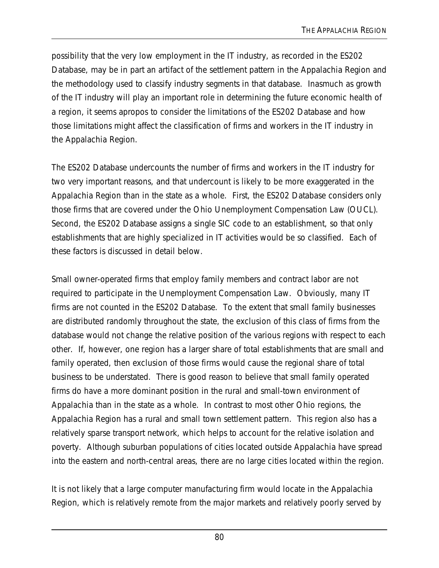possibility that the very low employment in the IT industry, as recorded in the ES202 Database, may be in part an artifact of the settlement pattern in the Appalachia Region and the methodology used to classify industry segments in that database. Inasmuch as growth of the IT industry will play an important role in determining the future economic health of a region, it seems apropos to consider the limitations of the ES202 Database and how those limitations might affect the classification of firms and workers in the IT industry in the Appalachia Region.

The ES202 Database undercounts the number of firms and workers in the IT industry for two very important reasons, and that undercount is likely to be more exaggerated in the Appalachia Region than in the state as a whole. First, the ES202 Database considers only those firms that are covered under the Ohio Unemployment Compensation Law (OUCL). Second, the ES202 Database assigns a single SIC code to an establishment, so that only establishments that are highly specialized in IT activities would be so classified. Each of these factors is discussed in detail below.

Small owner-operated firms that employ family members and contract labor are not required to participate in the Unemployment Compensation Law. Obviously, many IT firms are not counted in the ES202 Database. To the extent that small family businesses are distributed randomly throughout the state, the exclusion of this class of firms from the database would not change the relative position of the various regions with respect to each other. If, however, one region has a larger share of total establishments that are small and family operated, then exclusion of those firms would cause the regional share of total business to be understated. There is good reason to believe that small family operated firms do have a more dominant position in the rural and small-town environment of Appalachia than in the state as a whole. In contrast to most other Ohio regions, the Appalachia Region has a rural and small town settlement pattern. This region also has a relatively sparse transport network, which helps to account for the relative isolation and poverty. Although suburban populations of cities located outside Appalachia have spread into the eastern and north-central areas, there are no large cities located within the region.

It is not likely that a large computer manufacturing firm would locate in the Appalachia Region, which is relatively remote from the major markets and relatively poorly served by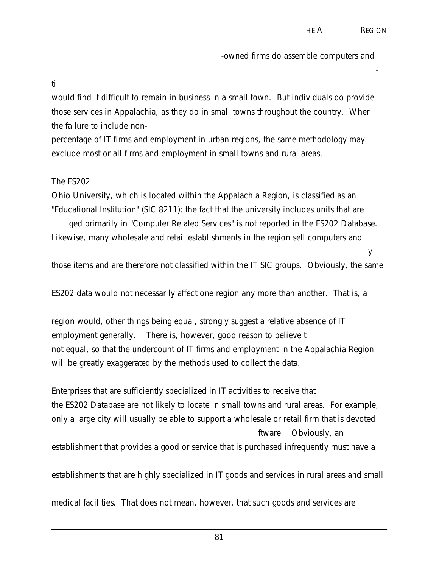-

y

-owned firms do assemble computers and

ti

would find it difficult to remain in business in a small town. But individuals do provide those services in Appalachia, as they do in small towns throughout the country. Wher the failure to include non-

percentage of IT firms and employment in urban regions, the same methodology may exclude most or all firms and employment in small towns and rural areas.

#### The ES202

Ohio University, which is located within the Appalachia Region, is classified as an "Educational Institution" (SIC 8211); the fact that the university includes units that are

ged primarily in "Computer Related Services" is not reported in the ES202 Database. Likewise, many wholesale and retail establishments in the region sell computers and

those items and are therefore not classified within the IT SIC groups. Obviously, the same

ES202 data would not necessarily affect one region any more than another. That is, a

region would, other things being equal, strongly suggest a relative absence of IT employment generally. There is, however, good reason to believe t not equal, so that the undercount of IT firms and employment in the Appalachia Region will be greatly exaggerated by the methods used to collect the data.

Enterprises that are sufficiently specialized in IT activities to receive that the ES202 Database are not likely to locate in small towns and rural areas. For example, only a large city will usually be able to support a wholesale or retail firm that is devoted ftware. Obviously, an establishment that provides a good or service that is purchased infrequently must have a

establishments that are highly specialized in IT goods and services in rural areas and small

medical facilities. That does not mean, however, that such goods and services are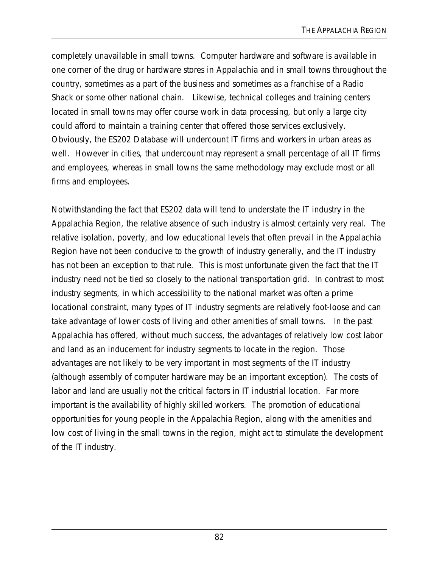completely unavailable in small towns. Computer hardware and software is available in one corner of the drug or hardware stores in Appalachia and in small towns throughout the country, sometimes as a part of the business and sometimes as a franchise of a Radio Shack or some other national chain. Likewise, technical colleges and training centers located in small towns may offer course work in data processing, but only a large city could afford to maintain a training center that offered those services exclusively. Obviously, the ES202 Database will undercount IT firms and workers in urban areas as well. However in cities, that undercount may represent a small percentage of all IT firms and employees, whereas in small towns the same methodology may exclude most or all firms and employees.

Notwithstanding the fact that ES202 data will tend to understate the IT industry in the Appalachia Region, the relative absence of such industry is almost certainly very real. The relative isolation, poverty, and low educational levels that often prevail in the Appalachia Region have not been conducive to the growth of industry generally, and the IT industry has not been an exception to that rule. This is most unfortunate given the fact that the IT industry need not be tied so closely to the national transportation grid. In contrast to most industry segments, in which accessibility to the national market was often a prime locational constraint, many types of IT industry segments are relatively foot-loose and can take advantage of lower costs of living and other amenities of small towns. In the past Appalachia has offered, without much success, the advantages of relatively low cost labor and land as an inducement for industry segments to locate in the region. Those advantages are not likely to be very important in most segments of the IT industry (although assembly of computer hardware may be an important exception). The costs of labor and land are usually not the critical factors in IT industrial location. Far more important is the availability of highly skilled workers. The promotion of educational opportunities for young people in the Appalachia Region, along with the amenities and low cost of living in the small towns in the region, might act to stimulate the development of the IT industry.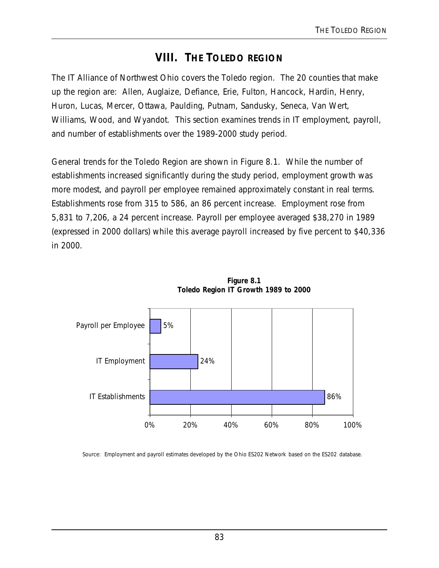# **VIII. THE TOLEDO REGION**

The IT Alliance of Northwest Ohio covers the Toledo region. The 20 counties that make up the region are: Allen, Auglaize, Defiance, Erie, Fulton, Hancock, Hardin, Henry, Huron, Lucas, Mercer, Ottawa, Paulding, Putnam, Sandusky, Seneca, Van Wert, Williams, Wood, and Wyandot. This section examines trends in IT employment, payroll, and number of establishments over the 1989-2000 study period.

General trends for the Toledo Region are shown in Figure 8.1. While the number of establishments increased significantly during the study period, employment growth was more modest, and payroll per employee remained approximately constant in real terms. Establishments rose from 315 to 586, an 86 percent increase. Employment rose from 5,831 to 7,206, a 24 percent increase. Payroll per employee averaged \$38,270 in 1989 (expressed in 2000 dollars) while this average payroll increased by five percent to \$40,336 in 2000.





Source: Employment and payroll estimates developed by the Ohio ES202 Network based on the ES202 database.

# 83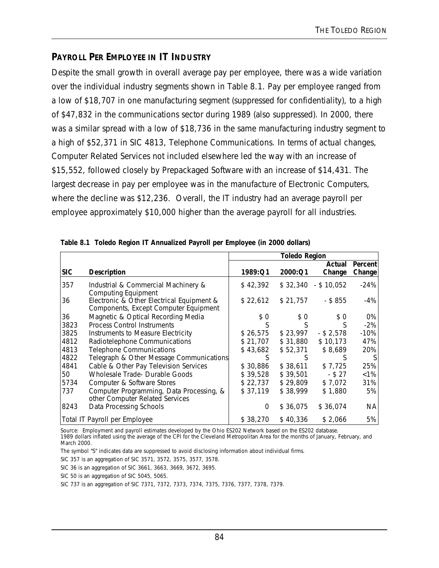## **PAYROLL PER EMPLOYEE IN IT INDUSTRY**

Despite the small growth in overall average pay per employee, there was a wide variation over the individual industry segments shown in Table 8.1. Pay per employee ranged from a low of \$18,707 in one manufacturing segment (suppressed for confidentiality), to a high of \$47,832 in the communications sector during 1989 (also suppressed). In 2000, there was a similar spread with a low of \$18,736 in the same manufacturing industry segment to a high of \$52,371 in SIC 4813, Telephone Communications. In terms of actual changes, Computer Related Services not included elsewhere led the way with an increase of \$15,552, followed closely by Prepackaged Software with an increase of \$14,431. The largest decrease in pay per employee was in the manufacture of Electronic Computers, where the decline was \$12,236. Overall, the IT industry had an average payroll per employee approximately \$10,000 higher than the average payroll for all industries.

|            |                                                                                    | <b>Toledo Region</b> |          |                      |         |
|------------|------------------------------------------------------------------------------------|----------------------|----------|----------------------|---------|
|            |                                                                                    |                      |          | Actual               | Percent |
| <b>SIC</b> | <b>Description</b>                                                                 | 1989:Q1              | 2000:Q1  | Change               | Change  |
| 357        | Industrial & Commercial Machinery &<br><b>Computing Equipment</b>                  | \$42,392             |          | $$32,340$ - \$10,052 | $-24%$  |
| 36         | Electronic & Other Electrical Equipment &<br>Components, Except Computer Equipment | \$22,612             | \$21,757 | $-$ \$ 855           | $-4%$   |
| 36         | Magnetic & Optical Recording Media                                                 | \$0                  | \$0      | \$0                  | 0%      |
| 3823       | <b>Process Control Instruments</b>                                                 | S                    |          | S                    | $-2%$   |
| 3825       | Instruments to Measure Electricity                                                 | \$26,575             | \$23,997 | $-$ \$ 2,578         | $-10%$  |
| 4812       | Radiotelephone Communications                                                      | \$21,707             | \$31,880 | \$10,173             | 47%     |
| 4813       | <b>Telephone Communications</b>                                                    | \$43,682             | \$52,371 | \$8,689              | 20%     |
| 4822       | Telegraph & Other Message Communications                                           | S                    | S        | S                    |         |
| 4841       | Cable & Other Pay Television Services                                              | \$30,886             | \$38,611 | \$7,725              | 25%     |
| 50         | Wholesale Trade- Durable Goods                                                     | \$39,528             | \$39,501 | $-$ \$ 27            | $< 1\%$ |
| 5734       | Computer & Software Stores                                                         | \$22,737             | \$29,809 | \$7,072              | 31%     |
| 737        | Computer Programming, Data Processing, &                                           | \$37,119             | \$38,999 | \$1,880              | 5%      |
|            | other Computer Related Services                                                    |                      |          |                      |         |
| 8243       | Data Processing Schools                                                            | 0                    | \$36,075 | \$36.074             | NА      |
|            | Total IT Payroll per Employee                                                      | \$38,270             | \$40,336 | \$2,066              | 5%      |

**Table 8.1 Toledo Region IT Annualized Payroll per Employee (in 2000 dollars)**

Source: Employment and payroll estimates developed by the Ohio ES202 Network based on the ES202 database.

1989 dollars inflated using the average of the CPI for the Cleveland Metropolitan Area for the months of January, February, and March 2000.

The symbol "S" indicates data are suppressed to avoid disclosing information about individual firms.

SIC 357 is an aggregation of SIC 3571, 3572, 3575, 3577, 3578.

SIC 36 is an aggregation of SIC 3661, 3663, 3669, 3672, 3695.

SIC 50 is an aggregation of SIC 5045, 5065.

SIC 737 is an aggregation of SIC 7371, 7372, 7373, 7374, 7375, 7376, 7377, 7378, 7379.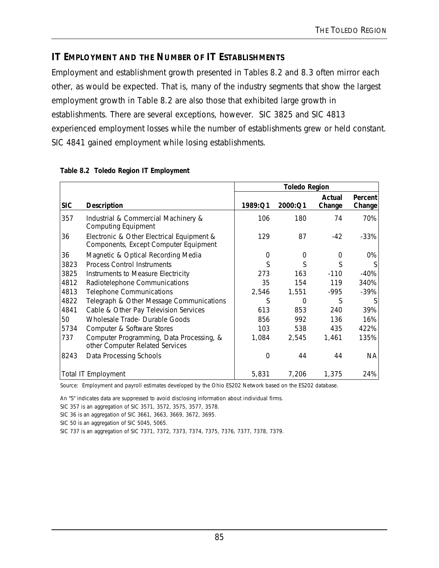#### **IT EMPLOYMENT AND THE NUMBER OF IT ESTABLISHMENTS**

Employment and establishment growth presented in Tables 8.2 and 8.3 often mirror each other, as would be expected. That is, many of the industry segments that show the largest employment growth in Table 8.2 are also those that exhibited large growth in establishments. There are several exceptions, however. SIC 3825 and SIC 4813 experienced employment losses while the number of establishments grew or held constant. SIC 4841 gained employment while losing establishments.

|            |                                                                                    | <b>Toledo Region</b> |          |                  |                          |
|------------|------------------------------------------------------------------------------------|----------------------|----------|------------------|--------------------------|
| <b>SIC</b> | <b>Description</b>                                                                 | 1989:Q1              | 2000:Q1  | Actual<br>Change | <b>Percent</b><br>Change |
| 357        | Industrial & Commercial Machinery &<br><b>Computing Equipment</b>                  | 106                  | 180      | 74               | 70%                      |
| 36         | Electronic & Other Electrical Equipment &<br>Components, Except Computer Equipment | 129                  | 87       | $-42$            | $-33\%$                  |
| 36         | Magnetic & Optical Recording Media                                                 | $\Omega$             | 0        | $\Omega$         | 0%                       |
| 3823       | <b>Process Control Instruments</b>                                                 | S                    | S        | S                | S.                       |
| 3825       | Instruments to Measure Electricity                                                 | 273                  | 163      | $-110$           | $-40%$                   |
| 4812       | Radiotelephone Communications                                                      | 35                   | 154      | 119              | 340%                     |
| 4813       | <b>Telephone Communications</b>                                                    | 2,546                | 1,551    | -995             | $-39%$                   |
| 4822       | Telegraph & Other Message Communications                                           | S                    | $\Omega$ | S                | S.                       |
| 4841       | Cable & Other Pay Television Services                                              | 613                  | 853      | 240              | 39%                      |
| 50         | <b>Wholesale Trade- Durable Goods</b>                                              | 856                  | 992      | 136              | 16%                      |
| 5734       | Computer & Software Stores                                                         | 103                  | 538      | 435              | 422%                     |
| 737        | Computer Programming, Data Processing, &<br>other Computer Related Services        | 1,084                | 2,545    | 1,461            | 135%                     |
| 8243       | Data Processing Schools                                                            | $\Omega$             | 44       | 44               | <b>NA</b>                |
|            | <b>Total IT Employment</b>                                                         | 5,831                | 7,206    | 1,375            | 24%                      |

#### **Table 8.2 Toledo Region IT Employment**

Source: Employment and payroll estimates developed by the Ohio ES202 Network based on the ES202 database.

An "S" indicates data are suppressed to avoid disclosing information about individual firms.

SIC 357 is an aggregation of SIC 3571, 3572, 3575, 3577, 3578.

SIC 36 is an aggregation of SIC 3661, 3663, 3669, 3672, 3695.

SIC 50 is an aggregation of SIC 5045, 5065.

SIC 737 is an aggregation of SIC 7371, 7372, 7373, 7374, 7375, 7376, 7377, 7378, 7379.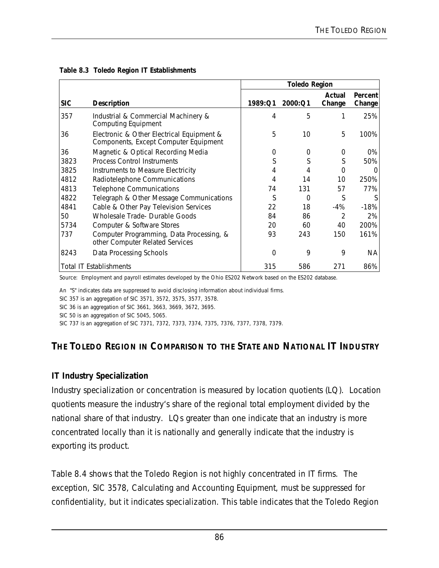|            |                                                                                    | <b>Toledo Region</b> |          |                  |                   |
|------------|------------------------------------------------------------------------------------|----------------------|----------|------------------|-------------------|
| <b>SIC</b> | <b>Description</b>                                                                 | 1989:Q1              | 2000:Q1  | Actual<br>Change | Percent<br>Change |
| 357        | Industrial & Commercial Machinery &<br><b>Computing Equipment</b>                  | 4                    | 5        |                  | 25%               |
| 36         | Electronic & Other Electrical Equipment &<br>Components, Except Computer Equipment | 5                    | 10       | 5                | 100%              |
| 36         | Magnetic & Optical Recording Media                                                 | 0                    | 0        | 0                | 0%                |
| 3823       | <b>Process Control Instruments</b>                                                 | S                    | S        | S                | 50%               |
| 3825       | Instruments to Measure Electricity                                                 | 4                    | 4        | 0                |                   |
| 4812       | Radiotelephone Communications                                                      | 4                    | 14       | 10               | 250%              |
| 4813       | <b>Telephone Communications</b>                                                    | 74                   | 131      | 57               | 77%               |
| 4822       | Telegraph & Other Message Communications                                           | S                    | $\Omega$ | S                |                   |
| 4841       | Cable & Other Pay Television Services                                              | 22                   | 18       | -4%              | $-18%$            |
| 50         | Wholesale Trade- Durable Goods                                                     | 84                   | 86       | 2                | 2%                |
| 5734       | Computer & Software Stores                                                         | 20                   | 60       | 40               | 200%              |
| 737        | Computer Programming, Data Processing, &<br>other Computer Related Services        | 93                   | 243      | 150              | 161%              |
| 8243       | Data Processing Schools                                                            | 0                    | 9        | 9                | ΝA                |
|            | <b>Total IT Establishments</b>                                                     | 315                  | 586      | 271              | 86%               |

**Table 8.3 Toledo Region IT Establishments** 

Source: Employment and payroll estimates developed by the Ohio ES202 Network based on the ES202 database.

An "S" indicates data are suppressed to avoid disclosing information about individual firms.

SIC 357 is an aggregation of SIC 3571, 3572, 3575, 3577, 3578.

SIC 36 is an aggregation of SIC 3661, 3663, 3669, 3672, 3695.

SIC 50 is an aggregation of SIC 5045, 5065.

SIC 737 is an aggregation of SIC 7371, 7372, 7373, 7374, 7375, 7376, 7377, 7378, 7379.

# **THE TOLEDO REGION IN COMPARISON TO THE STATE AND NATIONAL IT INDUSTRY**

#### **IT Industry Specialization**

Industry specialization or concentration is measured by location quotients (LQ). Location quotients measure the industry's share of the regional total employment divided by the national share of that industry. LQs greater than one indicate that an industry is more concentrated locally than it is nationally and generally indicate that the industry is exporting its product.

Table 8.4 shows that the Toledo Region is not highly concentrated in IT firms. The exception, SIC 3578, Calculating and Accounting Equipment, must be suppressed for confidentiality, but it indicates specialization. This table indicates that the Toledo Region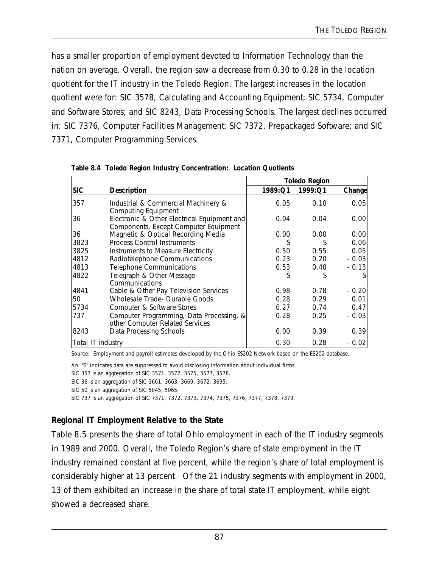has a smaller proportion of employment devoted to Information Technology than the nation on average. Overall, the region saw a decrease from 0.30 to 0.28 in the location quotient for the IT industry in the Toledo Region. The largest increases in the location quotient were for: SIC 3578, Calculating and Accounting Equipment; SIC 5734, Computer and Software Stores; and SIC 8243, Data Processing Schools. The largest declines occurred in: SIC 7376, Computer Facilities Management; SIC 7372, Prepackaged Software; and SIC 7371, Computer Programming Services.

|                   |                                                                                      | <b>Toledo Region</b> |         |         |
|-------------------|--------------------------------------------------------------------------------------|----------------------|---------|---------|
| <b>SIC</b>        | <b>Description</b>                                                                   | 1989:Q1              | 1999:Q1 | Change  |
| 357               | Industrial & Commercial Machinery &<br><b>Computing Equipment</b>                    | 0.05                 | 0.10    | 0.05    |
| 36                | Electronic & Other Electrical Equipment and<br>Components, Except Computer Equipment | 0.04                 | 0.04    | 0.00    |
| 36                | Magnetic & Optical Recording Media                                                   | 0.00                 | 0.00    | 0.00    |
| 3823              | <b>Process Control Instruments</b>                                                   | S                    | S       | 0.06    |
| 3825              | Instruments to Measure Electricity                                                   | 0.50                 | 0.55    | 0.05    |
| 4812              | Radiotelephone Communications                                                        | 0.23                 | 0.20    | $-0.03$ |
| 4813              | <b>Telephone Communications</b>                                                      | 0.53                 | 0.40    | $-0.13$ |
| 4822              | Telegraph & Other Message<br>Communications                                          | S                    |         |         |
| 4841              | Cable & Other Pay Television Services                                                | 0.98                 | 0.78    | $-0.20$ |
| 50                | <b>Wholesale Trade- Durable Goods</b>                                                | 0.28                 | 0.29    | 0.01    |
| 5734              | Computer & Software Stores                                                           | 0.27                 | 0.74    | 0.47    |
| 737               | Computer Programming, Data Processing, &<br>other Computer Related Services          | 0.28                 | 0.25    | $-0.03$ |
| 8243              | Data Processing Schools                                                              | 0.00                 | 0.39    | 0.39    |
| Total IT industry |                                                                                      | 0.30                 | 0.28    | - 0.02  |

**Table 8.4 Toledo Region Industry Concentration: Location Quotients**

Source: Employment and payroll estimates developed by the Ohio ES202 Network based on the ES202 database.

An "S" indicates data are suppressed to avoid disclosing information about individual firms.

SIC 357 is an aggregation of SIC 3571, 3572, 3575, 3577, 3578.

SIC 36 is an aggregation of SIC 3661, 3663, 3669, 3672, 3695.

SIC 737 is an aggregation of SIC 7371, 7372, 7373, 7374, 7375, 7376, 7377, 7378, 7379.

#### **Regional IT Employment Relative to the State**

Table 8.5 presents the share of total Ohio employment in each of the IT industry segments in 1989 and 2000. Overall, the Toledo Region's share of state employment in the IT industry remained constant at five percent, while the region's share of total employment is considerably higher at 13 percent. Of the 21 industry segments with employment in 2000, 13 of them exhibited an increase in the share of total state IT employment, while eight showed a decreased share.

SIC 50 is an aggregation of SIC 5045, 5065.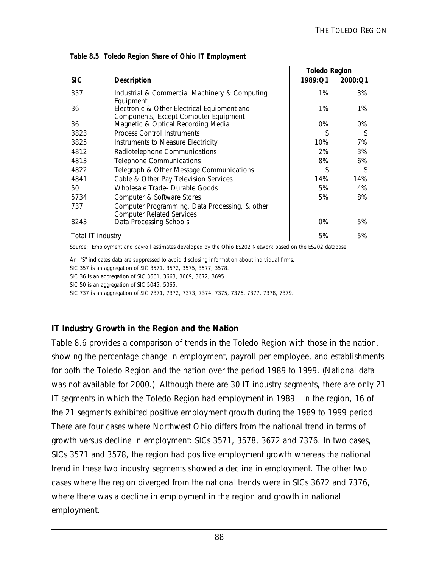|                   |                                                                                      | <b>Toledo Region</b> |         |
|-------------------|--------------------------------------------------------------------------------------|----------------------|---------|
| <b>SIC</b>        | <b>Description</b>                                                                   | 1989:Q1              | 2000:Q1 |
| 357               | Industrial & Commercial Machinery & Computing<br>Equipment                           | 1%                   | 3%      |
| 36                | Electronic & Other Electrical Equipment and<br>Components, Except Computer Equipment | 1%                   | 1%      |
| 36                | Magnetic & Optical Recording Media                                                   | $0\%$                | 0%      |
| 3823              | <b>Process Control Instruments</b>                                                   | S                    | S       |
| 3825              | Instruments to Measure Electricity                                                   | 10%                  | 7%      |
| 4812              | Radiotelephone Communications                                                        | 2%                   | 3%      |
| 4813              | <b>Telephone Communications</b>                                                      | 8%                   | 6%      |
| 4822              | Telegraph & Other Message Communications                                             | S                    |         |
| 4841              | Cable & Other Pay Television Services                                                | 14%                  | 14%     |
| 50                | Wholesale Trade- Durable Goods                                                       | 5%                   | 4%      |
| 5734              | Computer & Software Stores                                                           | 5%                   | 8%      |
| 737               | Computer Programming, Data Processing, & other<br><b>Computer Related Services</b>   |                      |         |
| 8243              | Data Processing Schools                                                              | $0\%$                | 5%      |
| Total IT industry |                                                                                      | 5%                   | 5%      |

**Table 8.5 Toledo Region Share of Ohio IT Employment**

Source: Employment and payroll estimates developed by the Ohio ES202 Network based on the ES202 database.

An "S" indicates data are suppressed to avoid disclosing information about individual firms.

SIC 357 is an aggregation of SIC 3571, 3572, 3575, 3577, 3578.

SIC 36 is an aggregation of SIC 3661, 3663, 3669, 3672, 3695.

SIC 50 is an aggregation of SIC 5045, 5065.

SIC 737 is an aggregation of SIC 7371, 7372, 7373, 7374, 7375, 7376, 7377, 7378, 7379.

#### **IT Industry Growth in the Region and the Nation**

Table 8.6 provides a comparison of trends in the Toledo Region with those in the nation, showing the percentage change in employment, payroll per employee, and establishments for both the Toledo Region and the nation over the period 1989 to 1999. (National data was not available for 2000.) Although there are 30 IT industry segments, there are only 21 IT segments in which the Toledo Region had employment in 1989. In the region, 16 of the 21 segments exhibited positive employment growth during the 1989 to 1999 period. There are four cases where Northwest Ohio differs from the national trend in terms of growth versus decline in employment: SICs 3571, 3578, 3672 and 7376. In two cases, SICs 3571 and 3578, the region had positive employment growth whereas the national trend in these two industry segments showed a decline in employment. The other two cases where the region diverged from the national trends were in SICs 3672 and 7376, where there was a decline in employment in the region and growth in national employment.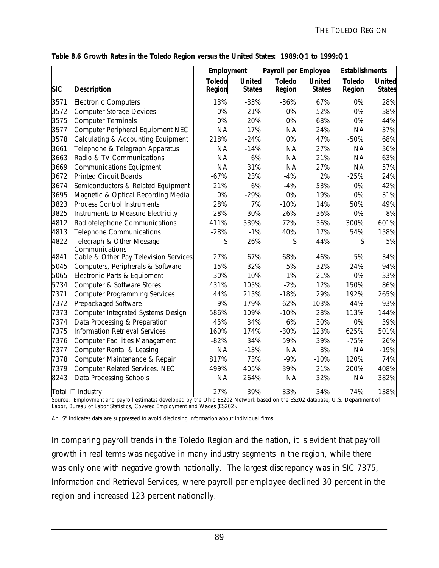|            |                                             | Employment              |                                | Payroll per Employee    |                                | <b>Establishments</b>   |                         |
|------------|---------------------------------------------|-------------------------|--------------------------------|-------------------------|--------------------------------|-------------------------|-------------------------|
| <b>SIC</b> | <b>Description</b>                          | <b>Toledo</b><br>Region | <b>United</b><br><b>States</b> | <b>Toledo</b><br>Region | <b>United</b><br><b>States</b> | <b>Toledo</b><br>Region | United<br><b>States</b> |
| 3571       | <b>Electronic Computers</b>                 | 13%                     | $-33%$                         | $-36%$                  | 67%                            | 0%                      | 28%                     |
| 3572       | <b>Computer Storage Devices</b>             | 0%                      | 21%                            | 0%                      | 52%                            | 0%                      | 38%                     |
| 3575       | <b>Computer Terminals</b>                   | 0%                      | 20%                            | 0%                      | 68%                            | 0%                      | 44%                     |
| 3577       | Computer Peripheral Equipment NEC           | <b>NA</b>               | 17%                            | <b>NA</b>               | 24%                            | <b>NA</b>               | 37%                     |
| 3578       | Calculating & Accounting Equipment          | 218%                    | $-24%$                         | 0%                      | 47%                            | $-50%$                  | 68%                     |
| 3661       | Telephone & Telegraph Apparatus             | <b>NA</b>               | $-14%$                         | <b>NA</b>               | 27%                            | <b>NA</b>               | 36%                     |
| 3663       | Radio & TV Communications                   | <b>NA</b>               | 6%                             | <b>NA</b>               | 21%                            | <b>NA</b>               | 63%                     |
| 3669       | <b>Communications Equipment</b>             | <b>NA</b>               | 31%                            | <b>NA</b>               | 27%                            | <b>NA</b>               | 57%                     |
| 3672       | <b>Printed Circuit Boards</b>               | $-67%$                  | 23%                            | $-4%$                   | 2%                             | $-25%$                  | 24%                     |
| 3674       | Semiconductors & Related Equipment          | 21%                     | 6%                             | $-4%$                   | 53%                            | 0%                      | 42%                     |
| 3695       | Magnetic & Optical Recording Media          | 0%                      | $-29%$                         | 0%                      | 19%                            | 0%                      | 31%                     |
| 3823       | <b>Process Control Instruments</b>          | 28%                     | 7%                             | $-10%$                  | 14%                            | 50%                     | 49%                     |
| 3825       | Instruments to Measure Electricity          | $-28%$                  | $-30%$                         | 26%                     | 36%                            | 0%                      | 8%                      |
| 4812       | Radiotelephone Communications               | 411%                    | 539%                           | 72%                     | 36%                            | 300%                    | 601%                    |
| 4813       | <b>Telephone Communications</b>             | $-28%$                  | $-1%$                          | 40%                     | 17%                            | 54%                     | 158%                    |
| 4822       | Telegraph & Other Message<br>Communications | S                       | $-26%$                         | S                       | 44%                            | $\mathsf S$             | $-5%$                   |
| 4841       | Cable & Other Pay Television Services       | 27%                     | 67%                            | 68%                     | 46%                            | 5%                      | 34%                     |
| 5045       | Computers, Peripherals & Software           | 15%                     | 32%                            | 5%                      | 32%                            | 24%                     | 94%                     |
| 5065       | Electronic Parts & Equipment                | 30%                     | 10%                            | 1%                      | 21%                            | 0%                      | 33%                     |
| 5734       | Computer & Software Stores                  | 431%                    | 105%                           | $-2%$                   | 12%                            | 150%                    | 86%                     |
| 7371       | <b>Computer Programming Services</b>        | 44%                     | 215%                           | $-18%$                  | 29%                            | 192%                    | 265%                    |
| 7372       | Prepackaged Software                        | 9%                      | 179%                           | 62%                     | 103%                           | $-44%$                  | 93%                     |
| 7373       | <b>Computer Integrated Systems Design</b>   | 586%                    | 109%                           | $-10%$                  | 28%                            | 113%                    | 144%                    |
| 7374       | Data Processing & Preparation               | 45%                     | 34%                            | 6%                      | 30%                            | 0%                      | 59%                     |
| 7375       | <b>Information Retrieval Services</b>       | 160%                    | 174%                           | $-30%$                  | 123%                           | 625%                    | 501%                    |
| 7376       | <b>Computer Facilities Management</b>       | $-82%$                  | 34%                            | 59%                     | 39%                            | $-75%$                  | 26%                     |
| 7377       | Computer Rental & Leasing                   | <b>NA</b>               | $-13%$                         | <b>NA</b>               | 8%                             | <b>NA</b>               | $-19%$                  |
| 7378       | Computer Maintenance & Repair               | 817%                    | 73%                            | $-9%$                   | $-10%$                         | 120%                    | 74%                     |
| 7379       | Computer Related Services, NEC              | 499%                    | 405%                           | 39%                     | 21%                            | 200%                    | 408%                    |
| 8243       | Data Processing Schools                     | <b>NA</b>               | 264%                           | <b>NA</b>               | 32%                            | <b>NA</b>               | 382%                    |
|            | Total IT Industry                           | 27%                     | 39%                            | 33%                     | 34%                            | 74%                     | 138%                    |

#### **Table 8.6 Growth Rates in the Toledo Region versus the United States: 1989:Q1 to 1999:Q1**

Source: Employment and payroll estimates developed by the Ohio ES202 Network based on the ES202 database; U.S. Department of Labor, Bureau of Labor Statistics, Covered Employment and Wages (ES202).

An "S" indicates data are suppressed to avoid disclosing information about individual firms.

In comparing payroll trends in the Toledo Region and the nation, it is evident that payroll growth in real terms was negative in many industry segments in the region, while there was only one with negative growth nationally. The largest discrepancy was in SIC 7375, Information and Retrieval Services, where payroll per employee declined 30 percent in the region and increased 123 percent nationally.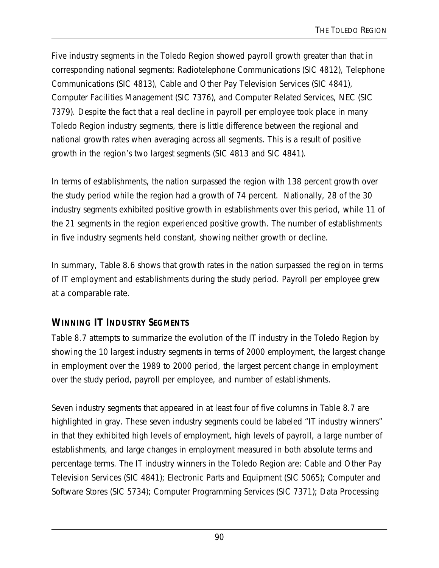Five industry segments in the Toledo Region showed payroll growth greater than that in corresponding national segments: Radiotelephone Communications (SIC 4812), Telephone Communications (SIC 4813), Cable and Other Pay Television Services (SIC 4841), Computer Facilities Management (SIC 7376), and Computer Related Services, NEC (SIC 7379). Despite the fact that a real decline in payroll per employee took place in many Toledo Region industry segments, there is little difference between the regional and national growth rates when averaging across all segments. This is a result of positive growth in the region's two largest segments (SIC 4813 and SIC 4841).

In terms of establishments, the nation surpassed the region with 138 percent growth over the study period while the region had a growth of 74 percent. Nationally, 28 of the 30 industry segments exhibited positive growth in establishments over this period, while 11 of the 21 segments in the region experienced positive growth. The number of establishments in five industry segments held constant, showing neither growth or decline.

In summary, Table 8.6 shows that growth rates in the nation surpassed the region in terms of IT employment and establishments during the study period. Payroll per employee grew at a comparable rate.

# **WINNING IT INDUSTRY SEGMENTS**

Table 8.7 attempts to summarize the evolution of the IT industry in the Toledo Region by showing the 10 largest industry segments in terms of 2000 employment, the largest change in employment over the 1989 to 2000 period, the largest percent change in employment over the study period, payroll per employee, and number of establishments.

Seven industry segments that appeared in at least four of five columns in Table 8.7 are highlighted in gray. These seven industry segments could be labeled "IT industry winners" in that they exhibited high levels of employment, high levels of payroll, a large number of establishments, and large changes in employment measured in both absolute terms and percentage terms. The IT industry winners in the Toledo Region are: Cable and Other Pay Television Services (SIC 4841); Electronic Parts and Equipment (SIC 5065); Computer and Software Stores (SIC 5734); Computer Programming Services (SIC 7371); Data Processing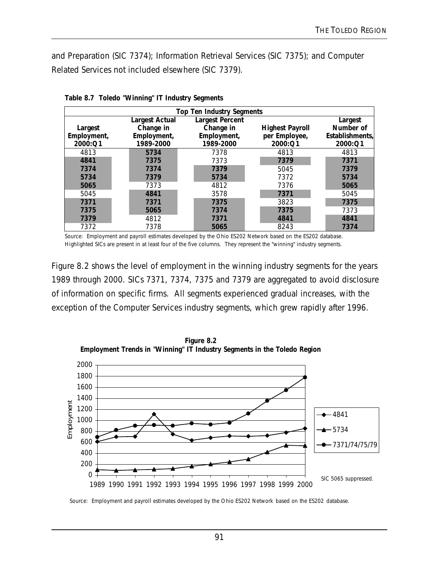and Preparation (SIC 7374); Information Retrieval Services (SIC 7375); and Computer Related Services not included elsewhere (SIC 7379).

| <b>Top Ten Industry Segments</b> |                       |                        |                        |                 |  |  |  |
|----------------------------------|-----------------------|------------------------|------------------------|-----------------|--|--|--|
|                                  | <b>Largest Actual</b> | <b>Largest Percent</b> |                        | Largest         |  |  |  |
| Largest                          | Change in             | Change in              | <b>Highest Payroll</b> | Number of       |  |  |  |
| Employment,                      | Employment,           | Employment,            | per Employee,          | Establishments, |  |  |  |
| 2000:Q1                          | 1989-2000             | 1989-2000              | 2000:Q1                | 2000:Q1         |  |  |  |
| 4813                             | 5734                  | 7378                   | 4813                   | 4813            |  |  |  |
| 4841                             | 7375                  | 7373                   | 7379                   | 7371            |  |  |  |
| 7374                             | 7374                  | 7379                   | 5045                   | 7379            |  |  |  |
| 5734                             | 7379                  | 5734                   | 7372                   | 5734            |  |  |  |
| 5065                             | 7373                  | 4812                   | 7376                   | 5065            |  |  |  |
| 5045                             | 4841                  | 3578                   | 7371                   | 5045            |  |  |  |
| 7371                             | 7371                  | 7375                   | 3823                   | 7375            |  |  |  |
| 7375                             | 5065                  | 7374                   | 7375                   | 7373            |  |  |  |
| 7379                             | 4812                  | 7371                   | 4841                   | 4841            |  |  |  |
| 7372                             | 7378                  | 5065                   | 8243                   | 7374            |  |  |  |

**Table 8.7 Toledo "Winning" IT Industry Segments**

Source: Employment and payroll estimates developed by the Ohio ES202 Network based on the ES202 database. Highlighted SICs are present in at least four of the five columns. They represent the "winning" industry segments.

Figure 8.2 shows the level of employment in the winning industry segments for the years 1989 through 2000. SICs 7371, 7374, 7375 and 7379 are aggregated to avoid disclosure of information on specific firms. All segments experienced gradual increases, with the exception of the Computer Services industry segments, which grew rapidly after 1996.



Source: Employment and payroll estimates developed by the Ohio ES202 Network based on the ES202 database.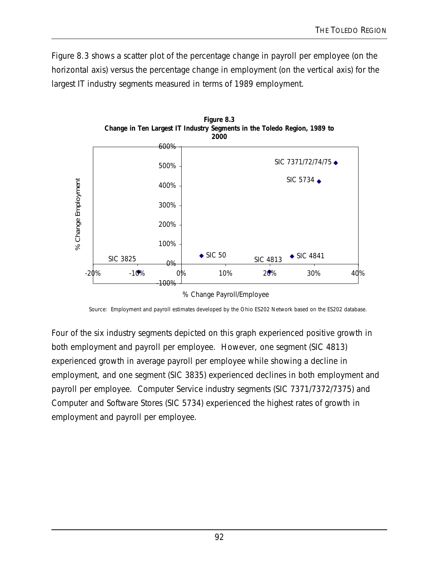Figure 8.3 shows a scatter plot of the percentage change in payroll per employee (on the horizontal axis) versus the percentage change in employment (on the vertical axis) for the largest IT industry segments measured in terms of 1989 employment.



Source: Employment and payroll estimates developed by the Ohio ES202 Network based on the ES202 database.

Four of the six industry segments depicted on this graph experienced positive growth in both employment and payroll per employee. However, one segment (SIC 4813) experienced growth in average payroll per employee while showing a decline in employment, and one segment (SIC 3835) experienced declines in both employment and payroll per employee. Computer Service industry segments (SIC 7371/7372/7375) and Computer and Software Stores (SIC 5734) experienced the highest rates of growth in employment and payroll per employee.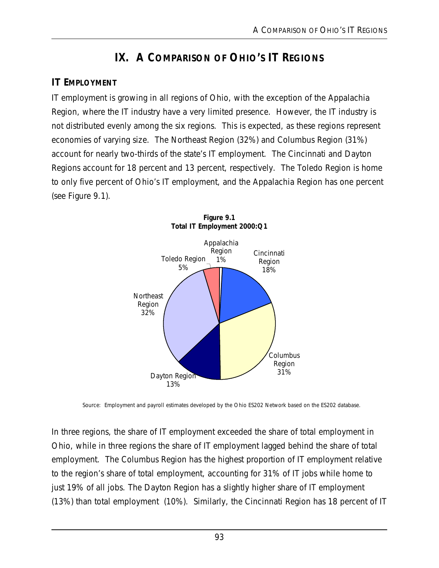# **IX. A COMPARISON OF OHIO'S IT REGIONS**

# **IT EMPLOYMENT**

IT employment is growing in all regions of Ohio, with the exception of the Appalachia Region, where the IT industry have a very limited presence. However, the IT industry is not distributed evenly among the six regions. This is expected, as these regions represent economies of varying size. The Northeast Region (32%) and Columbus Region (31%) account for nearly two-thirds of the state's IT employment. The Cincinnati and Dayton Regions account for 18 percent and 13 percent, respectively. The Toledo Region is home to only five percent of Ohio's IT employment, and the Appalachia Region has one percent (see Figure 9.1).





Source: Employment and payroll estimates developed by the Ohio ES202 Network based on the ES202 database.

In three regions, the share of IT employment exceeded the share of total employment in Ohio, while in three regions the share of IT employment lagged behind the share of total employment. The Columbus Region has the highest proportion of IT employment relative to the region's share of total employment, accounting for 31% of IT jobs while home to just 19% of all jobs. The Dayton Region has a slightly higher share of IT employment (13%) than total employment (10%). Similarly, the Cincinnati Region has 18 percent of IT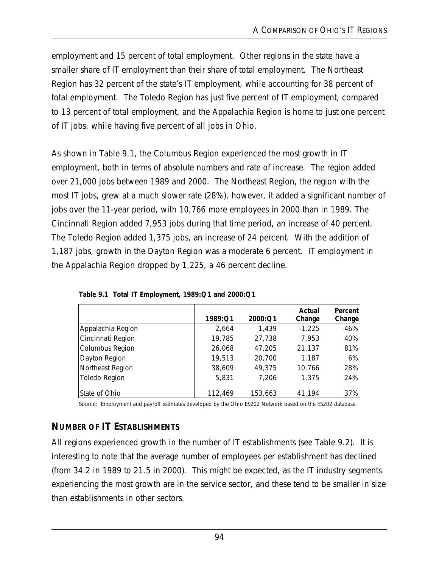employment and 15 percent of total employment. Other regions in the state have a smaller share of IT employment than their share of total employment. The Northeast Region has 32 percent of the state's IT employment, while accounting for 38 percent of total employment. The Toledo Region has just five percent of IT employment, compared to 13 percent of total employment, and the Appalachia Region is home to just one percent of IT jobs, while having five percent of all jobs in Ohio.

As shown in Table 9.1, the Columbus Region experienced the most growth in IT employment, both in terms of absolute numbers and rate of increase. The region added over 21,000 jobs between 1989 and 2000. The Northeast Region, the region with the most IT jobs, grew at a much slower rate (28%), however, it added a significant number of jobs over the 11-year period, with 10,766 more employees in 2000 than in 1989. The Cincinnati Region added 7,953 jobs during that time period, an increase of 40 percent. The Toledo Region added 1,375 jobs, an increase of 24 percent. With the addition of 1,187 jobs, growth in the Dayton Region was a moderate 6 percent. IT employment in the Appalachia Region dropped by 1,225, a 46 percent decline.

|                   | 1989:Q1 | 2000:Q1 | Actual<br>Change | Percent<br>Change |
|-------------------|---------|---------|------------------|-------------------|
| Appalachia Region | 2,664   | 1,439   | $-1,225$         | $-46%$            |
| Cincinnati Region | 19,785  | 27,738  | 7,953            | 40%               |
| Columbus Region   | 26,068  | 47,205  | 21,137           | 81%               |
| Dayton Region     | 19,513  | 20,700  | 1,187            | 6%                |
| Northeast Region  | 38,609  | 49,375  | 10,766           | 28%               |
| Toledo Region     | 5,831   | 7,206   | 1,375            | 24%               |
| State of Ohio     | 112,469 | 153,663 | 41,194           | 37%               |

**Table 9.1 Total IT Employment, 1989:Q1 and 2000:Q1**

Source: Employment and payroll estimates developed by the Ohio ES202 Network based on the ES202 database.

# **NUMBER OF IT ESTABLISHMENTS**

All regions experienced growth in the number of IT establishments (see Table 9.2). It is interesting to note that the average number of employees per establishment has declined (from 34.2 in 1989 to 21.5 in 2000). This might be expected, as the IT industry segments experiencing the most growth are in the service sector, and these tend to be smaller in size than establishments in other sectors.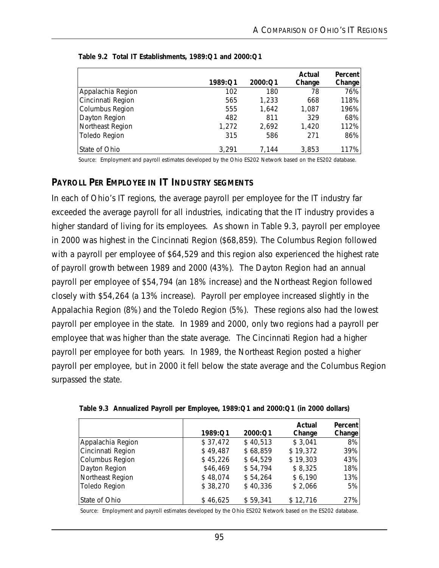|                   | 1989:Q1 | 2000:Q1 | Actual<br>Change | <b>Percent</b><br>Change |
|-------------------|---------|---------|------------------|--------------------------|
| Appalachia Region | 102     | 180     | 78               | 76%                      |
| Cincinnati Region | 565     | 1,233   | 668              | 118%                     |
| Columbus Region   | 555     | 1,642   | 1,087            | 196%                     |
| Dayton Region     | 482     | 811     | 329              | 68%                      |
| Northeast Region  | 1,272   | 2,692   | 1,420            | 112%                     |
| Toledo Region     | 315     | 586     | 271              | 86%                      |
| State of Ohio     | 3,291   | 7.144   | 3,853            | 117%                     |

| Table 9.2 Total IT Establishments, 1989:Q1 and 2000:Q1 |  |  |  |
|--------------------------------------------------------|--|--|--|
|--------------------------------------------------------|--|--|--|

Source: Employment and payroll estimates developed by the Ohio ES202 Network based on the ES202 database.

#### **PAYROLL PER EMPLOYEE IN IT INDUSTRY SEGMENTS**

In each of Ohio's IT regions, the average payroll per employee for the IT industry far exceeded the average payroll for all industries, indicating that the IT industry provides a higher standard of living for its employees. As shown in Table 9.3, payroll per employee in 2000 was highest in the Cincinnati Region (\$68,859). The Columbus Region followed with a payroll per employee of \$64,529 and this region also experienced the highest rate of payroll growth between 1989 and 2000 (43%). The Dayton Region had an annual payroll per employee of \$54,794 (an 18% increase) and the Northeast Region followed closely with \$54,264 (a 13% increase). Payroll per employee increased slightly in the Appalachia Region (8%) and the Toledo Region (5%). These regions also had the lowest payroll per employee in the state. In 1989 and 2000, only two regions had a payroll per employee that was higher than the state average. The Cincinnati Region had a higher payroll per employee for both years. In 1989, the Northeast Region posted a higher payroll per employee, but in 2000 it fell below the state average and the Columbus Region surpassed the state.

|                      | 1989:Q1  | 2000:Q1  | Actual<br>Change | Percent<br>Change |
|----------------------|----------|----------|------------------|-------------------|
| Appalachia Region    | \$37,472 | \$40,513 | \$3,041          | 8%                |
| Cincinnati Region    | \$49,487 | \$68,859 | \$19,372         | 39%               |
| Columbus Region      | \$45,226 | \$64,529 | \$19,303         | 43%               |
| Dayton Region        | \$46,469 | \$54,794 | \$8,325          | 18%               |
| Northeast Region     | \$48,074 | \$54,264 | \$6,190          | 13%               |
| <b>Toledo Region</b> | \$38,270 | \$40,336 | \$2,066          | 5%                |
| State of Ohio        | \$46,625 | \$59,341 | \$12,716         | 27%               |

|  | Table 9.3 Annualized Payroll per Employee, 1989: Q1 and 2000: Q1 (in 2000 dollars) |  |  |
|--|------------------------------------------------------------------------------------|--|--|

Source: Employment and payroll estimates developed by the Ohio ES202 Network based on the ES202 database.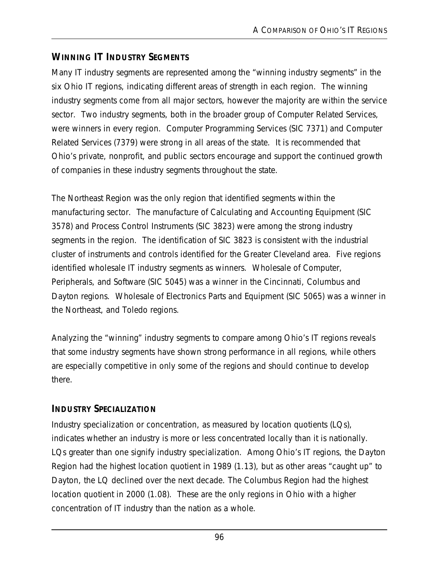# **WINNING IT INDUSTRY SEGMENTS**

Many IT industry segments are represented among the "winning industry segments" in the six Ohio IT regions, indicating different areas of strength in each region. The winning industry segments come from all major sectors, however the majority are within the service sector. Two industry segments, both in the broader group of Computer Related Services, were winners in every region. Computer Programming Services (SIC 7371) and Computer Related Services (7379) were strong in all areas of the state. It is recommended that Ohio's private, nonprofit, and public sectors encourage and support the continued growth of companies in these industry segments throughout the state.

The Northeast Region was the only region that identified segments within the manufacturing sector. The manufacture of Calculating and Accounting Equipment (SIC 3578) and Process Control Instruments (SIC 3823) were among the strong industry segments in the region. The identification of SIC 3823 is consistent with the industrial cluster of instruments and controls identified for the Greater Cleveland area. Five regions identified wholesale IT industry segments as winners. Wholesale of Computer, Peripherals, and Software (SIC 5045) was a winner in the Cincinnati, Columbus and Dayton regions. Wholesale of Electronics Parts and Equipment (SIC 5065) was a winner in the Northeast, and Toledo regions.

Analyzing the "winning" industry segments to compare among Ohio's IT regions reveals that some industry segments have shown strong performance in all regions, while others are especially competitive in only some of the regions and should continue to develop there.

# **INDUSTRY SPECIALIZATION**

Industry specialization or concentration, as measured by location quotients (LQs), indicates whether an industry is more or less concentrated locally than it is nationally. LQs greater than one signify industry specialization. Among Ohio's IT regions, the Dayton Region had the highest location quotient in 1989 (1.13), but as other areas "caught up" to Dayton, the LQ declined over the next decade. The Columbus Region had the highest location quotient in 2000 (1.08). These are the only regions in Ohio with a higher concentration of IT industry than the nation as a whole.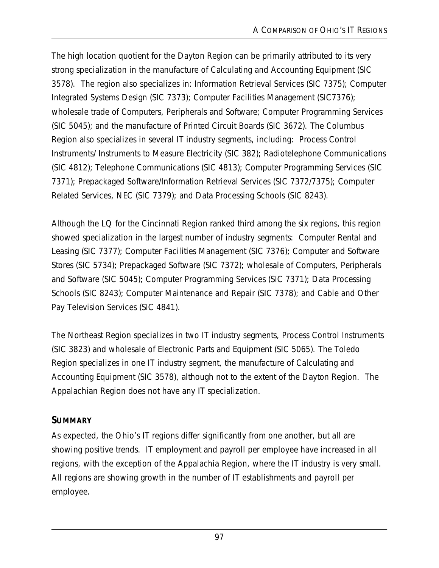The high location quotient for the Dayton Region can be primarily attributed to its very strong specialization in the manufacture of Calculating and Accounting Equipment (SIC 3578). The region also specializes in: Information Retrieval Services (SIC 7375); Computer Integrated Systems Design (SIC 7373); Computer Facilities Management (SIC7376); wholesale trade of Computers, Peripherals and Software; Computer Programming Services (SIC 5045); and the manufacture of Printed Circuit Boards (SIC 3672). The Columbus Region also specializes in several IT industry segments, including: Process Control Instruments/ Instruments to Measure Electricity (SIC 382); Radiotelephone Communications (SIC 4812); Telephone Communications (SIC 4813); Computer Programming Services (SIC 7371); Prepackaged Software/Information Retrieval Services (SIC 7372/7375); Computer Related Services, NEC (SIC 7379); and Data Processing Schools (SIC 8243).

Although the LQ for the Cincinnati Region ranked third among the six regions, this region showed specialization in the largest number of industry segments: Computer Rental and Leasing (SIC 7377); Computer Facilities Management (SIC 7376); Computer and Software Stores (SIC 5734); Prepackaged Software (SIC 7372); wholesale of Computers, Peripherals and Software (SIC 5045); Computer Programming Services (SIC 7371); Data Processing Schools (SIC 8243); Computer Maintenance and Repair (SIC 7378); and Cable and Other Pay Television Services (SIC 4841).

The Northeast Region specializes in two IT industry segments, Process Control Instruments (SIC 3823) and wholesale of Electronic Parts and Equipment (SIC 5065). The Toledo Region specializes in one IT industry segment, the manufacture of Calculating and Accounting Equipment (SIC 3578), although not to the extent of the Dayton Region. The Appalachian Region does not have any IT specialization.

# **SUMMARY**

As expected, the Ohio's IT regions differ significantly from one another, but all are showing positive trends. IT employment and payroll per employee have increased in all regions, with the exception of the Appalachia Region, where the IT industry is very small. All regions are showing growth in the number of IT establishments and payroll per employee.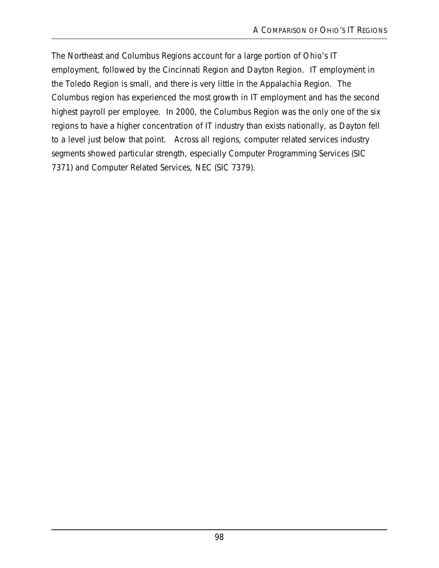The Northeast and Columbus Regions account for a large portion of Ohio's IT employment, followed by the Cincinnati Region and Dayton Region. IT employment in the Toledo Region is small, and there is very little in the Appalachia Region. The Columbus region has experienced the most growth in IT employment and has the second highest payroll per employee. In 2000, the Columbus Region was the only one of the six regions to have a higher concentration of IT industry than exists nationally, as Dayton fell to a level just below that point. Across all regions, computer related services industry segments showed particular strength, especially Computer Programming Services (SIC 7371) and Computer Related Services, NEC (SIC 7379).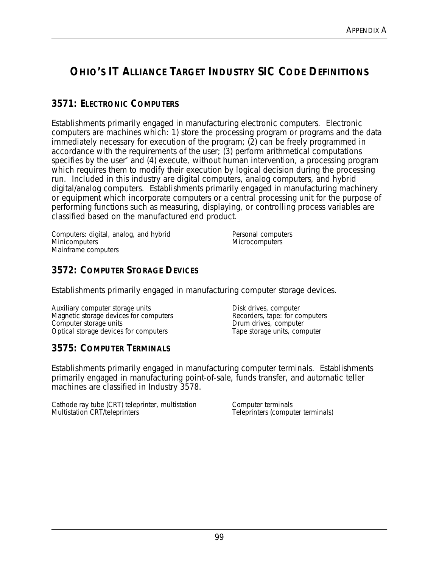# **OHIO'S IT ALLIANCE TARGET INDUSTRY SIC CODE DEFINITIONS**

# **3571: ELECTRONIC COMPUTERS**

Establishments primarily engaged in manufacturing electronic computers. Electronic computers are machines which: 1) store the processing program or programs and the data immediately necessary for execution of the program; (2) can be freely programmed in accordance with the requirements of the user; (3) perform arithmetical computations specifies by the user' and (4) execute, without human intervention, a processing program which requires them to modify their execution by logical decision during the processing run. Included in this industry are digital computers, analog computers, and hybrid digital/analog computers. Establishments primarily engaged in manufacturing machinery or equipment which incorporate computers or a central processing unit for the purpose of performing functions such as measuring, displaying, or controlling process variables are classified based on the manufactured end product.

Computers: digital, analog, and hybrid **Minicomputers** Mainframe computers

Personal computers **Microcomputers** 

### **3572: COMPUTER STORAGE DEVICES**

Establishments primarily engaged in manufacturing computer storage devices.

Auxiliary computer storage units Magnetic storage devices for computers Computer storage units Optical storage devices for computers

Disk drives, computer Recorders, tape: for computers Drum drives, computer Tape storage units, computer

### **3575: COMPUTER TERMINALS**

Establishments primarily engaged in manufacturing computer terminals. Establishments primarily engaged in manufacturing point-of-sale, funds transfer, and automatic teller machines are classified in Industry 3578.

Cathode ray tube (CRT) teleprinter, multistation Multistation CRT/teleprinters

Computer terminals Teleprinters (computer terminals)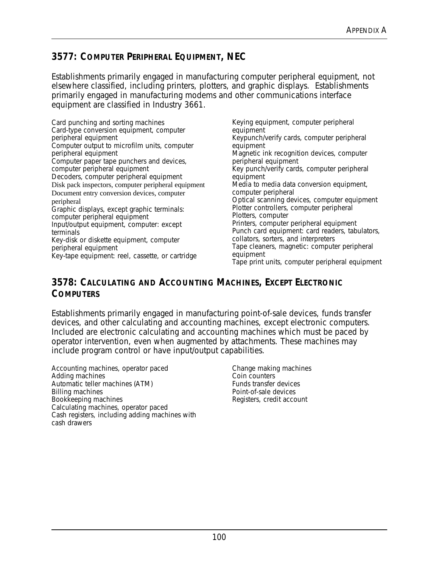# **3577: COMPUTER PERIPHERAL EQUIPMENT, NEC**

Establishments primarily engaged in manufacturing computer peripheral equipment, not elsewhere classified, including printers, plotters, and graphic displays. Establishments primarily engaged in manufacturing modems and other communications interface equipment are classified in Industry 3661.

Card punching and sorting machines Card-type conversion equipment, computer peripheral equipment Computer output to microfilm units, computer peripheral equipment Computer paper tape punchers and devices, computer peripheral equipment Decoders, computer peripheral equipment Disk pack inspectors, computer peripheral equipment Document entry conversion devices, computer peripheral Graphic displays, except graphic terminals: computer peripheral equipment Input/output equipment, computer: except terminals Key-disk or diskette equipment, computer peripheral equipment Key-tape equipment: reel, cassette, or cartridge

Keying equipment, computer peripheral equipment Keypunch/verify cards, computer peripheral equipment Magnetic ink recognition devices, computer peripheral equipment Key punch/verify cards, computer peripheral equipment Media to media data conversion equipment, computer peripheral Optical scanning devices, computer equipment Plotter controllers, computer peripheral Plotters, computer Printers, computer peripheral equipment Punch card equipment: card readers, tabulators, collators, sorters, and interpreters Tape cleaners, magnetic: computer peripheral equipment Tape print units, computer peripheral equipment

#### **3578: CALCULATING AND ACCOUNTING MACHINES, EXCEPT ELECTRONIC COMPUTERS**

Establishments primarily engaged in manufacturing point-of-sale devices, funds transfer devices, and other calculating and accounting machines, except electronic computers. Included are electronic calculating and accounting machines which must be paced by operator intervention, even when augmented by attachments. These machines may include program control or have input/output capabilities.

Accounting machines, operator paced Adding machines Automatic teller machines (ATM) Billing machines Bookkeeping machines Calculating machines, operator paced Cash registers, including adding machines with cash drawers

Change making machines Coin counters Funds transfer devices Point-of-sale devices Registers, credit account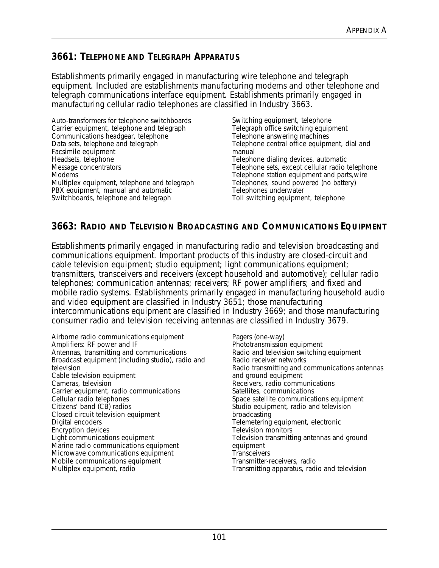## **3661: TELEPHONE AND TELEGRAPH APPARATUS**

Establishments primarily engaged in manufacturing wire telephone and telegraph equipment. Included are establishments manufacturing modems and other telephone and telegraph communications interface equipment. Establishments primarily engaged in manufacturing cellular radio telephones are classified in Industry 3663.

Auto-transformers for telephone switchboards Carrier equipment, telephone and telegraph Communications headgear, telephone Data sets, telephone and telegraph Facsimile equipment Headsets, telephone Message concentrators **Modems** Multiplex equipment, telephone and telegraph PBX equipment, manual and automatic Switchboards, telephone and telegraph

Switching equipment, telephone Telegraph office switching equipment Telephone answering machines Telephone central office equipment, dial and manual Telephone dialing devices, automatic Telephone sets, except cellular radio telephone Telephone station equipment and parts,wire Telephones, sound powered (no battery) Telephones underwater Toll switching equipment, telephone

# **3663: RADIO AND TELEVISION BROADCASTING AND COMMUNICATIONS EQUIPMENT**

Establishments primarily engaged in manufacturing radio and television broadcasting and communications equipment. Important products of this industry are closed-circuit and cable television equipment; studio equipment; light communications equipment; transmitters, transceivers and receivers (except household and automotive); cellular radio telephones; communication antennas; receivers; RF power amplifiers; and fixed and mobile radio systems. Establishments primarily engaged in manufacturing household audio and video equipment are classified in Industry 3651; those manufacturing intercommunications equipment are classified in Industry 3669; and those manufacturing consumer radio and television receiving antennas are classified in Industry 3679.

Airborne radio communications equipment Amplifiers: RF power and IF Antennas, transmitting and communications Broadcast equipment (including studio), radio and television Cable television equipment Cameras, television Carrier equipment, radio communications Cellular radio telephones Citizens' band (CB) radios Closed circuit television equipment Digital encoders Encryption devices Light communications equipment Marine radio communications equipment Microwave communications equipment Mobile communications equipment Multiplex equipment, radio

Pagers (one-way) Phototransmission equipment Radio and television switching equipment Radio receiver networks Radio transmitting and communications antennas and ground equipment Receivers, radio communications Satellites, communications Space satellite communications equipment Studio equipment, radio and television broadcasting Telemetering equipment, electronic Television monitors Television transmitting antennas and ground equipment **Transceivers** Transmitter-receivers, radio Transmitting apparatus, radio and television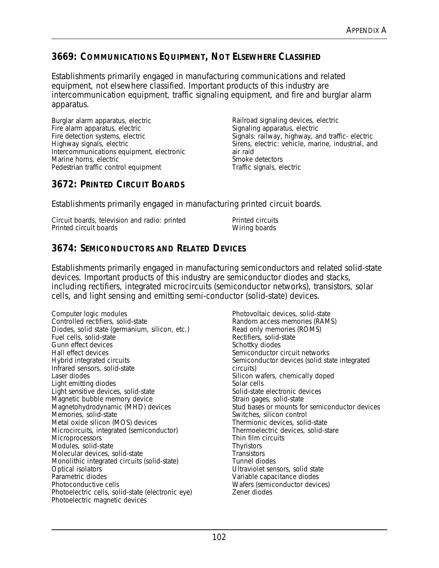# **3669: COMMUNICATIONS EQUIPMENT, NOT ELSEWHERE CLASSIFIED**

Establishments primarily engaged in manufacturing communications and related equipment, not elsewhere classified. Important products of this industry are intercommunication equipment, traffic signaling equipment, and fire and burglar alarm apparatus.

Burglar alarm apparatus, electric Fire alarm apparatus, electric Fire detection systems, electric Highway signals, electric Intercommunications equipment, electronic Marine horns, electric Pedestrian traffic control equipment

Railroad signaling devices, electric Signaling apparatus, electric Signals: railway, highway, and traffic- electric Sirens, electric: vehicle, marine, industrial, and air raid Smoke detectors Traffic signals, electric

# **3672: PRINTED CIRCUIT BOARDS**

Establishments primarily engaged in manufacturing printed circuit boards.

| Circuit boards, television and radio: printed | Printed circuits |
|-----------------------------------------------|------------------|
| Printed circuit boards                        | Wiring boards    |

# **3674: SEMICONDUCTORS AND RELATED DEVICES**

Establishments primarily engaged in manufacturing semiconductors and related solid-state devices. Important products of this industry are semiconductor diodes and stacks, including rectifiers, integrated microcircuits (semiconductor networks), transistors, solar cells, and light sensing and emitting semi-conductor (solid-state) devices.

Computer logic modules Controlled rectifiers, solid-state Diodes, solid state (germanium, silicon, etc.) Fuel cells, solid-state Gunn effect devices Hall effect devices Hybrid integrated circuits Infrared sensors, solid-state Laser diodes Light emitting diodes Light sensitive devices, solid-state Magnetic bubble memory device Magnetohydrodynamic (MHD) devices Memories, solid-state Metal oxide silicon (MOS) devices Microcircuits, integrated (semiconductor) **Microprocessors** Modules, solid-state Molecular devices, solid-state Monolithic integrated circuits (solid-state) Optical isolators Parametric diodes Photoconductive cells Photoelectric cells, solid-state (electronic eye) Photoelectric magnetic devices

Photovoltaic devices, solid-state Random access memories (RAMS) Read only memories (ROMS) Rectifiers, solid-state Schottky diodes Semiconductor circuit networks Semiconductor devices (solid state integrated circuits) Silicon wafers, chemically doped Solar cells Solid-state electronic devices Strain gages, solid-state Stud bases or mounts for semiconductor devices Switches, silicon control Thermionic devices, solid-state Thermoelectric devices, solid-stare Thin film circuits **Thyristors Transistors** Tunnel diodes Ultraviolet sensors, solid state Variable capacitance diodes Wafers (semiconductor devices) Zener diodes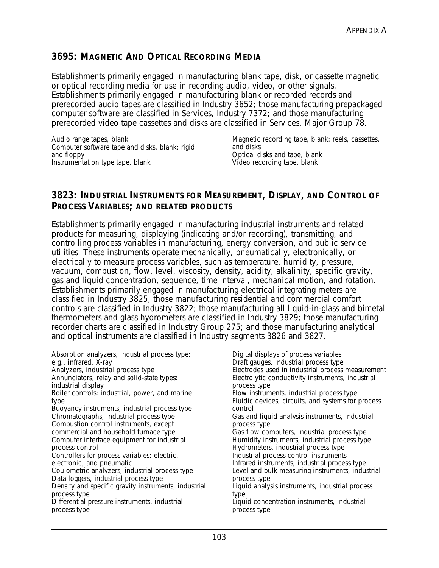### **3695: MAGNETIC AND OPTICAL RECORDING MEDIA**

Establishments primarily engaged in manufacturing blank tape, disk, or cassette magnetic or optical recording media for use in recording audio, video, or other signals. Establishments primarily engaged in manufacturing blank or recorded records and prerecorded audio tapes are classified in Industry 3652; those manufacturing prepackaged computer software are classified in Services, Industry 7372; and those manufacturing prerecorded video tape cassettes and disks are classified in Services, Major Group 78.

Audio range tapes, blank Computer software tape and disks, blank: rigid and floppy Instrumentation type tape, blank

Magnetic recording tape, blank: reels, cassettes, and disks Optical disks and tape, blank Video recording tape, blank

### **3823: INDUSTRIAL INSTRUMENTS FOR MEASUREMENT, DISPLAY, AND CONTROL OF PROCESS VARIABLES; AND RELATED PRODUCTS**

Establishments primarily engaged in manufacturing industrial instruments and related products for measuring, displaying (indicating and/or recording), transmitting, and controlling process variables in manufacturing, energy conversion, and public service utilities. These instruments operate mechanically, pneumatically, electronically, or electrically to measure process variables, such as temperature, humidity, pressure, vacuum, combustion, flow, level, viscosity, density, acidity, alkalinity, specific gravity, gas and liquid concentration, sequence, time interval, mechanical motion, and rotation. Establishments primarily engaged in manufacturing electrical integrating meters are classified in Industry 3825; those manufacturing residential and commercial comfort controls are classified in Industry 3822; those manufacturing all liquid-in-glass and bimetal thermometers and glass hydrometers are classified in Industry 3829; those manufacturing recorder charts are classified in Industry Group 275; and those manufacturing analytical and optical instruments are classified in Industry segments 3826 and 3827.

Absorption analyzers, industrial process type: e.g., infrared, X-ray Analyzers, industrial process type Annunciators, relay and solid-state types: industrial display Boiler controls: industrial, power, and marine type Buoyancy instruments, industrial process type Chromatographs, industrial process type Combustion control instruments, except commercial and household furnace type Computer interface equipment for industrial process control Controllers for process variables: electric, electronic, and pneumatic Coulometric analyzers, industrial process type Data loggers, industrial process type Density and specific gravity instruments, industrial process type Differential pressure instruments, industrial process type Digital displays of process variables Draft gauges, industrial process type Electrodes used in industrial process measurement Electrolytic conductivity instruments, industrial process type Flow instruments, industrial process type Fluidic devices, circuits, and systems for process control Gas and liquid analysis instruments, industrial process type Gas flow computers, industrial process type Humidity instruments, industrial process type Hydrometers, industrial process type Industrial process control instruments Infrared instruments, industrial process type Level and bulk measuring instruments, industrial process type Liquid analysis instruments, industrial process type Liquid concentration instruments, industrial process type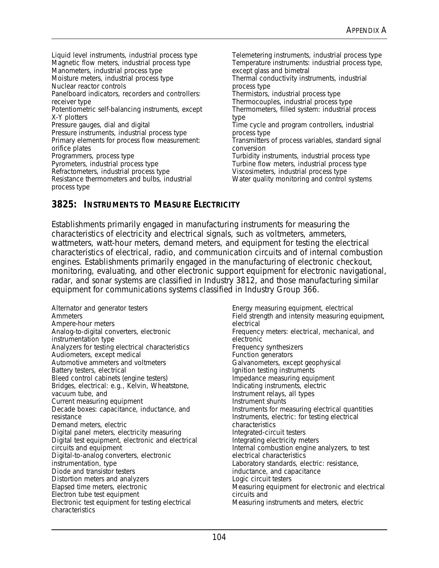Liquid level instruments, industrial process type Magnetic flow meters, industrial process type Manometers, industrial process type Moisture meters, industrial process type Nuclear reactor controls Panelboard indicators, recorders and controllers: receiver type Potentiometric self-balancing instruments, except X-Y plotters Pressure gauges, dial and digital Pressure instruments, industrial process type Primary elements for process flow measurement: orifice plates Programmers, process type Pyrometers, industrial process type Refractometers, industrial process type Resistance thermometers and bulbs, industrial process type

Telemetering instruments, industrial process type Temperature instruments: industrial process type, except glass and bimetral Thermal conductivity instruments, industrial process type Thermistors, industrial process type Thermocouples, industrial process type Thermometers, filled system: industrial process type Time cycle and program controllers, industrial process type Transmitters of process variables, standard signal conversion Turbidity instruments, industrial process type Turbine flow meters, industrial process type Viscosimeters, industrial process type Water quality monitoring and control systems

# **3825: INSTRUMENTS TO MEASURE ELECTRICITY**

Establishments primarily engaged in manufacturing instruments for measuring the characteristics of electricity and electrical signals, such as voltmeters, ammeters, wattmeters, watt-hour meters, demand meters, and equipment for testing the electrical characteristics of electrical, radio, and communication circuits and of internal combustion engines. Establishments primarily engaged in the manufacturing of electronic checkout, monitoring, evaluating, and other electronic support equipment for electronic navigational, radar, and sonar systems are classified in Industry 3812, and those manufacturing similar equipment for communications systems classified in Industry Group 366.

Alternator and generator testers Ammeters Ampere-hour meters Analog-to-digital converters, electronic instrumentation type Analyzers for testing electrical characteristics Audiometers, except medical Automotive ammeters and voltmeters Battery testers, electrical Bleed control cabinets (engine testers) Bridges, electrical: e.g., Kelvin, Wheatstone, vacuum tube, and Current measuring equipment Decade boxes: capacitance, inductance, and resistance Demand meters, electric Digital panel meters, electricity measuring Digital test equipment, electronic and electrical circuits and equipment Digital-to-analog converters, electronic instrumentation, type Diode and transistor testers Distortion meters and analyzers Elapsed time meters, electronic Electron tube test equipment Electronic test equipment for testing electrical characteristics

Energy measuring equipment, electrical Field strength and intensity measuring equipment, electrical Frequency meters: electrical, mechanical, and electronic Frequency synthesizers Function generators Galvanometers, except geophysical Ignition testing instruments Impedance measuring equipment Indicating instruments, electric Instrument relays, all types Instrument shunts Instruments for measuring electrical quantities Instruments, electric: for testing electrical characteristics Integrated-circuit testers Integrating electricity meters Internal combustion engine analyzers, to test electrical characteristics Laboratory standards, electric: resistance, inductance, and capacitance Logic circuit testers Measuring equipment for electronic and electrical circuits and Measuring instruments and meters, electric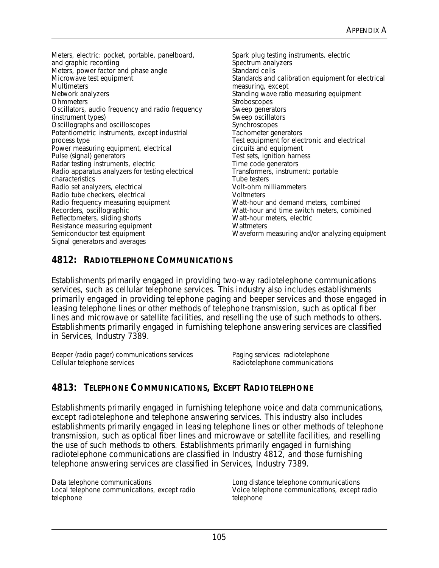Meters, electric: pocket, portable, panelboard, and graphic recording Meters, power factor and phase angle Microwave test equipment **Multimeters** Network analyzers **Ohmmeters** Oscillators, audio frequency and radio frequency (instrument types) Oscillographs and oscilloscopes Potentiometric instruments, except industrial process type Power measuring equipment, electrical Pulse (signal) generators Radar testing instruments, electric Radio apparatus analyzers for testing electrical characteristics Radio set analyzers, electrical Radio tube checkers, electrical Radio frequency measuring equipment Recorders, oscillographic Reflectometers, sliding shorts Resistance measuring equipment Semiconductor test equipment Signal generators and averages

Spark plug testing instruments, electric Spectrum analyzers Standard cells Standards and calibration equipment for electrical measuring, except Standing wave ratio measuring equipment **Stroboscopes** Sweep generators Sweep oscillators Synchroscopes Tachometer generators Test equipment for electronic and electrical circuits and equipment Test sets, ignition harness Time code generators Transformers, instrument: portable Tube testers Volt-ohm milliammeters **Voltmeters** Watt-hour and demand meters, combined Watt-hour and time switch meters, combined Watt-hour meters, electric **Wattmeters** Waveform measuring and/or analyzing equipment

# **4812: RADIOTELEPHONE COMMUNICATIONS**

Establishments primarily engaged in providing two-way radiotelephone communications services, such as cellular telephone services. This industry also includes establishments primarily engaged in providing telephone paging and beeper services and those engaged in leasing telephone lines or other methods of telephone transmission, such as optical fiber lines and microwave or satellite facilities, and reselling the use of such methods to others. Establishments primarily engaged in furnishing telephone answering services are classified in Services, Industry 7389.

Beeper (radio pager) communications services Cellular telephone services

Paging services: radiotelephone Radiotelephone communications

# **4813: TELEPHONE COMMUNICATIONS, EXCEPT RADIOTELEPHONE**

Establishments primarily engaged in furnishing telephone voice and data communications, except radiotelephone and telephone answering services. This industry also includes establishments primarily engaged in leasing telephone lines or other methods of telephone transmission, such as optical fiber lines and microwave or satellite facilities, and reselling the use of such methods to others. Establishments primarily engaged in furnishing radiotelephone communications are classified in Industry 4812, and those furnishing telephone answering services are classified in Services, Industry 7389.

Data telephone communications Local telephone communications, except radio telephone

Long distance telephone communications Voice telephone communications, except radio telephone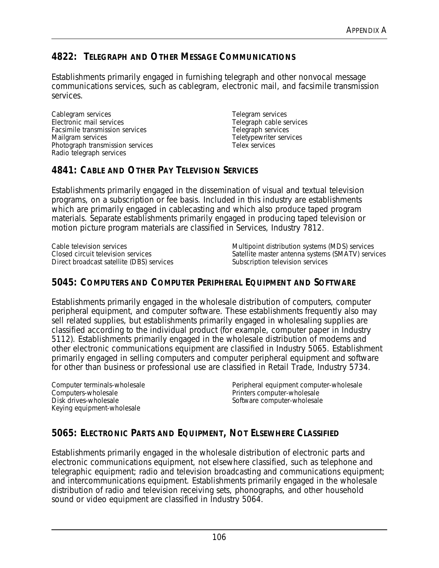# **4822: TELEGRAPH AND OTHER MESSAGE COMMUNICATIONS**

Establishments primarily engaged in furnishing telegraph and other nonvocal message communications services, such as cablegram, electronic mail, and facsimile transmission services.

Cablegram services Electronic mail services Facsimile transmission services Mailgram services Photograph transmission services Radio telegraph services

Telegram services Telegraph cable services Telegraph services Teletypewriter services Telex services

## **4841: CABLE AND OTHER PAY TELEVISION SERVICES**

Establishments primarily engaged in the dissemination of visual and textual television programs, on a subscription or fee basis. Included in this industry are establishments which are primarily engaged in cablecasting and which also produce taped program materials. Separate establishments primarily engaged in producing taped television or motion picture program materials are classified in Services, Industry 7812.

Cable television services Closed circuit television services Direct broadcast satellite (DBS) services Multipoint distribution systems (MDS) services Satellite master antenna systems (SMATV) services Subscription television services

### **5045: COMPUTERS AND COMPUTER PERIPHERAL EQUIPMENT AND SOFTWARE**

Establishments primarily engaged in the wholesale distribution of computers, computer peripheral equipment, and computer software. These establishments frequently also may sell related supplies, but establishments primarily engaged in wholesaling supplies are classified according to the individual product (for example, computer paper in Industry 5112). Establishments primarily engaged in the wholesale distribution of modems and other electronic communications equipment are classified in Industry 5065. Establishment primarily engaged in selling computers and computer peripheral equipment and software for other than business or professional use are classified in Retail Trade, Industry 5734.

Computer terminals-wholesale Computers-wholesale Disk drives-wholesale Keying equipment-wholesale

Peripheral equipment computer-wholesale Printers computer-wholesale Software computer-wholesale

# **5065: ELECTRONIC PARTS AND EQUIPMENT, NOT ELSEWHERE CLASSIFIED**

Establishments primarily engaged in the wholesale distribution of electronic parts and electronic communications equipment, not elsewhere classified, such as telephone and telegraphic equipment; radio and television broadcasting and communications equipment; and intercommunications equipment. Establishments primarily engaged in the wholesale distribution of radio and television receiving sets, phonographs, and other household sound or video equipment are classified in Industry 5064.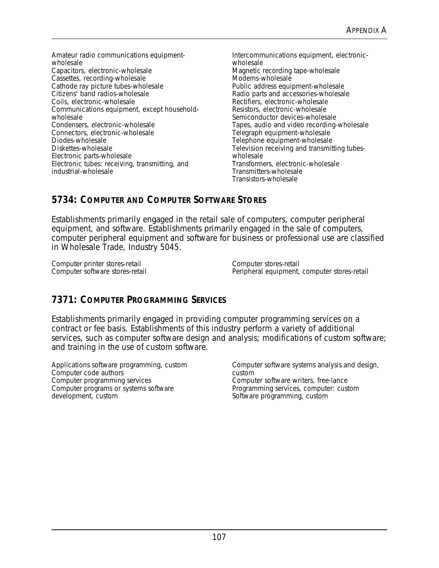Amateur radio communications equipmentwholesale Capacitors, electronic-wholesale Cassettes, recording-wholesale Cathode ray picture tubes-wholesale Citizens' band radios-wholesale Coils, electronic-wholesale Communications equipment, except householdwholesale Condensers, electronic-wholesale Connectors, electronic-wholesale Diodes-wholesale Diskettes-wholesale Electronic parts-wholesale Electronic tubes: receiving, transmitting, and industrial-wholesale

Intercommunications equipment, electronicwholesale Magnetic recording tape-wholesale Modems-wholesale Public address equipment-wholesale Radio parts and accessories-wholesale Rectifiers, electronic-wholesale Resistors, electronic-wholesale Semiconductor devices-wholesale Tapes, audio and video recording-wholesale Telegraph equipment-wholesale Telephone equipment-wholesale Television receiving and transmitting tubeswholesale Transformers, electronic-wholesale Transmitters-wholesale Transistors-wholesale

# **5734: COMPUTER AND COMPUTER SOFTWARE STORES**

Establishments primarily engaged in the retail sale of computers, computer peripheral equipment, and software. Establishments primarily engaged in the sale of computers, computer peripheral equipment and software for business or professional use are classified in Wholesale Trade, Industry 5045.

Computer printer stores-retail Computer software stores-retail

Computer stores-retail Peripheral equipment, computer stores-retail

# **7371: COMPUTER PROGRAMMING SERVICES**

Establishments primarily engaged in providing computer programming services on a contract or fee basis. Establishments of this industry perform a variety of additional services, such as computer software design and analysis; modifications of custom software; and training in the use of custom software.

Applications software programming, custom Computer code authors Computer programming services Computer programs or systems software development, custom

Computer software systems analysis and design, custom Computer software writers, free-lance Programming services, computer: custom Software programming, custom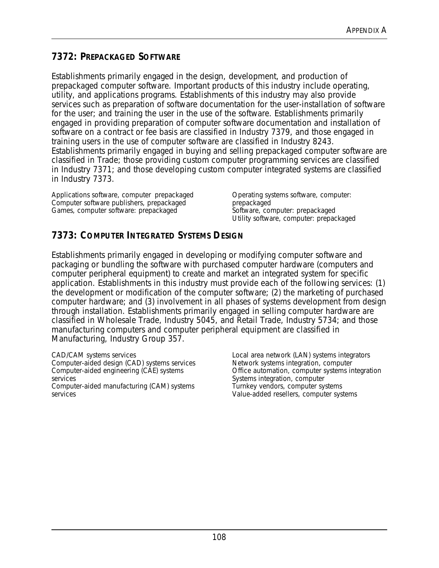## **7372: PREPACKAGED SOFTWARE**

Establishments primarily engaged in the design, development, and production of prepackaged computer software. Important products of this industry include operating, utility, and applications programs. Establishments of this industry may also provide services such as preparation of software documentation for the user-installation of software for the user; and training the user in the use of the software. Establishments primarily engaged in providing preparation of computer software documentation and installation of software on a contract or fee basis are classified in Industry 7379, and those engaged in training users in the use of computer software are classified in Industry 8243. Establishments primarily engaged in buying and selling prepackaged computer software are classified in Trade; those providing custom computer programming services are classified in Industry 7371; and those developing custom computer integrated systems are classified in Industry 7373.

Applications software, computer prepackaged Computer software publishers, prepackaged Games, computer software: prepackaged

Operating systems software, computer: prepackaged Software, computer: prepackaged Utility software, computer: prepackaged

# **7373: COMPUTER INTEGRATED SYSTEMS DESIGN**

Establishments primarily engaged in developing or modifying computer software and packaging or bundling the software with purchased computer hardware (computers and computer peripheral equipment) to create and market an integrated system for specific application. Establishments in this industry must provide each of the following services: (1) the development or modification of the computer software; (2) the marketing of purchased computer hardware; and (3) involvement in all phases of systems development from design through installation. Establishments primarily engaged in selling computer hardware are classified in Wholesale Trade, Industry 5045, and Retail Trade, Industry 5734; and those manufacturing computers and computer peripheral equipment are classified in Manufacturing, Industry Group 357.

CAD/CAM systems services Computer-aided design (CAD) systems services Computer-aided engineering (CAE) systems services Computer-aided manufacturing (CAM) systems services

Local area network (LAN) systems integrators Network systems integration, computer Office automation, computer systems integration Systems integration, computer Turnkey vendors, computer systems Value-added resellers, computer systems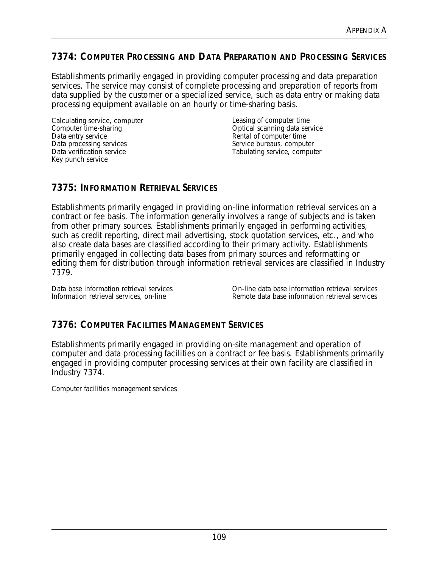### **7374: COMPUTER PROCESSING AND DATA PREPARATION AND PROCESSING SERVICES**

Establishments primarily engaged in providing computer processing and data preparation services. The service may consist of complete processing and preparation of reports from data supplied by the customer or a specialized service, such as data entry or making data processing equipment available on an hourly or time-sharing basis.

Calculating service, computer Computer time-sharing Data entry service Data processing services Data verification service Key punch service

Leasing of computer time Optical scanning data service Rental of computer time Service bureaus, computer Tabulating service, computer

### **7375: INFORMATION RETRIEVAL SERVICES**

Establishments primarily engaged in providing on-line information retrieval services on a contract or fee basis. The information generally involves a range of subjects and is taken from other primary sources. Establishments primarily engaged in performing activities, such as credit reporting, direct mail advertising, stock quotation services, etc., and who also create data bases are classified according to their primary activity. Establishments primarily engaged in collecting data bases from primary sources and reformatting or editing them for distribution through information retrieval services are classified in Industry 7379.

Data base information retrieval services Information retrieval services, on-line

On-line data base information retrieval services Remote data base information retrieval services

### **7376: COMPUTER FACILITIES MANAGEMENT SERVICES**

Establishments primarily engaged in providing on-site management and operation of computer and data processing facilities on a contract or fee basis. Establishments primarily engaged in providing computer processing services at their own facility are classified in Industry 7374.

Computer facilities management services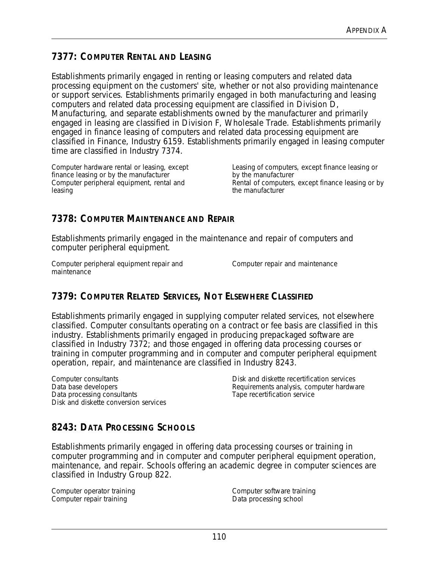# **7377: COMPUTER RENTAL AND LEASING**

Establishments primarily engaged in renting or leasing computers and related data processing equipment on the customers' site, whether or not also providing maintenance or support services. Establishments primarily engaged in both manufacturing and leasing computers and related data processing equipment are classified in Division D, Manufacturing, and separate establishments owned by the manufacturer and primarily engaged in leasing are classified in Division F, Wholesale Trade. Establishments primarily engaged in finance leasing of computers and related data processing equipment are classified in Finance, Industry 6159. Establishments primarily engaged in leasing computer time are classified in Industry 7374.

Computer hardware rental or leasing, except finance leasing or by the manufacturer Computer peripheral equipment, rental and leasing

Leasing of computers, except finance leasing or by the manufacturer Rental of computers, except finance leasing or by the manufacturer

## **7378: COMPUTER MAINTENANCE AND REPAIR**

Establishments primarily engaged in the maintenance and repair of computers and computer peripheral equipment.

Computer peripheral equipment repair and maintenance

Computer repair and maintenance

## **7379: COMPUTER RELATED SERVICES, NOT ELSEWHERE CLASSIFIED**

Establishments primarily engaged in supplying computer related services, not elsewhere classified. Computer consultants operating on a contract or fee basis are classified in this industry. Establishments primarily engaged in producing prepackaged software are classified in Industry 7372; and those engaged in offering data processing courses or training in computer programming and in computer and computer peripheral equipment operation, repair, and maintenance are classified in Industry 8243.

Computer consultants Data base developers Data processing consultants Disk and diskette conversion services Disk and diskette recertification services Requirements analysis, computer hardware Tape recertification service

## **8243: DATA PROCESSING SCHOOLS**

Establishments primarily engaged in offering data processing courses or training in computer programming and in computer and computer peripheral equipment operation, maintenance, and repair. Schools offering an academic degree in computer sciences are classified in Industry Group 822.

Computer operator training Computer repair training

Computer software training Data processing school